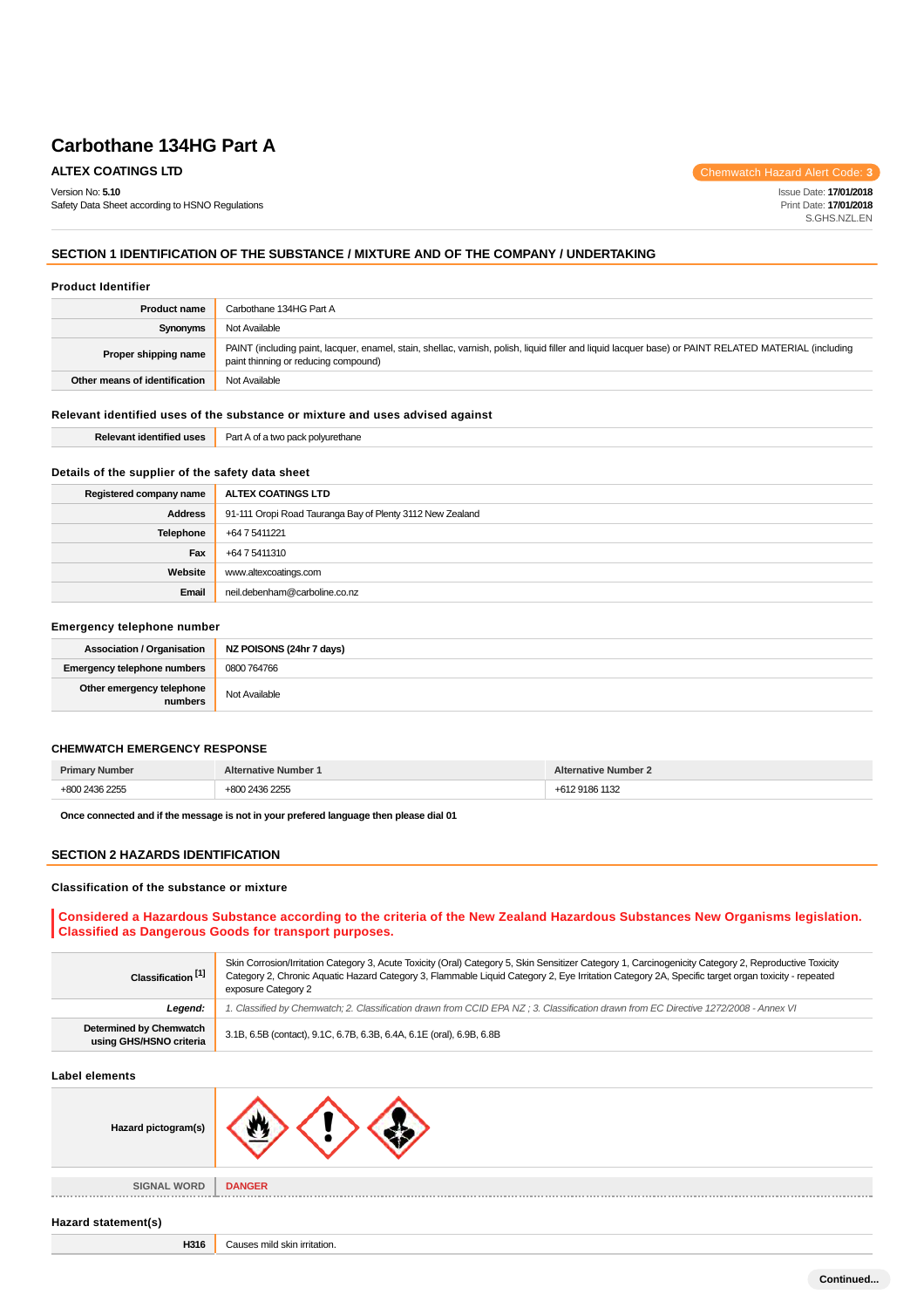Version No: **5.10**

Safety Data Sheet according to HSNO Regulations

**ALTEX COATINGS LTD** Chemwatch Hazard Alert Code: **3** 

Issue Date: **17/01/2018** Print Date: **17/01/2018** S.GHS.NZL.EN

## **SECTION 1 IDENTIFICATION OF THE SUBSTANCE / MIXTURE AND OF THE COMPANY / UNDERTAKING**

#### **Product Identifier**

| <b>Product name</b>           | Carbothane 134HG Part A                                                                                                                                                                       |  |
|-------------------------------|-----------------------------------------------------------------------------------------------------------------------------------------------------------------------------------------------|--|
| Synonyms                      | Not Available                                                                                                                                                                                 |  |
| Proper shipping name          | PAINT (including paint, lacquer, enamel, stain, shellac, varnish, polish, liquid filler and liquid lacquer base) or PAINT RELATED MATERIAL (including<br>paint thinning or reducing compound) |  |
| Other means of identification | Not Available                                                                                                                                                                                 |  |

#### **Relevant identified uses of the substance or mixture and uses advised against**

| ---<br>- 11606<br>-Rei | Part A<br>∴n+<br>a polvurethane<br>5.50<br>LVVL.<br>. |
|------------------------|-------------------------------------------------------|
|                        |                                                       |

#### **Details of the supplier of the safety data sheet**

| Registered company name | ALTEX COATINGS LTD                                        |
|-------------------------|-----------------------------------------------------------|
| <b>Address</b>          | 91-111 Oropi Road Tauranga Bay of Plenty 3112 New Zealand |
| Telephone               | +64 7 5411221                                             |
| Fax                     | +64 7 5411310                                             |
| Website                 | www.altexcoatings.com                                     |
| Email                   | neil.debenham@carboline.co.nz                             |

#### **Emergency telephone number**

| <b>Association / Organisation</b>    | NZ POISONS (24hr 7 days) |
|--------------------------------------|--------------------------|
| Emergency telephone numbers          | 0800 764766              |
| Other emergency telephone<br>numbers | Not Available            |

#### **CHEMWATCH EMERGENCY RESPONSE**

|  | . |
|--|---|

**Once connected and if the message is not in your prefered language then please dial 01**

#### **SECTION 2 HAZARDS IDENTIFICATION**

#### **Classification of the substance or mixture**

## **Considered a Hazardous Substance according to the criteria of the New Zealand Hazardous Substances New Organisms legislation. Classified as Dangerous Goods for transport purposes.**

| Classification <sup>[1]</sup>                      | Skin Corrosion/Irritation Category 3, Acute Toxicity (Oral) Category 5, Skin Sensitizer Category 1, Carcinogenicity Category 2, Reproductive Toxicity<br>Category 2, Chronic Aquatic Hazard Category 3, Flammable Liquid Category 2, Eye Irritation Category 2A, Specific target organ toxicity - repeated<br>exposure Category 2 |  |
|----------------------------------------------------|-----------------------------------------------------------------------------------------------------------------------------------------------------------------------------------------------------------------------------------------------------------------------------------------------------------------------------------|--|
| Leaend:                                            | 1. Classified by Chemwatch; 2. Classification drawn from CCID EPA NZ; 3. Classification drawn from EC Directive 1272/2008 - Annex VI                                                                                                                                                                                              |  |
| Determined by Chemwatch<br>using GHS/HSNO criteria | 3.1B, 6.5B (contact), 9.1C, 6.7B, 6.3B, 6.4A, 6.1E (oral), 6.9B, 6.8B                                                                                                                                                                                                                                                             |  |

#### **Label elements**

| Hazard pictogram(s) |               |
|---------------------|---------------|
| <b>SIGNAL WORD</b>  | <b>DANGER</b> |

#### **Hazard statement(s)**

**H316** Causes mild skin irritation.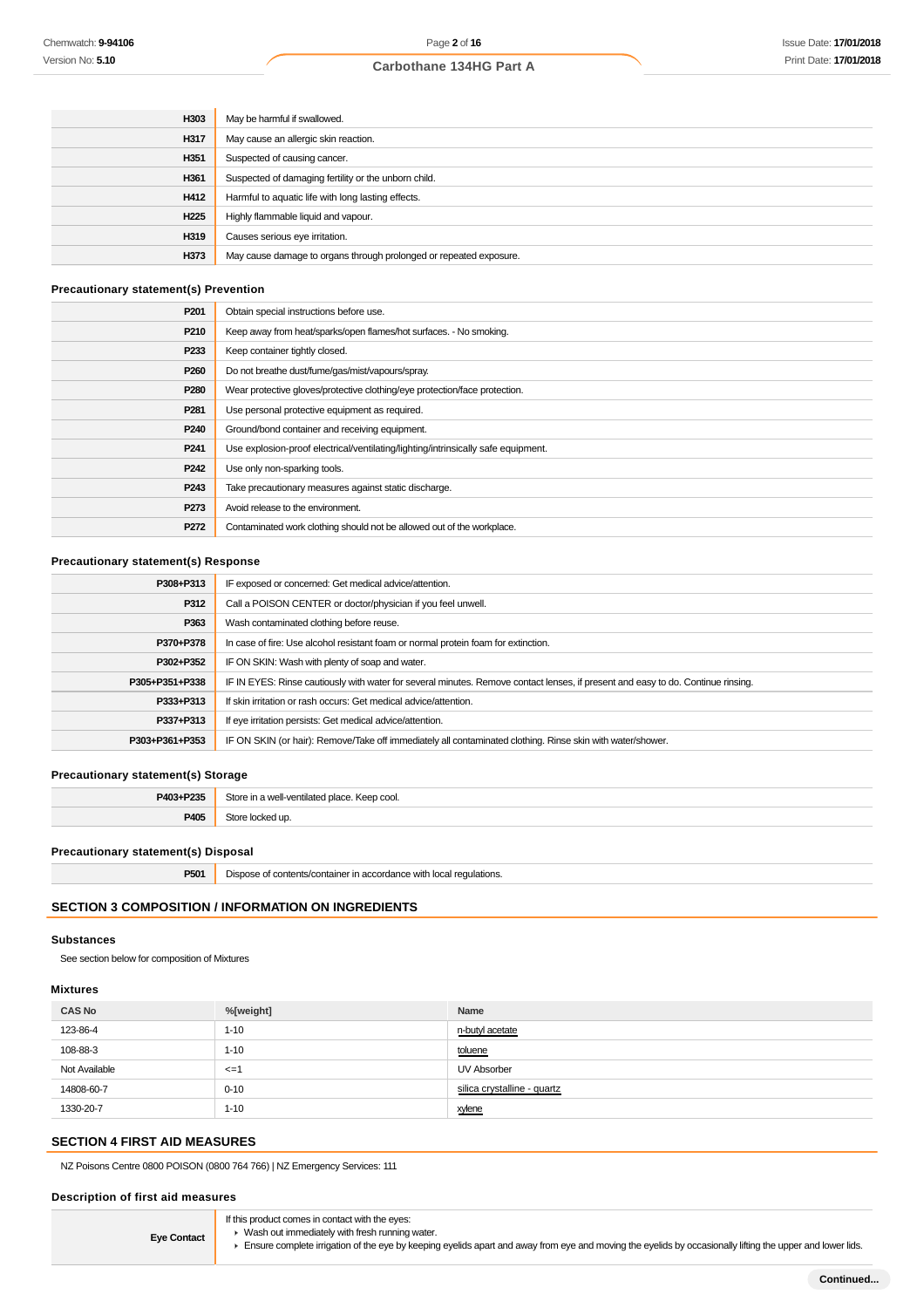| H303             | May be harmful if swallowed.                                       |
|------------------|--------------------------------------------------------------------|
| H317             | May cause an allergic skin reaction.                               |
| H351             | Suspected of causing cancer.                                       |
| H361             | Suspected of damaging fertility or the unborn child.               |
| H412             | Harmful to aquatic life with long lasting effects.                 |
| H <sub>225</sub> | Highly flammable liquid and vapour.                                |
| H319             | Causes serious eye irritation.                                     |
| H373             | May cause damage to organs through prolonged or repeated exposure. |

## **Precautionary statement(s) Prevention**

| P <sub>201</sub> | Obtain special instructions before use.                                           |
|------------------|-----------------------------------------------------------------------------------|
| P210             | Keep away from heat/sparks/open flames/hot surfaces. - No smoking.                |
| P233             | Keep container tightly closed.                                                    |
| P <sub>260</sub> | Do not breathe dust/fume/gas/mist/vapours/spray.                                  |
| P280             | Wear protective gloves/protective clothing/eye protection/face protection.        |
| P <sub>281</sub> | Use personal protective equipment as required.                                    |
| P <sub>240</sub> | Ground/bond container and receiving equipment.                                    |
| P <sub>241</sub> | Use explosion-proof electrical/ventilating/lighting/intrinsically safe equipment. |
| P <sub>242</sub> | Use only non-sparking tools.                                                      |
| P <sub>243</sub> | Take precautionary measures against static discharge.                             |
| P273             | Avoid release to the environment.                                                 |
| P272             | Contaminated work clothing should not be allowed out of the workplace.            |

## **Precautionary statement(s) Response**

| P308+P313      | IF exposed or concerned: Get medical advice/attention.                                                                           |
|----------------|----------------------------------------------------------------------------------------------------------------------------------|
| P312           | Call a POISON CENTER or doctor/physician if you feel unwell.                                                                     |
| P363           | Wash contaminated clothing before reuse.                                                                                         |
| P370+P378      | In case of fire: Use alcohol resistant foam or normal protein foam for extinction.                                               |
| P302+P352      | IF ON SKIN: Wash with plenty of soap and water.                                                                                  |
| P305+P351+P338 | IF IN EYES: Rinse cautiously with water for several minutes. Remove contact lenses, if present and easy to do. Continue rinsing. |
| P333+P313      | If skin irritation or rash occurs: Get medical advice/attention.                                                                 |
| P337+P313      | If eye irritation persists: Get medical advice/attention.                                                                        |
| P303+P361+P353 | IF ON SKIN (or hair): Remove/Take off immediately all contaminated clothing. Rinse skin with water/shower.                       |

#### **Precautionary statement(s) Storage**

| <b>DA03+D235</b> | Store ir<br>in a well-ventilated place. Keep cool.<br>. |
|------------------|---------------------------------------------------------|
| <b>DAN</b>       | $+$                                                     |
| $\sim$           | ed up                                                   |

## **Precautionary statement(s) Disposal**

| <b>DEO4</b><br>local<br>requiations.<br>with<br>contents/container<br>an or<br><b>POUT</b><br>.<br>$\sim$ |
|-----------------------------------------------------------------------------------------------------------|
|-----------------------------------------------------------------------------------------------------------|

## **SECTION 3 COMPOSITION / INFORMATION ON INGREDIENTS**

### **Substances**

See section below for composition of Mixtures

#### **Mixtures**

| <b>CAS No</b> | %[weight]       | Name                        |
|---------------|-----------------|-----------------------------|
| 123-86-4      | $1 - 10$        | n-butyl acetate             |
| 108-88-3      | $1 - 10$        | toluene                     |
| Not Available | $\leq$ = $\leq$ | UV Absorber                 |
| 14808-60-7    | $0 - 10$        | silica crystalline - quartz |
| 1330-20-7     | $1 - 10$        | xylene                      |

## **SECTION 4 FIRST AID MEASURES**

NZ Poisons Centre 0800 POISON (0800 764 766) | NZ Emergency Services: 111

#### **Description of first aid measures**

**Eye Contact**

- If this product comes in contact with the eyes: Wash out immediately with fresh running water.
- Ensure complete irrigation of the eye by keeping eyelids apart and away from eye and moving the eyelids by occasionally lifting the upper and lower lids.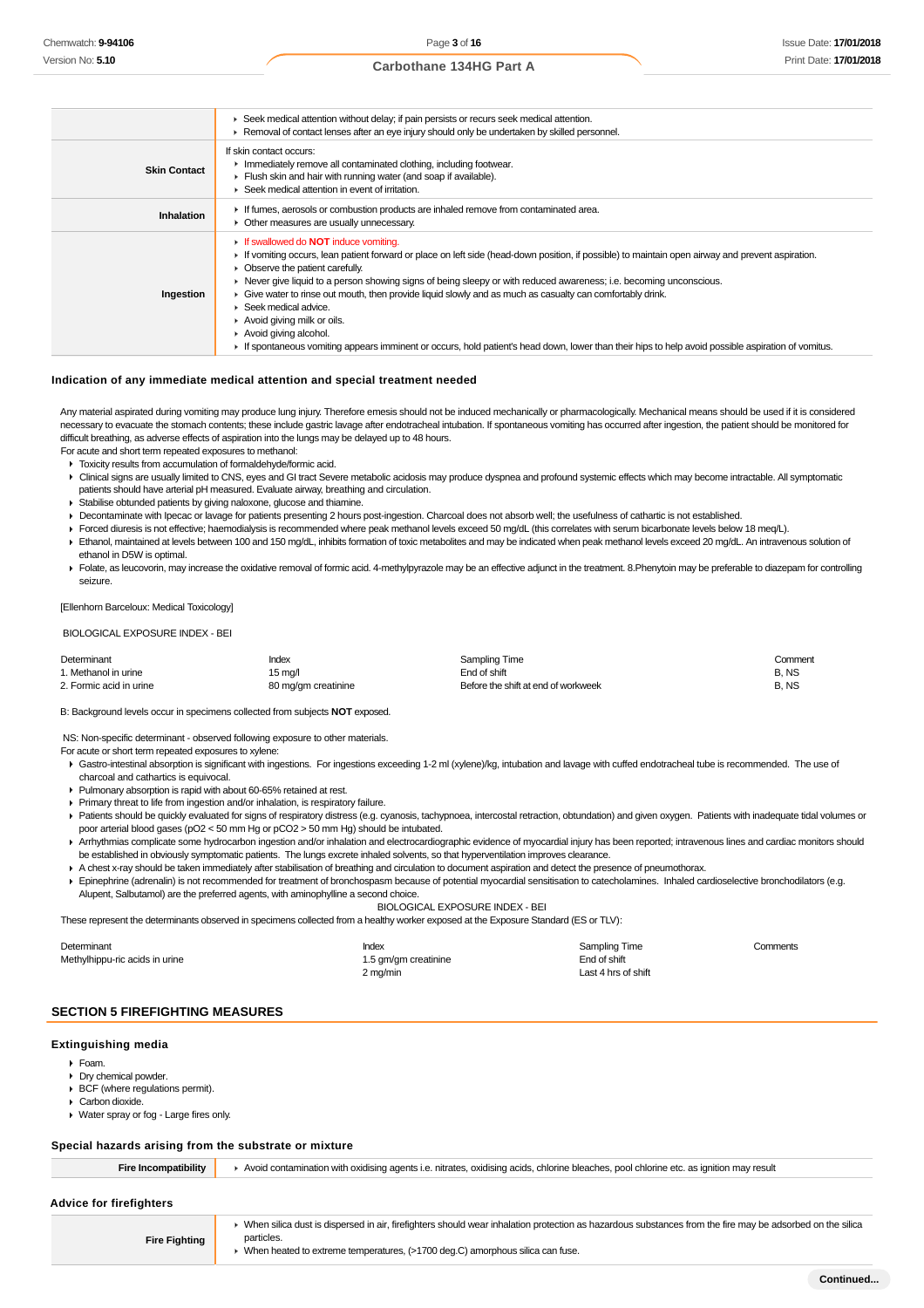|                     | ► Seek medical attention without delay; if pain persists or recurs seek medical attention.                                                                                                                                                                                                                                                                                                                                                                                                                                                                                                                                                                                                                                  |
|---------------------|-----------------------------------------------------------------------------------------------------------------------------------------------------------------------------------------------------------------------------------------------------------------------------------------------------------------------------------------------------------------------------------------------------------------------------------------------------------------------------------------------------------------------------------------------------------------------------------------------------------------------------------------------------------------------------------------------------------------------------|
|                     | ► Removal of contact lenses after an eye injury should only be undertaken by skilled personnel.                                                                                                                                                                                                                                                                                                                                                                                                                                                                                                                                                                                                                             |
| <b>Skin Contact</b> | If skin contact occurs:<br>In mediately remove all contaminated clothing, including footwear.<br>Flush skin and hair with running water (and soap if available).<br>▶ Seek medical attention in event of irritation.                                                                                                                                                                                                                                                                                                                                                                                                                                                                                                        |
| <b>Inhalation</b>   | If fumes, aerosols or combustion products are inhaled remove from contaminated area.<br>• Other measures are usually unnecessary.                                                                                                                                                                                                                                                                                                                                                                                                                                                                                                                                                                                           |
| Ingestion           | If swallowed do <b>NOT</b> induce vomiting.<br>If vomiting occurs, lean patient forward or place on left side (head-down position, if possible) to maintain open airway and prevent aspiration.<br>• Observe the patient carefully.<br>▶ Never give liquid to a person showing signs of being sleepy or with reduced awareness; i.e. becoming unconscious.<br>Give water to rinse out mouth, then provide liquid slowly and as much as casualty can comfortably drink.<br>$\triangleright$ Seek medical advice.<br>Avoid giving milk or oils.<br>Avoid giving alcohol.<br>If spontaneous vomiting appears imminent or occurs, hold patient's head down, lower than their hips to help avoid possible aspiration of vomitus. |

#### **Indication of any immediate medical attention and special treatment needed**

Any material aspirated during vomiting may produce lung injury. Therefore emesis should not be induced mechanically or pharmacologically. Mechanical means should be used if it is considered necessary to evacuate the stomach contents; these include gastric lavage after endotracheal intubation. If spontaneous vomiting has occurred after ingestion, the patient should be monitored for difficult breathing, as adverse effects of aspiration into the lungs may be delayed up to 48 hours.

For acute and short term repeated exposures to methanol:

- Toxicity results from accumulation of formaldehyde/formic acid.
- Clinical signs are usually limited to CNS, eyes and GI tract Severe metabolic acidosis may produce dyspnea and profound systemic effects which may become intractable. All symptomatic patients should have arterial pH measured. Evaluate airway, breathing and circulation.
- Stabilise obtunded patients by giving naloxone, glucose and thiamine.
- Decontaminate with Ipecac or lavage for patients presenting 2 hours post-ingestion. Charcoal does not absorb well; the usefulness of cathartic is not established.
- Forced diuresis is not effective; haemodialysis is recommended where peak methanol levels exceed 50 mg/dL (this correlates with serum bicarbonate levels below 18 meq/L).
- Ethanol, maintained at levels between 100 and 150 mg/dL, inhibits formation of toxic metabolites and may be indicated when peak methanol levels exceed 20 mg/dL. An intravenous solution of ethanol in D5W is optimal.
- Folate, as leucovorin, may increase the oxidative removal of formic acid. 4-methylpyrazole may be an effective adjunct in the treatment. 8.Phenytoin may be preferable to diazepam for controlling seizure.

[Ellenhorn Barceloux: Medical Toxicology]

#### BIOLOGICAL EXPOSURE INDEX - BEI

| Determinant             | Index               | Sampling Time                       | Comment |
|-------------------------|---------------------|-------------------------------------|---------|
| 1. Methanol in urine    | 15 ma/l             | End of shift                        | B.NS    |
| 2. Formic acid in urine | 80 mg/gm creatinine | Before the shift at end of workweek | B.NS    |

B: Background levels occur in specimens collected from subjects **NOT** exposed.

NS: Non-specific determinant - observed following exposure to other materials.

For acute or short term repeated exposures to xylene:

- Gastro-intestinal absorption is significant with ingestions. For ingestions exceeding 1-2 ml (xylene)/kg, intubation and lavage with cuffed endotracheal tube is recommended. The use of charcoal and cathartics is equivocal.
- Pulmonary absorption is rapid with about 60-65% retained at rest.
- Primary threat to life from ingestion and/or inhalation, is respiratory failure.
- Patients should be quickly evaluated for signs of respiratory distress (e.g. cyanosis, tachypnoea, intercostal retraction, obtundation) and given oxygen. Patients with inadequate tidal volumes or poor arterial blood gases (pO2 < 50 mm Hg or pCO2 > 50 mm Hg) should be intubated.
- Arrhythmias complicate some hydrocarbon ingestion and/or inhalation and electrocardiographic evidence of myocardial injury has been reported; intravenous lines and cardiac monitors should be established in obviously symptomatic patients. The lungs excrete inhaled solvents, so that hyperventilation improves clearance.
- A chest x-ray should be taken immediately after stabilisation of breathing and circulation to document aspiration and detect the presence of pneumothorax. Epinephrine (adrenalin) is not recommended for treatment of bronchospasm because of potential myocardial sensitisation to catecholamines. Inhaled cardioselective bronchodilators (e.g. Alupent, Salbutamol) are the preferred agents, with aminophylline a second choice.

BIOLOGICAL EXPOSURE INDEX - BEI

These represent the determinants observed in specimens collected from a healthy worker exposed at the Exposure Standard (ES or TLV):

| Determinant                    | Index                | Sampling Time       | Comments |
|--------------------------------|----------------------|---------------------|----------|
| Methylhippu-ric acids in urine | 1.5 gm/gm creatinine | End of shift        |          |
|                                | 2 mg/min             | Last 4 hrs of shift |          |

#### **SECTION 5 FIREFIGHTING MEASURES**

#### **Extinguishing media**

- Foam.
- Dry chemical powder.
- **BCF** (where regulations permit).
- Carbon dioxide.
- Water spray or fog Large fires only.

#### **Special hazards arising from the substrate or mixture**

Fire Incompatibility **A** Avoid contamination with oxidising agents i.e. nitrates, oxidising acids, chlorine bleaches, pool chlorine etc. as ignition may result

#### **Advice for firefighters**

**Fire Fighting**

▶ When silica dust is dispersed in air, firefighters should wear inhalation protection as hazardous substances from the fire may be adsorbed on the silica particles.

When heated to extreme temperatures, (>1700 deg.C) amorphous silica can fuse.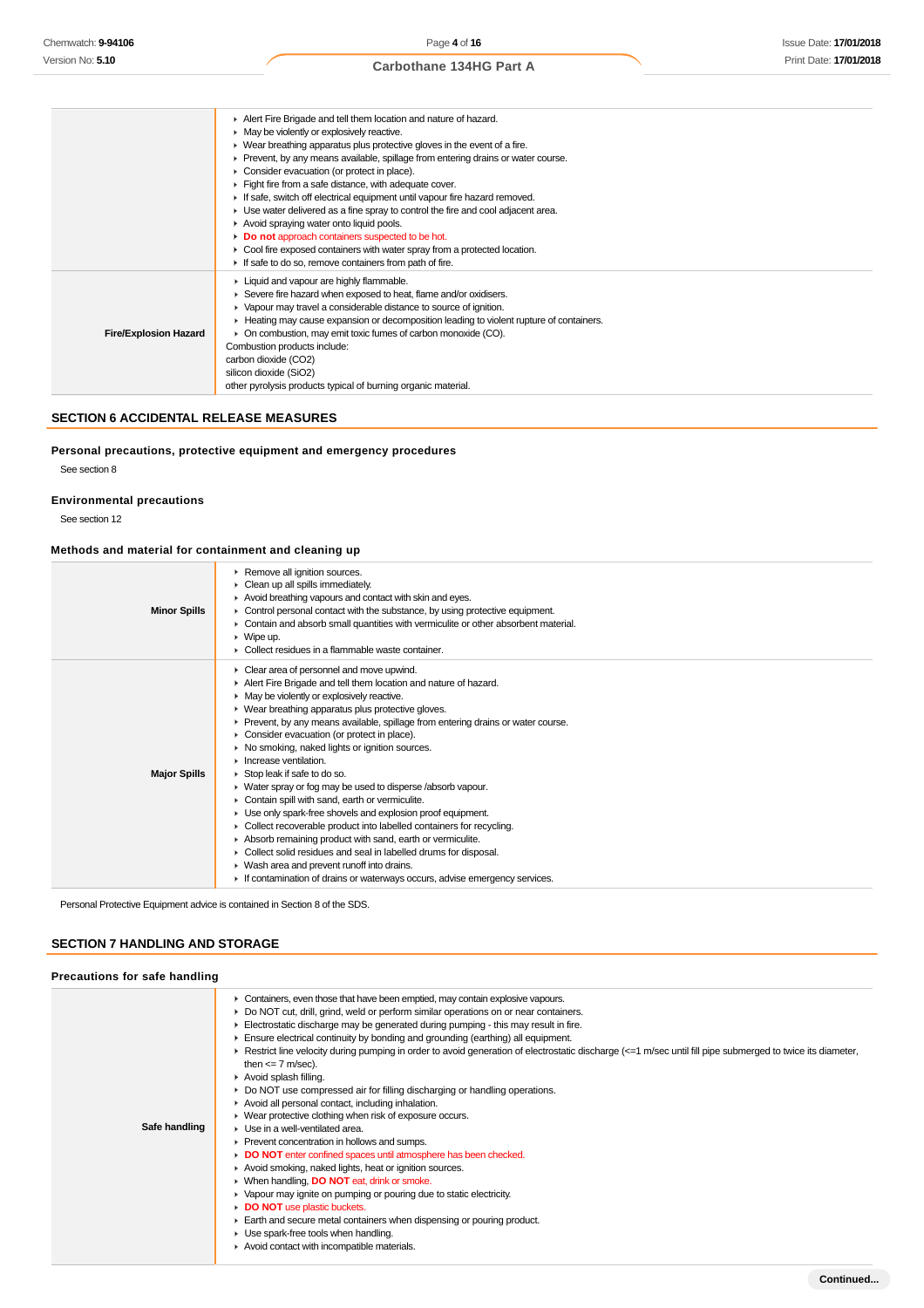|                              | Alert Fire Brigade and tell them location and nature of hazard.                          |
|------------------------------|------------------------------------------------------------------------------------------|
|                              | • May be violently or explosively reactive.                                              |
|                              | • Wear breathing apparatus plus protective gloves in the event of a fire.                |
|                              | ► Prevent, by any means available, spillage from entering drains or water course.        |
|                              | • Consider evacuation (or protect in place).                                             |
|                              | Fight fire from a safe distance, with adequate cover.                                    |
|                              | If safe, switch off electrical equipment until vapour fire hazard removed.               |
|                              | • Use water delivered as a fine spray to control the fire and cool adjacent area.        |
|                              | Avoid spraying water onto liquid pools.                                                  |
|                              | <b>Do not</b> approach containers suspected to be hot.                                   |
|                              | • Cool fire exposed containers with water spray from a protected location.               |
|                              | If safe to do so, remove containers from path of fire.                                   |
|                              | • Liquid and vapour are highly flammable.                                                |
|                              | ► Severe fire hazard when exposed to heat, flame and/or oxidisers.                       |
|                              | • Vapour may travel a considerable distance to source of ignition.                       |
|                              | ► Heating may cause expansion or decomposition leading to violent rupture of containers. |
| <b>Fire/Explosion Hazard</b> | • On combustion, may emit toxic fumes of carbon monoxide (CO).                           |
|                              | Combustion products include:                                                             |
|                              | carbon dioxide (CO2)                                                                     |
|                              | silicon dioxide (SiO2)                                                                   |
|                              | other pyrolysis products typical of burning organic material.                            |

## **SECTION 6 ACCIDENTAL RELEASE MEASURES**

## **Personal precautions, protective equipment and emergency procedures**

See section 8

## **Environmental precautions**

See section 12

#### **Methods and material for containment and cleaning up**

| <b>Minor Spills</b> | Remove all ignition sources.<br>• Clean up all spills immediately.<br>Avoid breathing vapours and contact with skin and eyes.<br>• Control personal contact with the substance, by using protective equipment.<br>• Contain and absorb small quantities with vermiculite or other absorbent material.<br>$\triangleright$ Wipe up.<br>▶ Collect residues in a flammable waste container.                                                                                                                                                                                                                                                                                                                                                                                                                                                                                                                                                                                                                           |
|---------------------|--------------------------------------------------------------------------------------------------------------------------------------------------------------------------------------------------------------------------------------------------------------------------------------------------------------------------------------------------------------------------------------------------------------------------------------------------------------------------------------------------------------------------------------------------------------------------------------------------------------------------------------------------------------------------------------------------------------------------------------------------------------------------------------------------------------------------------------------------------------------------------------------------------------------------------------------------------------------------------------------------------------------|
| <b>Major Spills</b> | • Clear area of personnel and move upwind.<br>Alert Fire Brigade and tell them location and nature of hazard.<br>• May be violently or explosively reactive.<br>• Wear breathing apparatus plus protective gloves.<br>► Prevent, by any means available, spillage from entering drains or water course.<br>• Consider evacuation (or protect in place).<br>▶ No smoking, naked lights or ignition sources.<br>$\blacktriangleright$ Increase ventilation.<br>Stop leak if safe to do so.<br>• Water spray or fog may be used to disperse /absorb vapour.<br>Contain spill with sand, earth or vermiculite.<br>• Use only spark-free shovels and explosion proof equipment.<br>• Collect recoverable product into labelled containers for recycling.<br>Absorb remaining product with sand, earth or vermiculite.<br>• Collect solid residues and seal in labelled drums for disposal.<br>▶ Wash area and prevent runoff into drains.<br>If contamination of drains or waterways occurs, advise emergency services. |

Personal Protective Equipment advice is contained in Section 8 of the SDS.

## **SECTION 7 HANDLING AND STORAGE**

| Precautions for safe handling |                                                                                                                                                                                                                                                                                                                                                                                                                                                                                                                                                                                                                                                                                                                                                                                                                                                                                                                                                                                                                                                                                                                                                                                                                                                                                                                                                  |
|-------------------------------|--------------------------------------------------------------------------------------------------------------------------------------------------------------------------------------------------------------------------------------------------------------------------------------------------------------------------------------------------------------------------------------------------------------------------------------------------------------------------------------------------------------------------------------------------------------------------------------------------------------------------------------------------------------------------------------------------------------------------------------------------------------------------------------------------------------------------------------------------------------------------------------------------------------------------------------------------------------------------------------------------------------------------------------------------------------------------------------------------------------------------------------------------------------------------------------------------------------------------------------------------------------------------------------------------------------------------------------------------|
| Safe handling                 | • Containers, even those that have been emptied, may contain explosive vapours.<br>► Do NOT cut, drill, grind, weld or perform similar operations on or near containers.<br>Electrostatic discharge may be generated during pumping - this may result in fire.<br>Ensure electrical continuity by bonding and grounding (earthing) all equipment.<br>▶ Restrict line velocity during pumping in order to avoid generation of electrostatic discharge (<=1 m/sec until fill pipe submerged to twice its diameter,<br>then $\leq$ 7 m/sec).<br>$\triangleright$ Avoid splash filling.<br>• Do NOT use compressed air for filling discharging or handling operations.<br>Avoid all personal contact, including inhalation.<br>• Wear protective clothing when risk of exposure occurs.<br>$\blacktriangleright$ Use in a well-ventilated area.<br>▶ Prevent concentration in hollows and sumps.<br>DO NOT enter confined spaces until atmosphere has been checked.<br>Avoid smoking, naked lights, heat or ignition sources.<br>▶ When handling, DO NOT eat, drink or smoke.<br>• Vapour may ignite on pumping or pouring due to static electricity.<br>DO NOT use plastic buckets.<br>Earth and secure metal containers when dispensing or pouring product.<br>• Use spark-free tools when handling.<br>Avoid contact with incompatible materials. |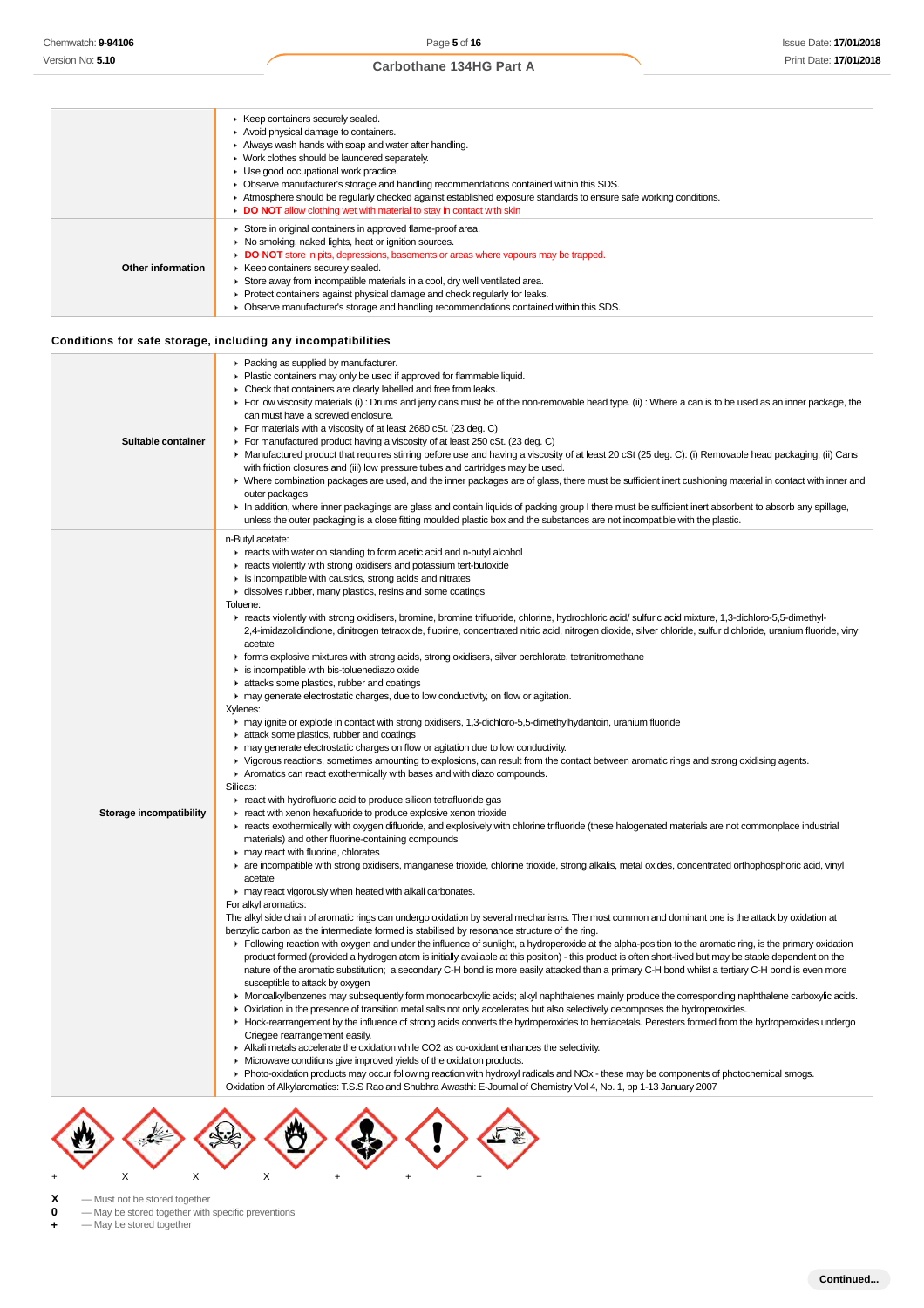|                   | ▶ Keep containers securely sealed.                                                                                 |
|-------------------|--------------------------------------------------------------------------------------------------------------------|
|                   | Avoid physical damage to containers.                                                                               |
|                   | Always wash hands with soap and water after handling.                                                              |
|                   | • Work clothes should be laundered separately.                                                                     |
|                   | • Use good occupational work practice.                                                                             |
|                   |                                                                                                                    |
|                   | • Observe manufacturer's storage and handling recommendations contained within this SDS.                           |
|                   | ► Atmosphere should be regularly checked against established exposure standards to ensure safe working conditions. |
|                   | DO NOT allow clothing wet with material to stay in contact with skin                                               |
|                   | Store in original containers in approved flame-proof area.                                                         |
|                   | • No smoking, naked lights, heat or ignition sources.                                                              |
|                   | • DO NOT store in pits, depressions, basements or areas where vapours may be trapped.                              |
| Other information | ▶ Keep containers securely sealed.                                                                                 |
|                   | Store away from incompatible materials in a cool, dry well ventilated area.                                        |
|                   | ▶ Protect containers against physical damage and check regularly for leaks.                                        |
|                   | • Observe manufacturer's storage and handling recommendations contained within this SDS.                           |
|                   |                                                                                                                    |
|                   |                                                                                                                    |
|                   | Conditions for safe storage, including any incompatibilities                                                       |
|                   | $\blacktriangleright$ Packing as supplied by manufacturer.                                                         |

| Suitable container      | r Tacking as supplied by Thanulacture.<br>• Plastic containers may only be used if approved for flammable liquid.<br>• Check that containers are clearly labelled and free from leaks.<br>For low viscosity materials (i): Drums and jerry cans must be of the non-removable head type. (ii): Where a can is to be used as an inner package, the<br>can must have a screwed enclosure.<br>For materials with a viscosity of at least 2680 cSt. (23 deg. C)<br>For manufactured product having a viscosity of at least 250 cSt. (23 deg. C)<br>► Manufactured product that requires stirring before use and having a viscosity of at least 20 cSt (25 deg. C): (i) Removable head packaging; (ii) Cans<br>with friction closures and (iii) low pressure tubes and cartridges may be used.<br>▶ Where combination packages are used, and the inner packages are of glass, there must be sufficient inert cushioning material in contact with inner and<br>outer packages<br>In addition, where inner packagings are glass and contain liquids of packing group I there must be sufficient inert absorbent to absorb any spillage,<br>unless the outer packaging is a close fitting moulded plastic box and the substances are not incompatible with the plastic.                                                                                                                                                                                                                                                                                                                                                                                                                                                                                                                                                                                                                                                                                                                                                                                                                                                                                                                                                                                                                                                                                                                                                                                                                                                                                                                                                                                                                                                                                                                                                                                                                                                                                                                                                                                                                                                                                                                                                                                                                                                                                                                                                                                                                                                                                                                                                                                                                                                                                                                                        |
|-------------------------|-------------------------------------------------------------------------------------------------------------------------------------------------------------------------------------------------------------------------------------------------------------------------------------------------------------------------------------------------------------------------------------------------------------------------------------------------------------------------------------------------------------------------------------------------------------------------------------------------------------------------------------------------------------------------------------------------------------------------------------------------------------------------------------------------------------------------------------------------------------------------------------------------------------------------------------------------------------------------------------------------------------------------------------------------------------------------------------------------------------------------------------------------------------------------------------------------------------------------------------------------------------------------------------------------------------------------------------------------------------------------------------------------------------------------------------------------------------------------------------------------------------------------------------------------------------------------------------------------------------------------------------------------------------------------------------------------------------------------------------------------------------------------------------------------------------------------------------------------------------------------------------------------------------------------------------------------------------------------------------------------------------------------------------------------------------------------------------------------------------------------------------------------------------------------------------------------------------------------------------------------------------------------------------------------------------------------------------------------------------------------------------------------------------------------------------------------------------------------------------------------------------------------------------------------------------------------------------------------------------------------------------------------------------------------------------------------------------------------------------------------------------------------------------------------------------------------------------------------------------------------------------------------------------------------------------------------------------------------------------------------------------------------------------------------------------------------------------------------------------------------------------------------------------------------------------------------------------------------------------------------------------------------------------------------------------------------------------------------------------------------------------------------------------------------------------------------------------------------------------------------------------------------------------------------------------------------------------------------------------------------------------------------------------------------------------------------------------------------------------------------------------------------------------------------------|
| Storage incompatibility | n-Butyl acetate:<br>reacts with water on standing to form acetic acid and n-butyl alcohol<br>reacts violently with strong oxidisers and potassium tert-butoxide<br>is incompatible with caustics, strong acids and nitrates<br>dissolves rubber, many plastics, resins and some coatings<br>Toluene:<br>F reacts violently with strong oxidisers, bromine, bromine trifluoride, chlorine, hydrochloric acid/ sulfuric acid mixture, 1,3-dichloro-5,5-dimethyl-<br>2,4-imidazolidindione, dinitrogen tetraoxide, fluorine, concentrated nitric acid, nitrogen dioxide, silver chloride, sulfur dichloride, uranium fluoride, vinyl<br>acetate<br>F forms explosive mixtures with strong acids, strong oxidisers, silver perchlorate, tetranitromethane<br>is incompatible with bis-toluenediazo oxide<br>attacks some plastics, rubber and coatings<br>may generate electrostatic charges, due to low conductivity, on flow or agitation.<br>Xylenes:<br>may ignite or explode in contact with strong oxidisers, 1,3-dichloro-5,5-dimethylhydantoin, uranium fluoride<br>in attack some plastics, rubber and coatings<br>• may generate electrostatic charges on flow or agitation due to low conductivity.<br>► Vigorous reactions, sometimes amounting to explosions, can result from the contact between aromatic rings and strong oxidising agents.<br>Aromatics can react exothermically with bases and with diazo compounds.<br>Silicas:<br>react with hydrofluoric acid to produce silicon tetrafluoride gas<br>react with xenon hexafluoride to produce explosive xenon trioxide<br>F reacts exothermically with oxygen difluoride, and explosively with chlorine trifluoride (these halogenated materials are not commonplace industrial<br>materials) and other fluorine-containing compounds<br>may react with fluorine, chlorates<br>r are incompatible with strong oxidisers, manganese trioxide, chlorine trioxide, strong alkalis, metal oxides, concentrated orthophosphoric acid, vinyl<br>acetate<br>may react vigorously when heated with alkali carbonates.<br>For alkyl aromatics:<br>The alkyl side chain of aromatic rings can undergo oxidation by several mechanisms. The most common and dominant one is the attack by oxidation at<br>benzylic carbon as the intermediate formed is stabilised by resonance structure of the ring.<br>Following reaction with oxygen and under the influence of sunlight, a hydroperoxide at the alpha-position to the aromatic ring, is the primary oxidation<br>product formed (provided a hydrogen atom is initially available at this position) - this product is often short-lived but may be stable dependent on the<br>nature of the aromatic substitution; a secondary C-H bond is more easily attacked than a primary C-H bond whilst a tertiary C-H bond is even more<br>susceptible to attack by oxygen<br>• Monoalkylbenzenes may subsequently form monocarboxylic acids; alkyl naphthalenes mainly produce the corresponding naphthalene carboxylic acids.<br>• Oxidation in the presence of transition metal salts not only accelerates but also selectively decomposes the hydroperoxides.<br>► Hock-rearrangement by the influence of strong acids converts the hydroperoxides to hemiacetals. Peresters formed from the hydroperoxides undergo<br>Criegee rearrangement easily.<br>Alkali metals accelerate the oxidation while CO2 as co-oxidant enhances the selectivity.<br>• Microwave conditions give improved yields of the oxidation products.<br>• Photo-oxidation products may occur following reaction with hydroxyl radicals and NOx - these may be components of photochemical smogs.<br>Oxidation of Alkylaromatics: T.S.S Rao and Shubhra Awasthi: E-Journal of Chemistry Vol 4, No. 1, pp 1-13 January 2007 |



- **X** Must not be stored together<br> **0** May be stored together with<br> **+** May be stored together **0** — May be stored together with specific preventions
- **+** May be stored together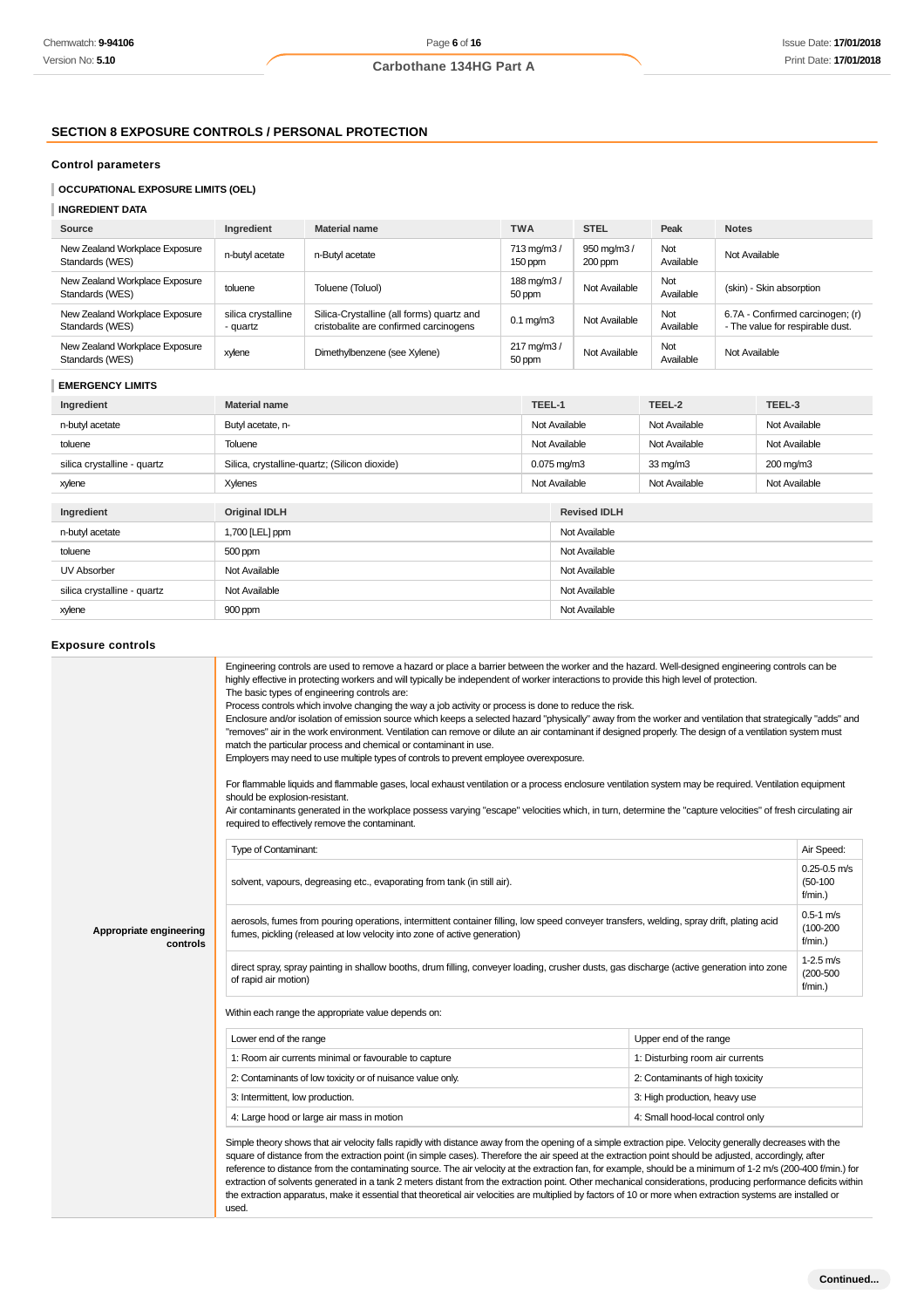## **SECTION 8 EXPOSURE CONTROLS / PERSONAL PROTECTION**

## **Control parameters**

## **OCCUPATIONAL EXPOSURE LIMITS (OEL)**

#### **INGREDIENT DATA**

| Source                                            | Ingredient                     | <b>Material name</b>                                                                | <b>TWA</b>                         | <b>STEL</b>           | Peak             | <b>Notes</b>                                                         |
|---------------------------------------------------|--------------------------------|-------------------------------------------------------------------------------------|------------------------------------|-----------------------|------------------|----------------------------------------------------------------------|
| New Zealand Workplace Exposure<br>Standards (WES) | n-butyl acetate                | n-Butyl acetate                                                                     | 713 mg/m3/<br>150 ppm              | 950 mg/m3/<br>200 ppm | Not<br>Available | Not Available                                                        |
| New Zealand Workplace Exposure<br>Standards (WES) | toluene                        | Toluene (Toluol)                                                                    | 188 mg/m3/<br>50 ppm               | Not Available         | Not<br>Available | (skin) - Skin absorption                                             |
| New Zealand Workplace Exposure<br>Standards (WES) | silica crystalline<br>- quartz | Silica-Crystalline (all forms) quartz and<br>cristobalite are confirmed carcinogens | $0.1 \text{ mg/m}$ 3               | Not Available         | Not<br>Available | 6.7A - Confirmed carcinogen; (r)<br>- The value for respirable dust. |
| New Zealand Workplace Exposure<br>Standards (WES) | xylene                         | Dimethylbenzene (see Xylene)                                                        | $217 \,\mathrm{mq/m3}$ /<br>50 ppm | Not Available         | Not<br>Available | Not Available                                                        |

## **EMERGENCY LIMITS**

| Ingredient                  | <b>Material name</b>                          | TEEL-1 |                          | TEEL-2            | TEEL-3        |
|-----------------------------|-----------------------------------------------|--------|--------------------------|-------------------|---------------|
| n-butyl acetate             | Butyl acetate, n-                             |        | Not Available            | Not Available     | Not Available |
| toluene                     | Toluene                                       |        | Not Available            | Not Available     | Not Available |
| silica crystalline - quartz | Silica, crystalline-quartz; (Silicon dioxide) |        | $0.075 \,\mathrm{mg/m3}$ | $33 \text{ mg/m}$ | 200 mg/m3     |
| xylene                      | Xylenes                                       |        | Not Available            | Not Available     | Not Available |
|                             |                                               |        |                          |                   |               |
| Ingredient                  | <b>Original IDLH</b>                          |        | <b>Revised IDLH</b>      |                   |               |
| n-butyl acetate             | 1,700 [LEL] ppm                               |        | Not Available            |                   |               |
| toluene                     | 500 ppm                                       |        | Not Available            |                   |               |
| UV Absorber                 | Not Available<br>Not Available                |        |                          |                   |               |
| silica crystalline - quartz | Not Available                                 |        | Not Available            |                   |               |
| xylene                      | 900 ppm                                       |        | Not Available            |                   |               |

## **Exposure controls**

|                                     | Engineering controls are used to remove a hazard or place a barrier between the worker and the hazard. Well-designed engineering controls can be<br>highly effective in protecting workers and will typically be independent of worker interactions to provide this high level of protection.<br>The basic types of engineering controls are:<br>Process controls which involve changing the way a job activity or process is done to reduce the risk.<br>Enclosure and/or isolation of emission source which keeps a selected hazard "physically" away from the worker and ventilation that strategically "adds" and<br>"removes" air in the work environment. Ventilation can remove or dilute an air contaminant if designed properly. The design of a ventilation system must<br>match the particular process and chemical or contaminant in use.<br>Employers may need to use multiple types of controls to prevent employee overexposure.<br>For flammable liquids and flammable gases, local exhaust ventilation or a process enclosure ventilation system may be required. Ventilation equipment<br>should be explosion-resistant.<br>Air contaminants generated in the workplace possess varying "escape" velocities which, in turn, determine the "capture velocities" of fresh circulating air<br>required to effectively remove the contaminant. |                                  |            |  |  |  |
|-------------------------------------|--------------------------------------------------------------------------------------------------------------------------------------------------------------------------------------------------------------------------------------------------------------------------------------------------------------------------------------------------------------------------------------------------------------------------------------------------------------------------------------------------------------------------------------------------------------------------------------------------------------------------------------------------------------------------------------------------------------------------------------------------------------------------------------------------------------------------------------------------------------------------------------------------------------------------------------------------------------------------------------------------------------------------------------------------------------------------------------------------------------------------------------------------------------------------------------------------------------------------------------------------------------------------------------------------------------------------------------------------------------|----------------------------------|------------|--|--|--|
|                                     | Type of Contaminant:                                                                                                                                                                                                                                                                                                                                                                                                                                                                                                                                                                                                                                                                                                                                                                                                                                                                                                                                                                                                                                                                                                                                                                                                                                                                                                                                         |                                  | Air Speed: |  |  |  |
|                                     | solvent, vapours, degreasing etc., evaporating from tank (in still air).                                                                                                                                                                                                                                                                                                                                                                                                                                                                                                                                                                                                                                                                                                                                                                                                                                                                                                                                                                                                                                                                                                                                                                                                                                                                                     |                                  |            |  |  |  |
| Appropriate engineering<br>controls | aerosols, fumes from pouring operations, intermittent container filling, low speed conveyer transfers, welding, spray drift, plating acid<br>fumes, pickling (released at low velocity into zone of active generation)                                                                                                                                                                                                                                                                                                                                                                                                                                                                                                                                                                                                                                                                                                                                                                                                                                                                                                                                                                                                                                                                                                                                       |                                  |            |  |  |  |
|                                     | direct spray, spray painting in shallow booths, drum filling, conveyer loading, crusher dusts, gas discharge (active generation into zone<br>of rapid air motion)                                                                                                                                                                                                                                                                                                                                                                                                                                                                                                                                                                                                                                                                                                                                                                                                                                                                                                                                                                                                                                                                                                                                                                                            |                                  |            |  |  |  |
|                                     | Within each range the appropriate value depends on:                                                                                                                                                                                                                                                                                                                                                                                                                                                                                                                                                                                                                                                                                                                                                                                                                                                                                                                                                                                                                                                                                                                                                                                                                                                                                                          |                                  |            |  |  |  |
|                                     | Lower end of the range<br>Upper end of the range                                                                                                                                                                                                                                                                                                                                                                                                                                                                                                                                                                                                                                                                                                                                                                                                                                                                                                                                                                                                                                                                                                                                                                                                                                                                                                             |                                  |            |  |  |  |
|                                     | 1: Room air currents minimal or favourable to capture                                                                                                                                                                                                                                                                                                                                                                                                                                                                                                                                                                                                                                                                                                                                                                                                                                                                                                                                                                                                                                                                                                                                                                                                                                                                                                        | 1: Disturbing room air currents  |            |  |  |  |
|                                     | 2: Contaminants of low toxicity or of nuisance value only.                                                                                                                                                                                                                                                                                                                                                                                                                                                                                                                                                                                                                                                                                                                                                                                                                                                                                                                                                                                                                                                                                                                                                                                                                                                                                                   | 2: Contaminants of high toxicity |            |  |  |  |
|                                     | 3: Intermittent, low production.                                                                                                                                                                                                                                                                                                                                                                                                                                                                                                                                                                                                                                                                                                                                                                                                                                                                                                                                                                                                                                                                                                                                                                                                                                                                                                                             | 3: High production, heavy use    |            |  |  |  |
|                                     | 4: Large hood or large air mass in motion                                                                                                                                                                                                                                                                                                                                                                                                                                                                                                                                                                                                                                                                                                                                                                                                                                                                                                                                                                                                                                                                                                                                                                                                                                                                                                                    | 4: Small hood-local control only |            |  |  |  |
|                                     | Simple theory shows that air velocity falls rapidly with distance away from the opening of a simple extraction pipe. Velocity generally decreases with the<br>square of distance from the extraction point (in simple cases). Therefore the air speed at the extraction point should be adjusted, accordingly, after<br>reference to distance from the contaminating source. The air velocity at the extraction fan, for example, should be a minimum of 1-2 m/s (200-400 f/min.) for<br>extraction of solvents generated in a tank 2 meters distant from the extraction point. Other mechanical considerations, producing performance deficits within<br>the extraction apparatus, make it essential that theoretical air velocities are multiplied by factors of 10 or more when extraction systems are installed or<br>used.                                                                                                                                                                                                                                                                                                                                                                                                                                                                                                                              |                                  |            |  |  |  |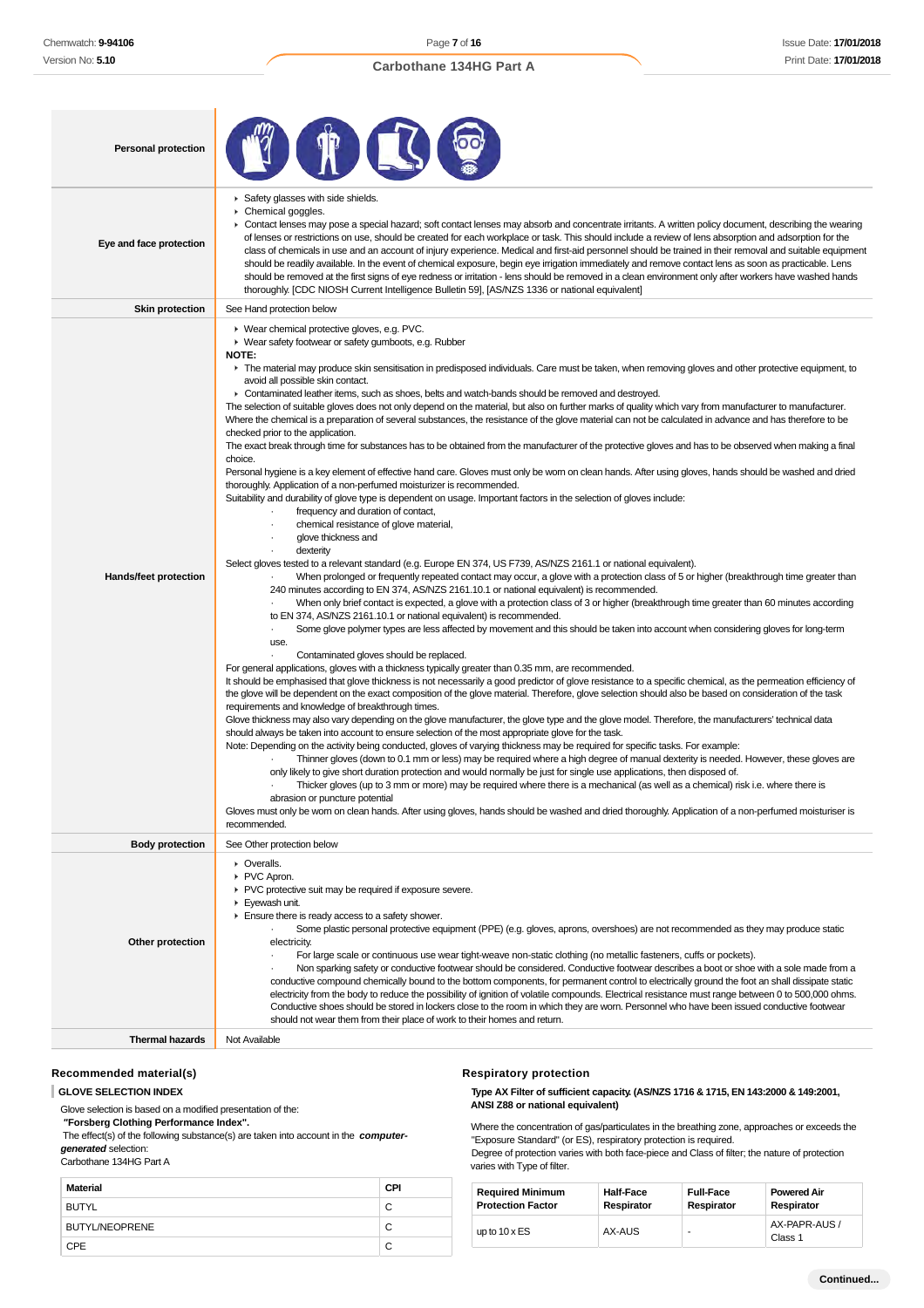| <b>Personal protection</b> |                                                                                                                                                                                                                                                                                                                                                                                                                                                                                                                                                                                                                                                                                                                                                                                                                                                                                                                                                                                                                                                                                                                                                                                                                                                                                                                                                                                                                                                                                                                                                                                                                                                                                                                                                                                                                                                                                                                                                                                                                                                                                                                                                                                                                                                                                                                                                                                                                                                                                                                                                                                                                                                                                                                                                                                                                                                                                                                                                                                                                                                                                                                                                                                                                                                                                                                                                                                                                                                                                                                                                                                                                                                                                                          |
|----------------------------|----------------------------------------------------------------------------------------------------------------------------------------------------------------------------------------------------------------------------------------------------------------------------------------------------------------------------------------------------------------------------------------------------------------------------------------------------------------------------------------------------------------------------------------------------------------------------------------------------------------------------------------------------------------------------------------------------------------------------------------------------------------------------------------------------------------------------------------------------------------------------------------------------------------------------------------------------------------------------------------------------------------------------------------------------------------------------------------------------------------------------------------------------------------------------------------------------------------------------------------------------------------------------------------------------------------------------------------------------------------------------------------------------------------------------------------------------------------------------------------------------------------------------------------------------------------------------------------------------------------------------------------------------------------------------------------------------------------------------------------------------------------------------------------------------------------------------------------------------------------------------------------------------------------------------------------------------------------------------------------------------------------------------------------------------------------------------------------------------------------------------------------------------------------------------------------------------------------------------------------------------------------------------------------------------------------------------------------------------------------------------------------------------------------------------------------------------------------------------------------------------------------------------------------------------------------------------------------------------------------------------------------------------------------------------------------------------------------------------------------------------------------------------------------------------------------------------------------------------------------------------------------------------------------------------------------------------------------------------------------------------------------------------------------------------------------------------------------------------------------------------------------------------------------------------------------------------------------------------------------------------------------------------------------------------------------------------------------------------------------------------------------------------------------------------------------------------------------------------------------------------------------------------------------------------------------------------------------------------------------------------------------------------------------------------------------------------------|
| Eye and face protection    | Safety glasses with side shields.<br>Chemical goggles.<br>• Contact lenses may pose a special hazard; soft contact lenses may absorb and concentrate irritants. A written policy document, describing the wearing<br>of lenses or restrictions on use, should be created for each workplace or task. This should include a review of lens absorption and adsorption for the<br>class of chemicals in use and an account of injury experience. Medical and first-aid personnel should be trained in their removal and suitable equipment<br>should be readily available. In the event of chemical exposure, begin eye irrigation immediately and remove contact lens as soon as practicable. Lens<br>should be removed at the first signs of eye redness or irritation - lens should be removed in a clean environment only after workers have washed hands<br>thoroughly. [CDC NIOSH Current Intelligence Bulletin 59], [AS/NZS 1336 or national equivalent]                                                                                                                                                                                                                                                                                                                                                                                                                                                                                                                                                                                                                                                                                                                                                                                                                                                                                                                                                                                                                                                                                                                                                                                                                                                                                                                                                                                                                                                                                                                                                                                                                                                                                                                                                                                                                                                                                                                                                                                                                                                                                                                                                                                                                                                                                                                                                                                                                                                                                                                                                                                                                                                                                                                                             |
| <b>Skin protection</b>     | See Hand protection below                                                                                                                                                                                                                                                                                                                                                                                                                                                                                                                                                                                                                                                                                                                                                                                                                                                                                                                                                                                                                                                                                                                                                                                                                                                                                                                                                                                                                                                                                                                                                                                                                                                                                                                                                                                                                                                                                                                                                                                                                                                                                                                                                                                                                                                                                                                                                                                                                                                                                                                                                                                                                                                                                                                                                                                                                                                                                                                                                                                                                                                                                                                                                                                                                                                                                                                                                                                                                                                                                                                                                                                                                                                                                |
| Hands/feet protection      | ▶ Wear chemical protective gloves, e.g. PVC.<br>• Wear safety footwear or safety gumboots, e.g. Rubber<br>NOTE:<br>The material may produce skin sensitisation in predisposed individuals. Care must be taken, when removing gloves and other protective equipment, to<br>avoid all possible skin contact.<br>• Contaminated leather items, such as shoes, belts and watch-bands should be removed and destroyed.<br>The selection of suitable gloves does not only depend on the material, but also on further marks of quality which vary from manufacturer to manufacturer.<br>Where the chemical is a preparation of several substances, the resistance of the glove material can not be calculated in advance and has therefore to be<br>checked prior to the application.<br>The exact break through time for substances has to be obtained from the manufacturer of the protective gloves and has to be observed when making a final<br>choice.<br>Personal hygiene is a key element of effective hand care. Gloves must only be worn on clean hands. After using gloves, hands should be washed and dried<br>thoroughly. Application of a non-perfumed moisturizer is recommended.<br>Suitability and durability of glove type is dependent on usage. Important factors in the selection of gloves include:<br>frequency and duration of contact,<br>chemical resistance of glove material,<br>glove thickness and<br>dexterity<br>Select gloves tested to a relevant standard (e.g. Europe EN 374, US F739, AS/NZS 2161.1 or national equivalent).<br>When prolonged or frequently repeated contact may occur, a glove with a protection class of 5 or higher (breakthrough time greater than<br>240 minutes according to EN 374, AS/NZS 2161.10.1 or national equivalent) is recommended.<br>When only brief contact is expected, a glove with a protection class of 3 or higher (breakthrough time greater than 60 minutes according<br>to EN 374, AS/NZS 2161.10.1 or national equivalent) is recommended.<br>Some glove polymer types are less affected by movement and this should be taken into account when considering gloves for long-term<br>use.<br>Contaminated gloves should be replaced.<br>For general applications, gloves with a thickness typically greater than 0.35 mm, are recommended.<br>It should be emphasised that glove thickness is not necessarily a good predictor of glove resistance to a specific chemical, as the permeation efficiency of<br>the glove will be dependent on the exact composition of the glove material. Therefore, glove selection should also be based on consideration of the task<br>requirements and knowledge of breakthrough times.<br>Glove thickness may also vary depending on the glove manufacturer, the glove type and the glove model. Therefore, the manufacturers' technical data<br>should always be taken into account to ensure selection of the most appropriate glove for the task.<br>Note: Depending on the activity being conducted, gloves of varying thickness may be required for specific tasks. For example:<br>Thinner gloves (down to 0.1 mm or less) may be required where a high degree of manual dexterity is needed. However, these gloves are<br>only likely to give short duration protection and would normally be just for single use applications, then disposed of.<br>Thicker gloves (up to 3 mm or more) may be required where there is a mechanical (as well as a chemical) risk i.e. where there is<br>abrasion or puncture potential<br>Gloves must only be worn on clean hands. After using gloves, hands should be washed and dried thoroughly. Application of a non-perfumed moisturiser is |
| <b>Body protection</b>     | recommended.<br>See Other protection below                                                                                                                                                                                                                                                                                                                                                                                                                                                                                                                                                                                                                                                                                                                                                                                                                                                                                                                                                                                                                                                                                                                                                                                                                                                                                                                                                                                                                                                                                                                                                                                                                                                                                                                                                                                                                                                                                                                                                                                                                                                                                                                                                                                                                                                                                                                                                                                                                                                                                                                                                                                                                                                                                                                                                                                                                                                                                                                                                                                                                                                                                                                                                                                                                                                                                                                                                                                                                                                                                                                                                                                                                                                               |
| Other protection           | • Overalls.<br>PVC Apron.<br>PVC protective suit may be required if exposure severe.<br>▶ Eyewash unit.<br>Ensure there is ready access to a safety shower.<br>Some plastic personal protective equipment (PPE) (e.g. gloves, aprons, overshoes) are not recommended as they may produce static<br>electricity.<br>For large scale or continuous use wear tight-weave non-static clothing (no metallic fasteners, cuffs or pockets).<br>Non sparking safety or conductive footwear should be considered. Conductive footwear describes a boot or shoe with a sole made from a<br>conductive compound chemically bound to the bottom components, for permanent control to electrically ground the foot an shall dissipate static<br>electricity from the body to reduce the possibility of ignition of volatile compounds. Electrical resistance must range between 0 to 500,000 ohms.<br>Conductive shoes should be stored in lockers close to the room in which they are worn. Personnel who have been issued conductive footwear<br>should not wear them from their place of work to their homes and return.                                                                                                                                                                                                                                                                                                                                                                                                                                                                                                                                                                                                                                                                                                                                                                                                                                                                                                                                                                                                                                                                                                                                                                                                                                                                                                                                                                                                                                                                                                                                                                                                                                                                                                                                                                                                                                                                                                                                                                                                                                                                                                                                                                                                                                                                                                                                                                                                                                                                                                                                                                                           |
| <b>Thermal hazards</b>     | Not Available                                                                                                                                                                                                                                                                                                                                                                                                                                                                                                                                                                                                                                                                                                                                                                                                                                                                                                                                                                                                                                                                                                                                                                                                                                                                                                                                                                                                                                                                                                                                                                                                                                                                                                                                                                                                                                                                                                                                                                                                                                                                                                                                                                                                                                                                                                                                                                                                                                                                                                                                                                                                                                                                                                                                                                                                                                                                                                                                                                                                                                                                                                                                                                                                                                                                                                                                                                                                                                                                                                                                                                                                                                                                                            |
|                            |                                                                                                                                                                                                                                                                                                                                                                                                                                                                                                                                                                                                                                                                                                                                                                                                                                                                                                                                                                                                                                                                                                                                                                                                                                                                                                                                                                                                                                                                                                                                                                                                                                                                                                                                                                                                                                                                                                                                                                                                                                                                                                                                                                                                                                                                                                                                                                                                                                                                                                                                                                                                                                                                                                                                                                                                                                                                                                                                                                                                                                                                                                                                                                                                                                                                                                                                                                                                                                                                                                                                                                                                                                                                                                          |

## **Recommended material(s)**

**GLOVE SELECTION INDEX**

Glove selection is based on a modified presentation of the:

 **"Forsberg Clothing Performance Index".**

The effect(s) of the following substance(s) are taken into account in the **computer-**

**generated** selection: Carbothane 134HG Part A

| Material              | CPI |
|-----------------------|-----|
| <b>BUTYL</b>          | С   |
| <b>BUTYL/NEOPRENE</b> | С   |
| CPE                   |     |

#### **Respiratory protection**

**Type AX Filter of sufficient capacity. (AS/NZS 1716 & 1715, EN 143:2000 & 149:2001, ANSI Z88 or national equivalent)**

Where the concentration of gas/particulates in the breathing zone, approaches or exceeds the "Exposure Standard" (or ES), respiratory protection is required. Degree of protection varies with both face-piece and Class of filter; the nature of protection varies with Type of filter.

| <b>Required Minimum</b>  | <b>Half-Face</b>  | <b>Full-Face</b> | <b>Powered Air</b>       |
|--------------------------|-------------------|------------------|--------------------------|
| <b>Protection Factor</b> | <b>Respirator</b> | Respirator       | Respirator               |
| up to $10 \times ES$     | AX-AUS            |                  | AX-PAPR-AUS /<br>Class 1 |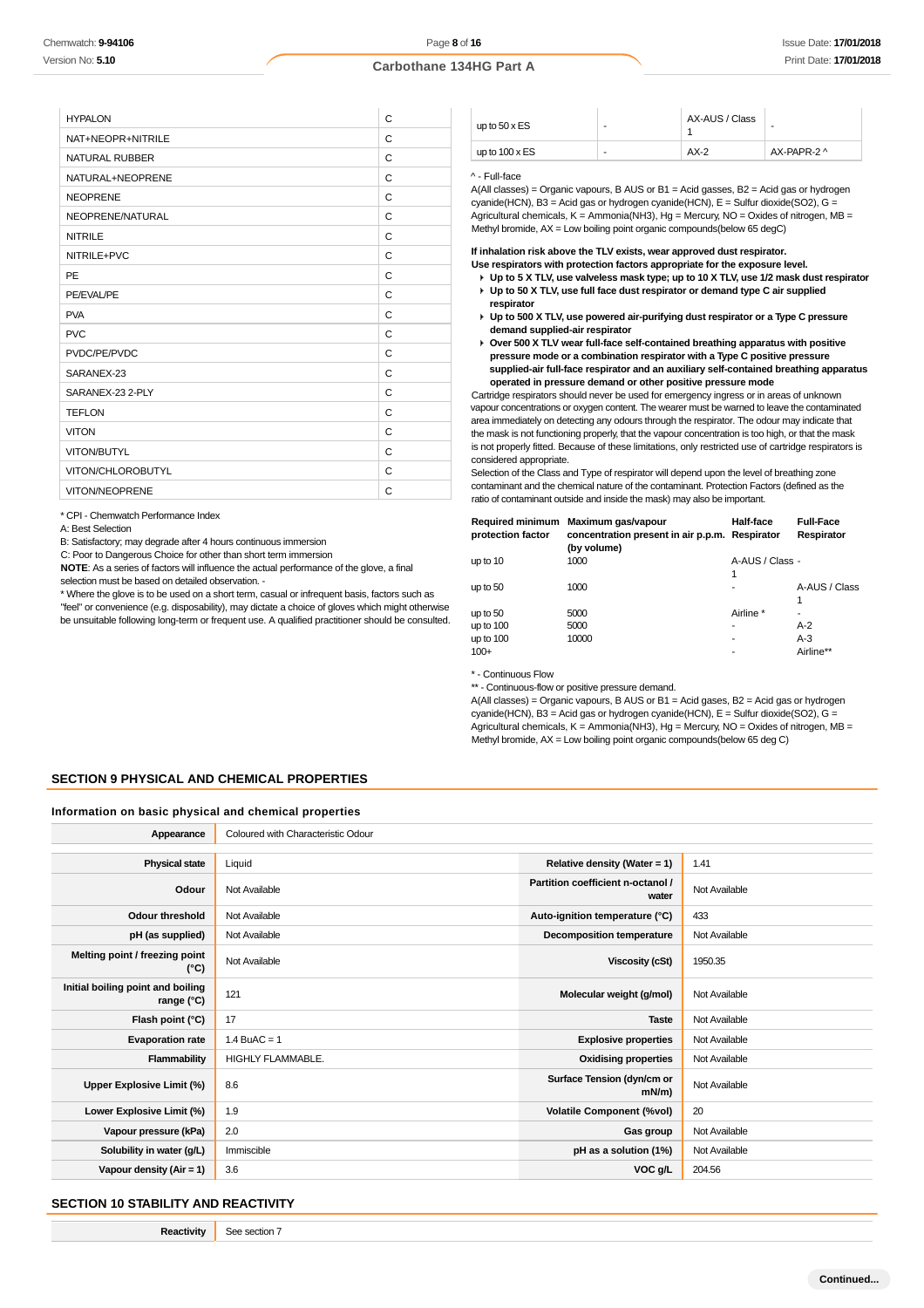| <b>HYPALON</b>        | C |
|-----------------------|---|
| NAT+NEOPR+NITRILE     | C |
| <b>NATURAL RUBBER</b> | C |
| NATURAL+NEOPRENE      | C |
| <b>NEOPRENE</b>       | C |
| NEOPRENE/NATURAL      | C |
| <b>NITRILE</b>        | C |
| NITRILE+PVC           | C |
| PE                    | C |
| PE/EVAL/PE            | C |
| <b>PVA</b>            | C |
| <b>PVC</b>            | C |
| PVDC/PE/PVDC          | C |
| SARANEX-23            | C |
| SARANEX-23 2-PLY      | C |
| <b>TEFLON</b>         | C |
| <b>VITON</b>          | C |
| VITON/BUTYL           | C |
| VITON/CHLOROBUTYL     | C |
| VITON/NEOPRENE        | C |

\* CPI - Chemwatch Performance Index

A: Best Selection

B: Satisfactory; may degrade after 4 hours continuous immersion

C: Poor to Dangerous Choice for other than short term immersion

**NOTE**: As a series of factors will influence the actual performance of the glove, a final selection must be based on detailed observation. -

\* Where the glove is to be used on a short term, casual or infrequent basis, factors such as "feel" or convenience (e.g. disposability), may dictate a choice of gloves which might otherwise

be unsuitable following long-term or frequent use. A qualified practitioner should be consulted.

| up to $50 \times ES$  | - | AX-AUS / Class | ۰           |
|-----------------------|---|----------------|-------------|
| up to $100 \times ES$ | - | $AX-2$         | AX-PAPR-2 ^ |

#### ^ - Full-face

A(All classes) = Organic vapours, B AUS or B1 = Acid gasses, B2 = Acid gas or hydrogen cyanide(HCN), B3 = Acid gas or hydrogen cyanide(HCN), E = Sulfur dioxide(SO2), G = Agricultural chemicals,  $K =$  Ammonia(NH3), Hg = Mercury, NO = Oxides of nitrogen, MB = Methyl bromide, AX = Low boiling point organic compounds(below 65 degC)

**If inhalation risk above the TLV exists, wear approved dust respirator.**

- **Use respirators with protection factors appropriate for the exposure level. Up to 5 X TLV, use valveless mask type; up to 10 X TLV, use 1/2 mask dust respirator**
- **Up to 50 X TLV, use full face dust respirator or demand type C air supplied respirator**
- **Up to 500 X TLV, use powered air-purifying dust respirator or a Type C pressure demand supplied-air respirator**
- **Over 500 X TLV wear full-face self-contained breathing apparatus with positive pressure mode or a combination respirator with a Type C positive pressure supplied-air full-face respirator and an auxiliary self-contained breathing apparatus operated in pressure demand or other positive pressure mode**

Cartridge respirators should never be used for emergency ingress or in areas of unknown vapour concentrations or oxygen content. The wearer must be warned to leave the contaminated area immediately on detecting any odours through the respirator. The odour may indicate that the mask is not functioning properly, that the vapour concentration is too high, or that the mask is not properly fitted. Because of these limitations, only restricted use of cartridge respirators is considered appropriate.

Selection of the Class and Type of respirator will depend upon the level of breathing zone contaminant and the chemical nature of the contaminant. Protection Factors (defined as the ratio of contaminant outside and inside the mask) may also be important.

| <b>Required minimum</b><br>protection factor | Maximum gas/vapour<br>concentration present in air p.p.m. Respirator<br>(by volume) | Half-face            | <b>Full-Face</b><br>Respirator |
|----------------------------------------------|-------------------------------------------------------------------------------------|----------------------|--------------------------------|
| up to 10                                     | 1000                                                                                | A-AUS / Class -<br>1 |                                |
| up to $50$                                   | 1000                                                                                | -                    | A-AUS / Class                  |
| up to $50$                                   | 5000                                                                                | Airline *            |                                |
| up to $100$                                  | 5000                                                                                | ۰                    | $A-2$                          |
| up to $100$                                  | 10000                                                                               |                      | $A-3$                          |
| $100+$                                       |                                                                                     | -                    | Airline**                      |

\* - Continuous Flow

\*\* - Continuous-flow or positive pressure demand.

A(All classes) = Organic vapours, B AUS or B1 = Acid gases, B2 = Acid gas or hydrogen cyanide(HCN), B3 = Acid gas or hydrogen cyanide(HCN), E = Sulfur dioxide(SO2), G = Agricultural chemicals,  $K =$  Ammonia(NH3), Hg = Mercury, NO = Oxides of nitrogen, MB = Methyl bromide, AX = Low boiling point organic compounds(below 65 deg C)

#### **SECTION 9 PHYSICAL AND CHEMICAL PROPERTIES**

## **Information on basic physical and chemical properties**

| Appearance                                      | Coloured with Characteristic Odour |                                            |               |
|-------------------------------------------------|------------------------------------|--------------------------------------------|---------------|
|                                                 |                                    |                                            |               |
| <b>Physical state</b>                           | Liquid                             | Relative density (Water = 1)               | 1.41          |
| Odour                                           | Not Available                      | Partition coefficient n-octanol /<br>water | Not Available |
| <b>Odour threshold</b>                          | Not Available                      | Auto-ignition temperature (°C)             | 433           |
| pH (as supplied)                                | Not Available                      | <b>Decomposition temperature</b>           | Not Available |
| Melting point / freezing point<br>(°C)          | Not Available                      | <b>Viscosity (cSt)</b>                     | 1950.35       |
| Initial boiling point and boiling<br>range (°C) | 121                                | Molecular weight (g/mol)                   | Not Available |
| Flash point (°C)                                | 17                                 | <b>Taste</b>                               | Not Available |
| <b>Evaporation rate</b>                         | $1.4$ BuAC = 1                     | <b>Explosive properties</b>                | Not Available |
| Flammability                                    | HIGHLY FLAMMABLE.                  | <b>Oxidising properties</b>                | Not Available |
| Upper Explosive Limit (%)                       | 8.6                                | Surface Tension (dyn/cm or<br>$mN/m$ )     | Not Available |
| Lower Explosive Limit (%)                       | 1.9                                | <b>Volatile Component (%vol)</b>           | 20            |
| Vapour pressure (kPa)                           | 2.0                                | Gas group                                  | Not Available |
| Solubility in water (g/L)                       | Immiscible                         | pH as a solution (1%)                      | Not Available |
| Vapour density $(Air = 1)$                      | 3.6                                | VOC g/L                                    | 204.56        |

## **SECTION 10 STABILITY AND REACTIVITY**

**Reactivity** See section 7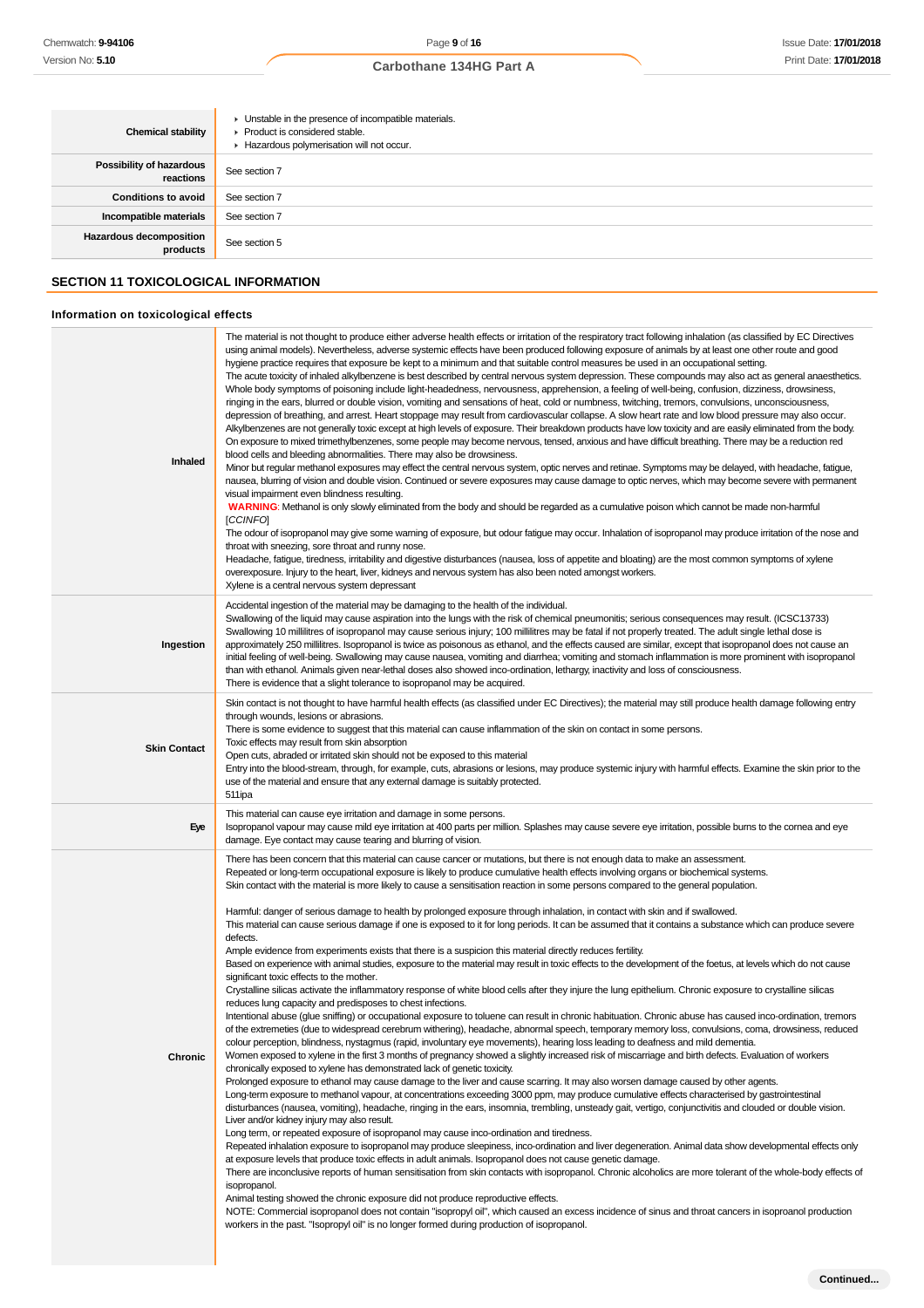| <b>Chemical stability</b>                   | • Unstable in the presence of incompatible materials.<br>$\blacktriangleright$ Product is considered stable.<br>Hazardous polymerisation will not occur. |  |
|---------------------------------------------|----------------------------------------------------------------------------------------------------------------------------------------------------------|--|
| Possibility of hazardous<br>reactions       | See section 7                                                                                                                                            |  |
| <b>Conditions to avoid</b>                  | See section 7                                                                                                                                            |  |
| Incompatible materials                      | See section 7                                                                                                                                            |  |
| <b>Hazardous decomposition</b><br>products  | See section 5                                                                                                                                            |  |
| <b>SECTION 11 TOXICOLOGICAL INFORMATION</b> |                                                                                                                                                          |  |
| Information on toxicological effects        |                                                                                                                                                          |  |

| Inhaled             | The material is not thought to produce either adverse health effects or irritation of the respiratory tract following inhalation (as classified by EC Directives<br>using animal models). Nevertheless, adverse systemic effects have been produced following exposure of animals by at least one other route and good<br>hygiene practice requires that exposure be kept to a minimum and that suitable control measures be used in an occupational setting.<br>The acute toxicity of inhaled alkylbenzene is best described by central nervous system depression. These compounds may also act as general anaesthetics.<br>Whole body symptoms of poisoning include light-headedness, nervousness, apprehension, a feeling of well-being, confusion, dizziness, drowsiness,<br>ringing in the ears, blurred or double vision, vomiting and sensations of heat, cold or numbness, twitching, tremors, convulsions, unconsciousness,<br>depression of breathing, and arrest. Heart stoppage may result from cardiovascular collapse. A slow heart rate and low blood pressure may also occur.<br>Alkylbenzenes are not generally toxic except at high levels of exposure. Their breakdown products have low toxicity and are easily eliminated from the body.<br>On exposure to mixed trimethylbenzenes, some people may become nervous, tensed, anxious and have difficult breathing. There may be a reduction red<br>blood cells and bleeding abnormalities. There may also be drowsiness.<br>Minor but regular methanol exposures may effect the central nervous system, optic nerves and retinae. Symptoms may be delayed, with headache, fatigue,<br>nausea, blurring of vision and double vision. Continued or severe exposures may cause damage to optic nerves, which may become severe with permanent<br>visual impairment even blindness resulting.<br>WARNING: Methanol is only slowly eliminated from the body and should be regarded as a cumulative poison which cannot be made non-harmful<br>[CCINFO]<br>The odour of isopropanol may give some warning of exposure, but odour fatigue may occur. Inhalation of isopropanol may produce irritation of the nose and<br>throat with sneezing, sore throat and runny nose.<br>Headache, fatigue, tiredness, irritability and digestive disturbances (nausea, loss of appetite and bloating) are the most common symptoms of xylene<br>overexposure. Injury to the heart, liver, kidneys and nervous system has also been noted amongst workers.<br>Xylene is a central nervous system depressant                                                                                                                                                                                                                                                                                                                                                                                                                                                                                                                                                                                                                                                                                                                                                                                                       |
|---------------------|---------------------------------------------------------------------------------------------------------------------------------------------------------------------------------------------------------------------------------------------------------------------------------------------------------------------------------------------------------------------------------------------------------------------------------------------------------------------------------------------------------------------------------------------------------------------------------------------------------------------------------------------------------------------------------------------------------------------------------------------------------------------------------------------------------------------------------------------------------------------------------------------------------------------------------------------------------------------------------------------------------------------------------------------------------------------------------------------------------------------------------------------------------------------------------------------------------------------------------------------------------------------------------------------------------------------------------------------------------------------------------------------------------------------------------------------------------------------------------------------------------------------------------------------------------------------------------------------------------------------------------------------------------------------------------------------------------------------------------------------------------------------------------------------------------------------------------------------------------------------------------------------------------------------------------------------------------------------------------------------------------------------------------------------------------------------------------------------------------------------------------------------------------------------------------------------------------------------------------------------------------------------------------------------------------------------------------------------------------------------------------------------------------------------------------------------------------------------------------------------------------------------------------------------------------------------------------------------------------------------------------------------------------------------------------------------------------------------------------------------------------------------------------------------------------------------------------------------------------------------------------------------------------------------------------------------------------------------------------------------------------------------------------------------------------------------------------------------------------------------------------------------------------------------------------------------------------------------------------------------------------------------------------------------------------------------------------------------------------------------|
| Ingestion           | Accidental ingestion of the material may be damaging to the health of the individual.<br>Swallowing of the liquid may cause aspiration into the lungs with the risk of chemical pneumonitis; serious consequences may result. (ICSC13733)<br>Swallowing 10 millilitres of isopropanol may cause serious injury; 100 millilitres may be fatal if not properly treated. The adult single lethal dose is<br>approximately 250 millilitres. Isopropanol is twice as poisonous as ethanol, and the effects caused are similar, except that isopropanol does not cause an<br>initial feeling of well-being. Swallowing may cause nausea, vomiting and diarrhea; vomiting and stomach inflammation is more prominent with isopropanol<br>than with ethanol. Animals given near-lethal doses also showed inco-ordination, lethargy, inactivity and loss of consciousness.<br>There is evidence that a slight tolerance to isopropanol may be acquired.                                                                                                                                                                                                                                                                                                                                                                                                                                                                                                                                                                                                                                                                                                                                                                                                                                                                                                                                                                                                                                                                                                                                                                                                                                                                                                                                                                                                                                                                                                                                                                                                                                                                                                                                                                                                                                                                                                                                                                                                                                                                                                                                                                                                                                                                                                                                                                                                                      |
| <b>Skin Contact</b> | Skin contact is not thought to have harmful health effects (as classified under EC Directives); the material may still produce health damage following entry<br>through wounds, lesions or abrasions.<br>There is some evidence to suggest that this material can cause inflammation of the skin on contact in some persons.<br>Toxic effects may result from skin absorption<br>Open cuts, abraded or irritated skin should not be exposed to this material<br>Entry into the blood-stream, through, for example, cuts, abrasions or lesions, may produce systemic injury with harmful effects. Examine the skin prior to the<br>use of the material and ensure that any external damage is suitably protected.<br>511ipa                                                                                                                                                                                                                                                                                                                                                                                                                                                                                                                                                                                                                                                                                                                                                                                                                                                                                                                                                                                                                                                                                                                                                                                                                                                                                                                                                                                                                                                                                                                                                                                                                                                                                                                                                                                                                                                                                                                                                                                                                                                                                                                                                                                                                                                                                                                                                                                                                                                                                                                                                                                                                                          |
| Eye                 | This material can cause eye irritation and damage in some persons.<br>Isopropanol vapour may cause mild eye irritation at 400 parts per million. Splashes may cause severe eye irritation, possible burns to the cornea and eye<br>damage. Eye contact may cause tearing and blurring of vision.                                                                                                                                                                                                                                                                                                                                                                                                                                                                                                                                                                                                                                                                                                                                                                                                                                                                                                                                                                                                                                                                                                                                                                                                                                                                                                                                                                                                                                                                                                                                                                                                                                                                                                                                                                                                                                                                                                                                                                                                                                                                                                                                                                                                                                                                                                                                                                                                                                                                                                                                                                                                                                                                                                                                                                                                                                                                                                                                                                                                                                                                    |
| Chronic             | There has been concern that this material can cause cancer or mutations, but there is not enough data to make an assessment.<br>Repeated or long-term occupational exposure is likely to produce cumulative health effects involving organs or biochemical systems.<br>Skin contact with the material is more likely to cause a sensitisation reaction in some persons compared to the general population.<br>Harmful: danger of serious damage to health by prolonged exposure through inhalation, in contact with skin and if swallowed.<br>This material can cause serious damage if one is exposed to it for long periods. It can be assumed that it contains a substance which can produce severe<br>defects.<br>Ample evidence from experiments exists that there is a suspicion this material directly reduces fertility.<br>Based on experience with animal studies, exposure to the material may result in toxic effects to the development of the foetus, at levels which do not cause<br>significant toxic effects to the mother.<br>Crystalline silicas activate the inflammatory response of white blood cells after they injure the lung epithelium. Chronic exposure to crystalline silicas<br>reduces lung capacity and predisposes to chest infections.<br>Intentional abuse (glue sniffing) or occupational exposure to toluene can result in chronic habituation. Chronic abuse has caused inco-ordination, tremors<br>of the extremeties (due to widespread cerebrum withering), headache, abnormal speech, temporary memory loss, convulsions, coma, drowsiness, reduced<br>colour perception, blindness, nystagmus (rapid, involuntary eye movements), hearing loss leading to deafness and mild dementia.<br>Women exposed to xylene in the first 3 months of pregnancy showed a slightly increased risk of miscarriage and birth defects. Evaluation of workers<br>chronically exposed to xylene has demonstrated lack of genetic toxicity.<br>Prolonged exposure to ethanol may cause damage to the liver and cause scarring. It may also worsen damage caused by other agents.<br>Long-term exposure to methanol vapour, at concentrations exceeding 3000 ppm, may produce cumulative effects characterised by gastrointestinal<br>disturbances (nausea, vomiting), headache, ringing in the ears, insomnia, trembling, unsteady gait, vertigo, conjunctivitis and clouded or double vision.<br>Liver and/or kidney injury may also result.<br>Long term, or repeated exposure of isopropanol may cause inco-ordination and tiredness.<br>Repeated inhalation exposure to isopropanol may produce sleepiness, inco-ordination and liver degeneration. Animal data show developmental effects only<br>at exposure levels that produce toxic effects in adult animals. Isopropanol does not cause genetic damage.<br>There are inconclusive reports of human sensitisation from skin contacts with isopropanol. Chronic alcoholics are more tolerant of the whole-body effects of<br>isopropanol.<br>Animal testing showed the chronic exposure did not produce reproductive effects.<br>NOTE: Commercial isopropanol does not contain "isopropyl oil", which caused an excess incidence of sinus and throat cancers in isoproanol production<br>workers in the past. "Isopropyl oil" is no longer formed during production of isopropanol. |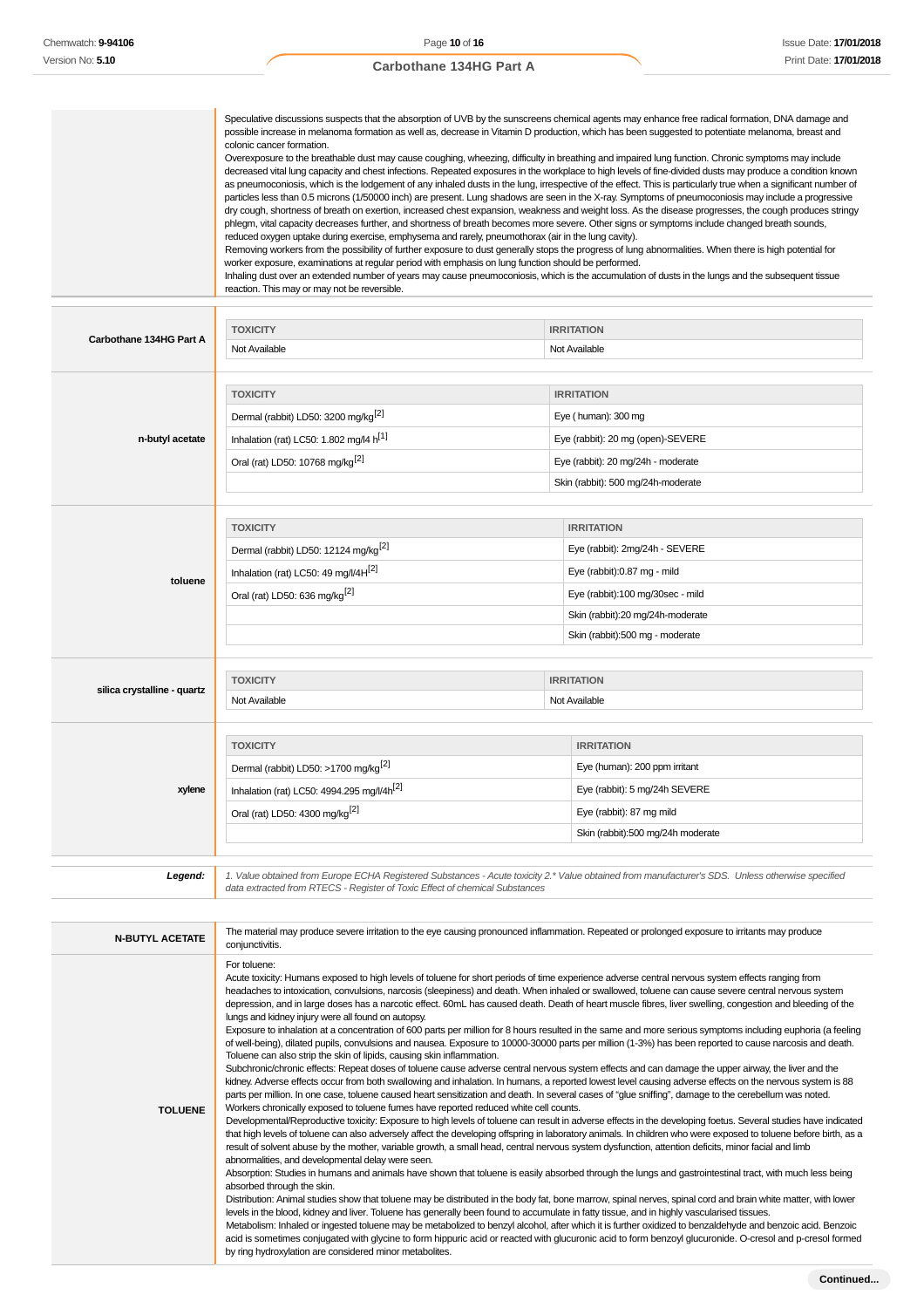|                         | Speculative discussions suspects that the absorption of UVB by the sunscreens chemical agents may enhance free radical formation, DNA damage and<br>possible increase in melanoma formation as well as, decrease in Vitamin D production, which has been suggested to potentiate melanoma, breast and<br>colonic cancer formation.<br>Overexposure to the breathable dust may cause coughing, wheezing, difficulty in breathing and impaired lung function. Chronic symptoms may include<br>decreased vital lung capacity and chest infections. Repeated exposures in the workplace to high levels of fine-divided dusts may produce a condition known<br>as pneumoconiosis, which is the lodgement of any inhaled dusts in the lung, irrespective of the effect. This is particularly true when a significant number of<br>particles less than 0.5 microns (1/50000 inch) are present. Lung shadows are seen in the X-ray. Symptoms of pneumoconiosis may include a progressive<br>dry cough, shortness of breath on exertion, increased chest expansion, weakness and weight loss. As the disease progresses, the cough produces stringy<br>phlegm, vital capacity decreases further, and shortness of breath becomes more severe. Other signs or symptoms include changed breath sounds,<br>reduced oxygen uptake during exercise, emphysema and rarely, pneumothorax (air in the lung cavity).<br>Removing workers from the possibility of further exposure to dust generally stops the progress of lung abnormalities. When there is high potential for<br>worker exposure, examinations at regular period with emphasis on lung function should be performed.<br>Inhaling dust over an extended number of years may cause pneumoconiosis, which is the accumulation of dusts in the lungs and the subsequent tissue<br>reaction. This may or may not be reversible. |                                   |  |
|-------------------------|---------------------------------------------------------------------------------------------------------------------------------------------------------------------------------------------------------------------------------------------------------------------------------------------------------------------------------------------------------------------------------------------------------------------------------------------------------------------------------------------------------------------------------------------------------------------------------------------------------------------------------------------------------------------------------------------------------------------------------------------------------------------------------------------------------------------------------------------------------------------------------------------------------------------------------------------------------------------------------------------------------------------------------------------------------------------------------------------------------------------------------------------------------------------------------------------------------------------------------------------------------------------------------------------------------------------------------------------------------------------------------------------------------------------------------------------------------------------------------------------------------------------------------------------------------------------------------------------------------------------------------------------------------------------------------------------------------------------------------------------------------------------------------------------------------------------------------------------------------------------------|-----------------------------------|--|
|                         | <b>TOXICITY</b>                                                                                                                                                                                                                                                                                                                                                                                                                                                                                                                                                                                                                                                                                                                                                                                                                                                                                                                                                                                                                                                                                                                                                                                                                                                                                                                                                                                                                                                                                                                                                                                                                                                                                                                                                                                                                                                           | <b>IRRITATION</b>                 |  |
| Carbothane 134HG Part A | Not Available                                                                                                                                                                                                                                                                                                                                                                                                                                                                                                                                                                                                                                                                                                                                                                                                                                                                                                                                                                                                                                                                                                                                                                                                                                                                                                                                                                                                                                                                                                                                                                                                                                                                                                                                                                                                                                                             | Not Available                     |  |
|                         | <b>TOXICITY</b>                                                                                                                                                                                                                                                                                                                                                                                                                                                                                                                                                                                                                                                                                                                                                                                                                                                                                                                                                                                                                                                                                                                                                                                                                                                                                                                                                                                                                                                                                                                                                                                                                                                                                                                                                                                                                                                           | <b>IRRITATION</b>                 |  |
|                         | Dermal (rabbit) LD50: 3200 mg/kg <sup>[2]</sup>                                                                                                                                                                                                                                                                                                                                                                                                                                                                                                                                                                                                                                                                                                                                                                                                                                                                                                                                                                                                                                                                                                                                                                                                                                                                                                                                                                                                                                                                                                                                                                                                                                                                                                                                                                                                                           | Eye (human): 300 mg               |  |
| n-butyl acetate         | Inhalation (rat) LC50: 1.802 mg/l4 $h^{[1]}$                                                                                                                                                                                                                                                                                                                                                                                                                                                                                                                                                                                                                                                                                                                                                                                                                                                                                                                                                                                                                                                                                                                                                                                                                                                                                                                                                                                                                                                                                                                                                                                                                                                                                                                                                                                                                              | Eye (rabbit): 20 mg (open)-SEVERE |  |

Oral (rat) LD50: 10768 mg/kg<sup>[2]</sup> exercise the state of the state of the System of the System of the System of the System of the System of the System of the System of the System of the System of the System of the System of

Skin (rabbit): 500 mg/24h-moderate

| toluene                     | <b>TOXICITY</b>                                  | <b>IRRITATION</b>                |
|-----------------------------|--------------------------------------------------|----------------------------------|
|                             | Dermal (rabbit) LD50: 12124 mg/kg <sup>[2]</sup> | Eye (rabbit): 2mg/24h - SEVERE   |
|                             | Inhalation (rat) LC50: 49 mg/l/4H <sup>[2]</sup> | Eye (rabbit):0.87 mg - mild      |
|                             | Oral (rat) LD50: 636 mg/kg <sup>[2]</sup>        | Eye (rabbit):100 mg/30sec - mild |
|                             |                                                  | Skin (rabbit):20 mg/24h-moderate |
|                             |                                                  | Skin (rabbit):500 mg - moderate  |
|                             |                                                  |                                  |
| silica crystalline - quartz | <b>TOXICITY</b>                                  | <b>IRRITATION</b>                |
|                             | Not Available                                    | Not Available                    |

| xylene | <b>TOXICITY</b>                                        | <b>IRRITATION</b>                 |
|--------|--------------------------------------------------------|-----------------------------------|
|        | Dermal (rabbit) LD50: >1700 mg/kg <sup>[2]</sup>       | Eye (human): 200 ppm irritant     |
|        | Inhalation (rat) LC50: 4994.295 mg/l/4h <sup>[2]</sup> | Eye (rabbit): 5 mg/24h SEVERE     |
|        | Oral (rat) LD50: 4300 mg/kg <sup>[2]</sup>             | Eye (rabbit): 87 mg mild          |
|        |                                                        | Skin (rabbit):500 mg/24h moderate |
|        |                                                        |                                   |

1. Value obtained from Europe ECHA Registered Substances - Acute toxicity 2.\* Value obtained from manufacturer's SDS. Unless otherwise specified<br>data extracted from RTECS - Register of Toxic Effect of chemical Substances

| For toluene:<br>Acute toxicity: Humans exposed to high levels of toluene for short periods of time experience adverse central nervous system effects ranging from<br>headaches to intoxication, convulsions, narcosis (sleepiness) and death. When inhaled or swallowed, toluene can cause severe central nervous system<br>depression, and in large doses has a narcotic effect. 60mL has caused death. Death of heart muscle fibres, liver swelling, congestion and bleeding of the<br>lungs and kidney injury were all found on autopsy.<br>Exposure to inhalation at a concentration of 600 parts per million for 8 hours resulted in the same and more serious symptoms including euphoria (a feeling<br>of well-being), dilated pupils, convulsions and nausea. Exposure to 10000-30000 parts per million (1-3%) has been reported to cause narcosis and death.<br>Toluene can also strip the skin of lipids, causing skin inflammation.<br>Subchronic/chronic effects: Repeat doses of toluene cause adverse central nervous system effects and can damage the upper airway, the liver and the<br>kidney. Adverse effects occur from both swallowing and inhalation. In humans, a reported lowest level causing adverse effects on the nervous system is 88<br>parts per million. In one case, toluene caused heart sensitization and death. In several cases of "glue sniffing", damage to the cerebellum was noted.<br>Workers chronically exposed to toluene fumes have reported reduced white cell counts.<br><b>TOLUENE</b><br>Developmental/Reproductive toxicity: Exposure to high levels of toluene can result in adverse effects in the developing foetus. Several studies have indicated<br>that high levels of toluene can also adversely affect the developing offspring in laboratory animals. In children who were exposed to toluene before birth, as a | <b>N-BUTYL ACETATE</b> | The material may produce severe irritation to the eye causing pronounced inflammation. Repeated or prolonged exposure to irritants may produce<br>conjunctivitis. |
|-------------------------------------------------------------------------------------------------------------------------------------------------------------------------------------------------------------------------------------------------------------------------------------------------------------------------------------------------------------------------------------------------------------------------------------------------------------------------------------------------------------------------------------------------------------------------------------------------------------------------------------------------------------------------------------------------------------------------------------------------------------------------------------------------------------------------------------------------------------------------------------------------------------------------------------------------------------------------------------------------------------------------------------------------------------------------------------------------------------------------------------------------------------------------------------------------------------------------------------------------------------------------------------------------------------------------------------------------------------------------------------------------------------------------------------------------------------------------------------------------------------------------------------------------------------------------------------------------------------------------------------------------------------------------------------------------------------------------------------------------------------------------------------------------------------------------------------------------------------------------------|------------------------|-------------------------------------------------------------------------------------------------------------------------------------------------------------------|
| abnormalities, and developmental delay were seen.<br>Absorption: Studies in humans and animals have shown that toluene is easily absorbed through the lungs and gastrointestinal tract, with much less being<br>absorbed through the skin.<br>Distribution: Animal studies show that toluene may be distributed in the body fat, bone marrow, spinal nerves, spinal cord and brain white matter, with lower<br>levels in the blood, kidney and liver. Toluene has generally been found to accumulate in fatty tissue, and in highly vascularised tissues.<br>Metabolism: Inhaled or ingested toluene may be metabolized to benzyl alcohol, after which it is further oxidized to benzaldehyde and benzoic acid. Benzoic<br>acid is sometimes conjugated with glycine to form hippuric acid or reacted with glucuronic acid to form benzoyl glucuronide. O-cresol and p-cresol formed<br>by ring hydroxylation are considered minor metabolites.                                                                                                                                                                                                                                                                                                                                                                                                                                                                                                                                                                                                                                                                                                                                                                                                                                                                                                                               |                        | result of solvent abuse by the mother, variable growth, a small head, central nervous system dysfunction, attention deficits, minor facial and limb               |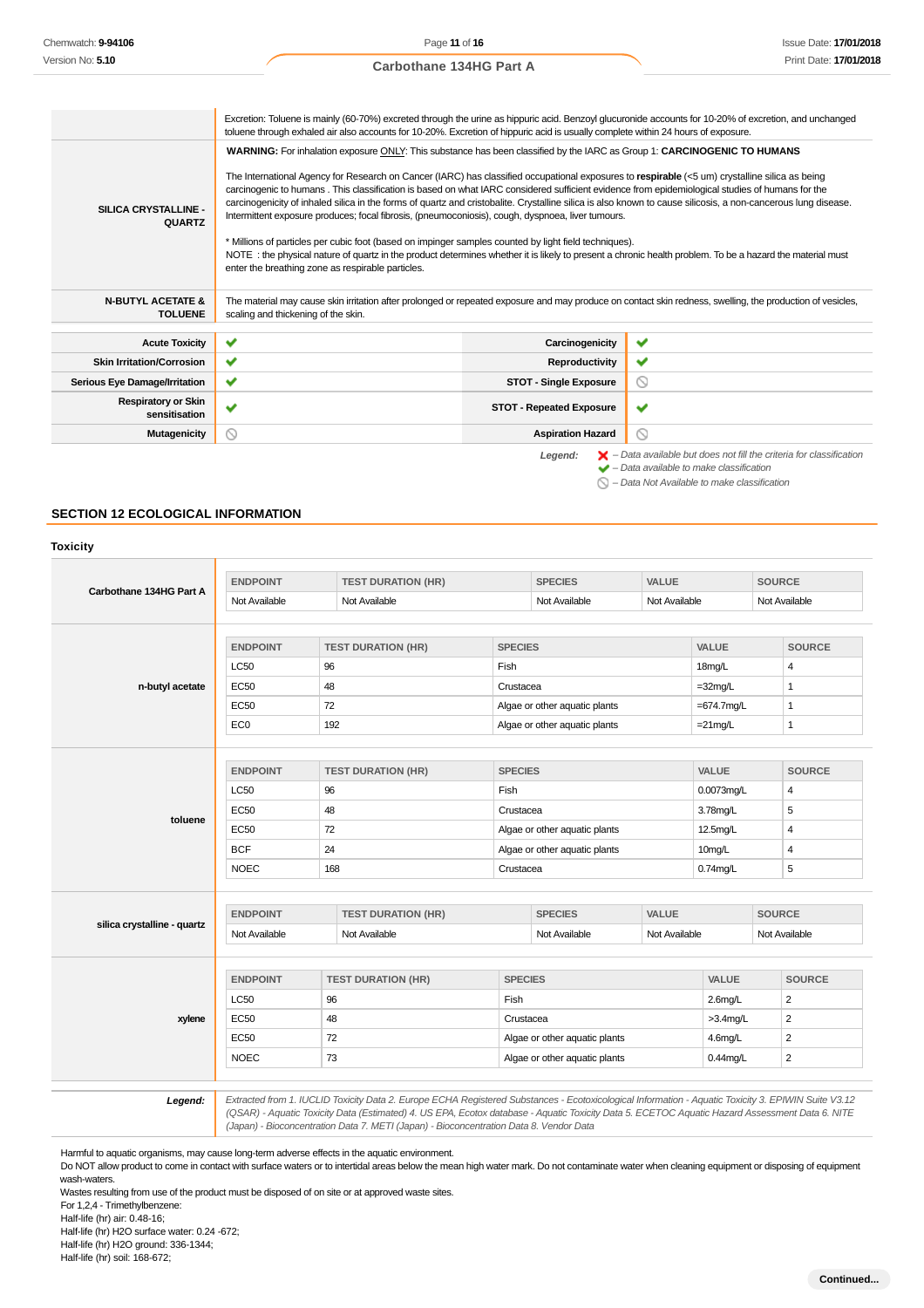Chemwatch: **9-94106** Version No: **5.10**

|                                                | Excretion: Toluene is mainly (60-70%) excreted through the urine as hippuric acid. Benzoyl glucuronide accounts for 10-20% of excretion, and unchanged<br>toluene through exhaled air also accounts for 10-20%. Excretion of hippuric acid is usually complete within 24 hours of exposure.                                                                                                                                                                                                                                                                                                                                                                                                                                                                                                                                                                                                                                                                                                                                   |                                 |                                                                                                                                                           |  |  |
|------------------------------------------------|-------------------------------------------------------------------------------------------------------------------------------------------------------------------------------------------------------------------------------------------------------------------------------------------------------------------------------------------------------------------------------------------------------------------------------------------------------------------------------------------------------------------------------------------------------------------------------------------------------------------------------------------------------------------------------------------------------------------------------------------------------------------------------------------------------------------------------------------------------------------------------------------------------------------------------------------------------------------------------------------------------------------------------|---------------------------------|-----------------------------------------------------------------------------------------------------------------------------------------------------------|--|--|
| SILICA CRYSTALLINE -<br><b>QUARTZ</b>          | WARNING: For inhalation exposure ONLY: This substance has been classified by the IARC as Group 1: CARCINOGENIC TO HUMANS<br>The International Agency for Research on Cancer (IARC) has classified occupational exposures to respirable (<5 um) crystalline silica as being<br>carcinogenic to humans. This classification is based on what IARC considered sufficient evidence from epidemiological studies of humans for the<br>carcinogenicity of inhaled silica in the forms of quartz and cristobalite. Crystalline silica is also known to cause silicosis, a non-cancerous lung disease.<br>Intermittent exposure produces; focal fibrosis, (pneumoconiosis), cough, dyspnoea, liver tumours.<br>* Millions of particles per cubic foot (based on impinger samples counted by light field techniques).<br>NOTE: the physical nature of quartz in the product determines whether it is likely to present a chronic health problem. To be a hazard the material must<br>enter the breathing zone as respirable particles. |                                 |                                                                                                                                                           |  |  |
| <b>N-BUTYL ACETATE &amp;</b><br><b>TOLUENE</b> | The material may cause skin irritation after prolonged or repeated exposure and may produce on contact skin redness, swelling, the production of vesicles,<br>scaling and thickening of the skin.                                                                                                                                                                                                                                                                                                                                                                                                                                                                                                                                                                                                                                                                                                                                                                                                                             |                                 |                                                                                                                                                           |  |  |
| <b>Acute Toxicity</b>                          | $\checkmark$                                                                                                                                                                                                                                                                                                                                                                                                                                                                                                                                                                                                                                                                                                                                                                                                                                                                                                                                                                                                                  | Carcinogenicity                 | ✔                                                                                                                                                         |  |  |
| <b>Skin Irritation/Corrosion</b>               | ✓                                                                                                                                                                                                                                                                                                                                                                                                                                                                                                                                                                                                                                                                                                                                                                                                                                                                                                                                                                                                                             | Reproductivity                  | ✔                                                                                                                                                         |  |  |
| <b>Serious Eye Damage/Irritation</b>           | ✓                                                                                                                                                                                                                                                                                                                                                                                                                                                                                                                                                                                                                                                                                                                                                                                                                                                                                                                                                                                                                             | <b>STOT - Single Exposure</b>   | Q                                                                                                                                                         |  |  |
| <b>Respiratory or Skin</b><br>sensitisation    | ✔                                                                                                                                                                                                                                                                                                                                                                                                                                                                                                                                                                                                                                                                                                                                                                                                                                                                                                                                                                                                                             | <b>STOT - Repeated Exposure</b> | ✔                                                                                                                                                         |  |  |
| <b>Mutagenicity</b>                            | ◎                                                                                                                                                                                                                                                                                                                                                                                                                                                                                                                                                                                                                                                                                                                                                                                                                                                                                                                                                                                                                             | <b>Aspiration Hazard</b>        | 0                                                                                                                                                         |  |  |
|                                                |                                                                                                                                                                                                                                                                                                                                                                                                                                                                                                                                                                                                                                                                                                                                                                                                                                                                                                                                                                                                                               | Legend:                         | $\blacktriangleright$ - Data available but does not fill the criteria for classification<br>$\blacktriangleright$ - Data available to make classification |  |  |

 $\bigcirc$  – Data Not Available to make classification

## **SECTION 12 ECOLOGICAL INFORMATION**

|                             | <b>ENDPOINT</b> | <b>TEST DURATION (HR)</b> |                | <b>SPECIES</b>                | VALUE         |                            | <b>SOURCE</b> |                |  |
|-----------------------------|-----------------|---------------------------|----------------|-------------------------------|---------------|----------------------------|---------------|----------------|--|
| Carbothane 134HG Part A     | Not Available   | Not Available             |                | Not Available                 |               | Not Available              |               | Not Available  |  |
|                             |                 |                           |                |                               |               |                            |               |                |  |
|                             | <b>ENDPOINT</b> | <b>TEST DURATION (HR)</b> |                | <b>SPECIES</b>                |               | VALUE                      |               | <b>SOURCE</b>  |  |
|                             | <b>LC50</b>     | 96                        | Fish           |                               |               | 18mg/L                     |               | 4              |  |
| n-butyl acetate             | <b>EC50</b>     | 48                        | Crustacea      |                               |               | $=32$ mg/L<br>$\mathbf{1}$ |               |                |  |
|                             | <b>EC50</b>     | 72                        |                | Algae or other aquatic plants |               | $=674.7$ mg/L              |               | $\mathbf{1}$   |  |
|                             | EC <sub>0</sub> | 192                       |                | Algae or other aquatic plants |               | $=21$ mg/L                 |               | 1              |  |
|                             |                 |                           |                |                               |               |                            |               |                |  |
|                             | <b>ENDPOINT</b> | <b>TEST DURATION (HR)</b> |                | <b>SPECIES</b>                |               | VALUE                      |               | <b>SOURCE</b>  |  |
|                             | <b>LC50</b>     | 96                        | Fish           |                               |               | 0.0073mg/L                 |               | $\overline{4}$ |  |
|                             | <b>EC50</b>     | 48                        |                | Crustacea                     |               | 3.78mg/L                   |               | 5              |  |
| toluene                     | <b>EC50</b>     | 72                        |                | Algae or other aquatic plants |               | 12.5mg/L                   |               | 4              |  |
|                             | <b>BCF</b>      | 24                        |                | Algae or other aquatic plants |               | 10mg/L                     |               | 4              |  |
|                             | <b>NOEC</b>     | 168                       | Crustacea      |                               |               | $0.74$ mg/L                |               | 5              |  |
|                             |                 |                           |                |                               |               |                            |               |                |  |
|                             | <b>ENDPOINT</b> | <b>TEST DURATION (HR)</b> |                | <b>SPECIES</b>                | VALUE         |                            | <b>SOURCE</b> |                |  |
| silica crystalline - quartz | Not Available   | Not Available             |                | Not Available                 | Not Available |                            | Not Available |                |  |
|                             |                 |                           |                |                               |               |                            |               |                |  |
|                             | <b>ENDPOINT</b> | <b>TEST DURATION (HR)</b> | <b>SPECIES</b> |                               |               | VALUE                      |               | <b>SOURCE</b>  |  |
| xylene                      | <b>LC50</b>     | 96                        | Fish           |                               |               | $2.6$ mg/L                 |               | $\overline{2}$ |  |
|                             | <b>EC50</b>     | 48                        | Crustacea      |                               |               | $>3.4$ mg/L                |               | $\overline{2}$ |  |
|                             | <b>EC50</b>     | 72                        |                | Algae or other aquatic plants |               | $4.6$ mg/L                 |               | $\overline{2}$ |  |
|                             | <b>NOEC</b>     | 73                        |                | Algae or other aquatic plants |               | $0.44$ mg/L                |               | $\overline{2}$ |  |

12.0 Extracted from 1. IUCLID Toxicity Data 2. Europe ECHA Registered Substances - Ecotoxicological Information - Aquatic Toxicity 3. EPIWIN Suite V3.12<br>QSAR) - Aquatic Toxicity Data (Estimated) 4. US EPA, Ecotox database (Japan) - Bioconcentration Data 7. METI (Japan) - Bioconcentration Data 8. Vendor Data

Harmful to aquatic organisms, may cause long-term adverse effects in the aquatic environment.

Do NOT allow product to come in contact with surface waters or to intertidal areas below the mean high water mark. Do not contaminate water when cleaning equipment or disposing of equipment wash-waters.

Wastes resulting from use of the product must be disposed of on site or at approved waste sites.

For 1,2,4 - Trimethylbenzene:

Half-life (hr) air: 0.48-16;

Half-life (hr) H2O surface water: 0.24 -672; Half-life (hr) H2O ground: 336-1344;

Half-life (hr) soil: 168-672;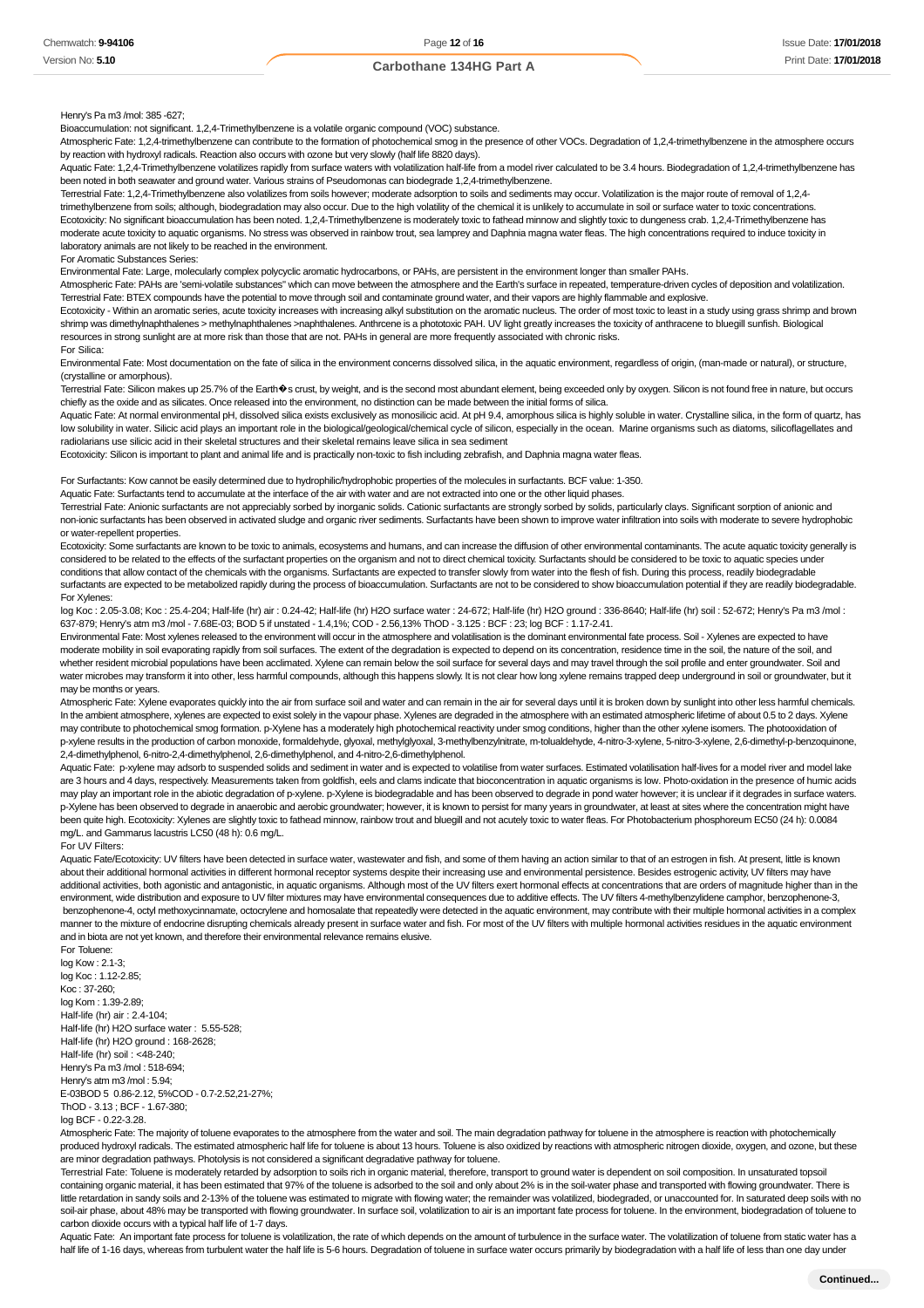Henry's Pa m3 /mol: 385 -627;

Bioaccumulation: not significant. 1,2,4-Trimethylbenzene is a volatile organic compound (VOC) substance.

Atmospheric Fate: 1,2,4-trimethylbenzene can contribute to the formation of photochemical smog in the presence of other VOCs. Degradation of 1,2,4-trimethylbenzene in the atmosphere occurs by reaction with hydroxyl radicals. Reaction also occurs with ozone but very slowly (half life 8820 days).

Aquatic Fate: 1,2,4-Trimethylbenzene volatilizes rapidly from surface waters with volatilization half-life from a model river calculated to be 3.4 hours. Biodegradation of 1,2,4-trimethylbenzene has been noted in both seawater and ground water. Various strains of Pseudomonas can biodegrade 1,2,4-trimethylbenzene.

Terrestrial Fate: 1,2,4-Trimethylbenzene also volatilizes from soils however; moderate adsorption to soils and sediments may occur. Volatilization is the major route of removal of 1,2,4 trimethylbenzene from soils; although, biodegradation may also occur. Due to the high volatility of the chemical it is unlikely to accumulate in soil or surface water to toxic concentrations. Ecotoxicity: No significant bioaccumulation has been noted. 1,2,4-Trimethylbenzene is moderately toxic to fathead minnow and slightly toxic to dungeness crab. 1,2,4-Trimethylbenzene has moderate acute toxicity to aquatic organisms. No stress was observed in rainbow trout, sea lamprey and Daphnia magna water fleas. The high concentrations required to induce toxicity in laboratory animals are not likely to be reached in the environment.

#### For Aromatic Substances Series:

Environmental Fate: Large, molecularly complex polycyclic aromatic hydrocarbons, or PAHs, are persistent in the environment longer than smaller PAHs.

Atmospheric Fate: PAHs are 'semi-volatile substances" which can move between the atmosphere and the Earth's surface in repeated, temperature-driven cycles of deposition and volatilization. Terrestrial Fate: BTEX compounds have the potential to move through soil and contaminate ground water, and their vapors are highly flammable and explosive.

Ecotoxicity - Within an aromatic series, acute toxicity increases with increasing alkyl substitution on the aromatic nucleus. The order of most toxic to least in a study using grass shrimp and brown shrimp was dimethylnaphthalenes > methylnaphthalenes >naphthalenes. Anthrcene is a phototoxic PAH. UV light greatly increases the toxicity of anthracene to bluegill sunfish. Biological resources in strong sunlight are at more risk than those that are not. PAHs in general are more frequently associated with chronic risks.

#### For Silica:

Environmental Fate: Most documentation on the fate of silica in the environment concerns dissolved silica, in the aquatic environment, regardless of origin, (man-made or natural), or structure, (crystalline or amorphous).

Terrestrial Fate: Silicon makes up 25.7% of the Earth�s crust, by weight, and is the second most abundant element, being exceeded only by oxygen. Silicon is not found free in nature, but occurs chiefly as the oxide and as silicates. Once released into the environment, no distinction can be made between the initial forms of silica.

Aquatic Fate: At normal environmental pH, dissolved silica exists exclusively as monosilicic acid. At pH 9.4, amorphous silica is highly soluble in water. Crystalline silica, in the form of quartz, has low solubility in water. Silicic acid plays an important role in the biological/geological/chemical cycle of silicon, especially in the ocean. Marine organisms such as diatoms, silicoflagellates and radiolarians use silicic acid in their skeletal structures and their skeletal remains leave silica in sea sediment

Ecotoxicity: Silicon is important to plant and animal life and is practically non-toxic to fish including zebrafish, and Daphnia magna water fleas.

For Surfactants: Kow cannot be easily determined due to hydrophilic/hydrophobic properties of the molecules in surfactants. BCF value: 1-350.

Aquatic Fate: Surfactants tend to accumulate at the interface of the air with water and are not extracted into one or the other liquid phases.

Terrestrial Fate: Anionic surfactants are not appreciably sorbed by inorganic solids. Cationic surfactants are strongly sorbed by solids, particularly clays. Significant sorption of anionic and non-ionic surfactants has been observed in activated sludge and organic river sediments. Surfactants have been shown to improve water infiltration into soils with moderate to severe hydrophobic or water-repellent properties.

Ecotoxicity: Some surfactants are known to be toxic to animals, ecosystems and humans, and can increase the diffusion of other environmental contaminants. The acute aquatic toxicity generally is considered to be related to the effects of the surfactant properties on the organism and not to direct chemical toxicity. Surfactants should be considered to be toxic to aquatic species under conditions that allow contact of the chemicals with the organisms. Surfactants are expected to transfer slowly from water into the flesh of fish. During this process, readily biodegradable surfactants are expected to be metabolized rapidly during the process of bioaccumulation. Surfactants are not to be considered to show bioaccumulation potential if they are readily biodegradable. For Xylenes:

log Koc : 2.05-3.08; Koc : 25.4-204; Half-life (hr) air : 0.24-42; Half-life (hr) H2O surface water : 24-672; Half-life (hr) H2O ground : 336-8640; Half-life (hr) soil : 52-672; Henry's Pa m3 /mol : 637-879; Henry's atm m3 /mol - 7.68E-03; BOD 5 if unstated - 1.4,1%; COD - 2.56,13% ThOD - 3.125 : BCF : 23; log BCF : 1.17-2.41.

Environmental Fate: Most xylenes released to the environment will occur in the atmosphere and volatilisation is the dominant environmental fate process. Soil - Xylenes are expected to have moderate mobility in soil evaporating rapidly from soil surfaces. The extent of the degradation is expected to depend on its concentration, residence time in the soil, the nature of the soil, and whether resident microbial populations have been acclimated. Xylene can remain below the soil surface for several days and may travel through the soil profile and enter groundwater. Soil and water microbes may transform it into other, less harmful compounds, although this happens slowly. It is not clear how long xylene remains trapped deep underground in soil or groundwater, but it may be months or years.

Atmospheric Fate: Xylene evaporates quickly into the air from surface soil and water and can remain in the air for several days until it is broken down by sunlight into other less harmful chemicals. In the ambient atmosphere, xylenes are expected to exist solely in the vapour phase. Xylenes are degraded in the atmosphere with an estimated atmospheric lifetime of about 0.5 to 2 days. Xylene may contribute to photochemical smog formation. p-Xylene has a moderately high photochemical reactivity under smog conditions, higher than the other xylene isomers. The photooxidation of p-xylene results in the production of carbon monoxide, formaldehyde, glyoxal, methylglyoxal, 3-methylbenzylnitrate, m-tolualdehyde, 4-nitro-3-xylene, 5-nitro-3-xylene, 2,6-dimethyl-p-benzoquinone, 2,4-dimethylphenol, 6-nitro-2,4-dimethylphenol, 2,6-dimethylphenol, and 4-nitro-2,6-dimethylphenol.

Aquatic Fate: p-xylene may adsorb to suspended solids and sediment in water and is expected to volatilise from water surfaces. Estimated volatilisation half-lives for a model river and model lake are 3 hours and 4 days, respectively. Measurements taken from goldfish, eels and clams indicate that bioconcentration in aquatic organisms is low. Photo-oxidation in the presence of humic acids may play an important role in the abiotic degradation of p-xylene. p-Xylene is biodegradable and has been observed to degrade in pond water however; it is unclear if it degrades in surface waters. p-Xylene has been observed to degrade in anaerobic and aerobic groundwater; however, it is known to persist for many years in groundwater, at least at sites where the concentration might have been quite high. Ecotoxicity: Xylenes are slightly toxic to fathead minnow, rainbow trout and bluegill and not acutely toxic to water fleas. For Photobacterium phosphoreum EC50 (24 h): 0.0084 mg/L. and Gammarus lacustris LC50 (48 h): 0.6 mg/L.

#### For UV Filters:

Aquatic Fate/Ecotoxicity: UV filters have been detected in surface water, wastewater and fish, and some of them having an action similar to that of an estrogen in fish. At present, little is known about their additional hormonal activities in different hormonal receptor systems despite their increasing use and environmental persistence. Besides estrogenic activity, UV filters may have additional activities, both agonistic and antagonistic, in aquatic organisms. Although most of the UV filters exert hormonal effects at concentrations that are orders of magnitude higher than in the environment, wide distribution and exposure to UV filter mixtures may have environmental consequences due to additive effects. The UV filters 4-methylbenzylidene camphor, benzophenone-3, benzophenone-4, octyl methoxycinnamate, octocrylene and homosalate that repeatedly were detected in the aquatic environment, may contribute with their multiple hormonal activities in a complex manner to the mixture of endocrine disrupting chemicals already present in surface water and fish. For most of the UV filters with multiple hormonal activities residues in the aquatic environment and in biota are not yet known, and therefore their environmental relevance remains elusive. For Toluene:

log Kow : 2.1-3; log Koc : 1.12-2.85; Koc : 37-260; log Kom : 1.39-2.89; Half-life (hr) air : 2.4-104; Half-life (hr) H2O surface water : 5.55-528; Half-life (hr) H2O ground : 168-2628; Half-life (hr) soil : <48-240; Henry's Pa m3 /mol : 518-694; Henry's atm m3 /mol : 5.94; E-03BOD 5 0.86-2.12, 5%COD - 0.7-2.52,21-27%; ThOD - 3.13 ; BCF - 1.67-380; log BCF - 0.22-3.28.

Atmospheric Fate: The majority of toluene evaporates to the atmosphere from the water and soil. The main degradation pathway for toluene in the atmosphere is reaction with photochemically produced hydroxyl radicals. The estimated atmospheric half life for toluene is about 13 hours. Toluene is also oxidized by reactions with atmospheric nitrogen dioxide, oxygen, and ozone, but these are minor degradation pathways. Photolysis is not considered a significant degradative pathway for toluene.

Terrestrial Fate: Toluene is moderately retarded by adsorption to soils rich in organic material, therefore, transport to ground water is dependent on soil composition. In unsaturated topsoil containing organic material, it has been estimated that 97% of the toluene is adsorbed to the soil and only about 2% is in the soil-water phase and transported with flowing groundwater. There is little retardation in sandy soils and 2-13% of the toluene was estimated to migrate with flowing water; the remainder was volatilized, biodegraded, or unaccounted for. In saturated deep soils with no soil-air phase, about 48% may be transported with flowing groundwater. In surface soil, volatilization to air is an important fate process for toluene. In the environment, biodegradation of toluene to carbon dioxide occurs with a typical half life of 1-7 days.

Aquatic Fate: An important fate process for toluene is volatilization, the rate of which depends on the amount of turbulence in the surface water. The volatilization of toluene from static water has a half life of 1-16 days, whereas from turbulent water the half life is 5-6 hours. Degradation of toluene in surface water occurs primarily by biodegradation with a half life of less than one day under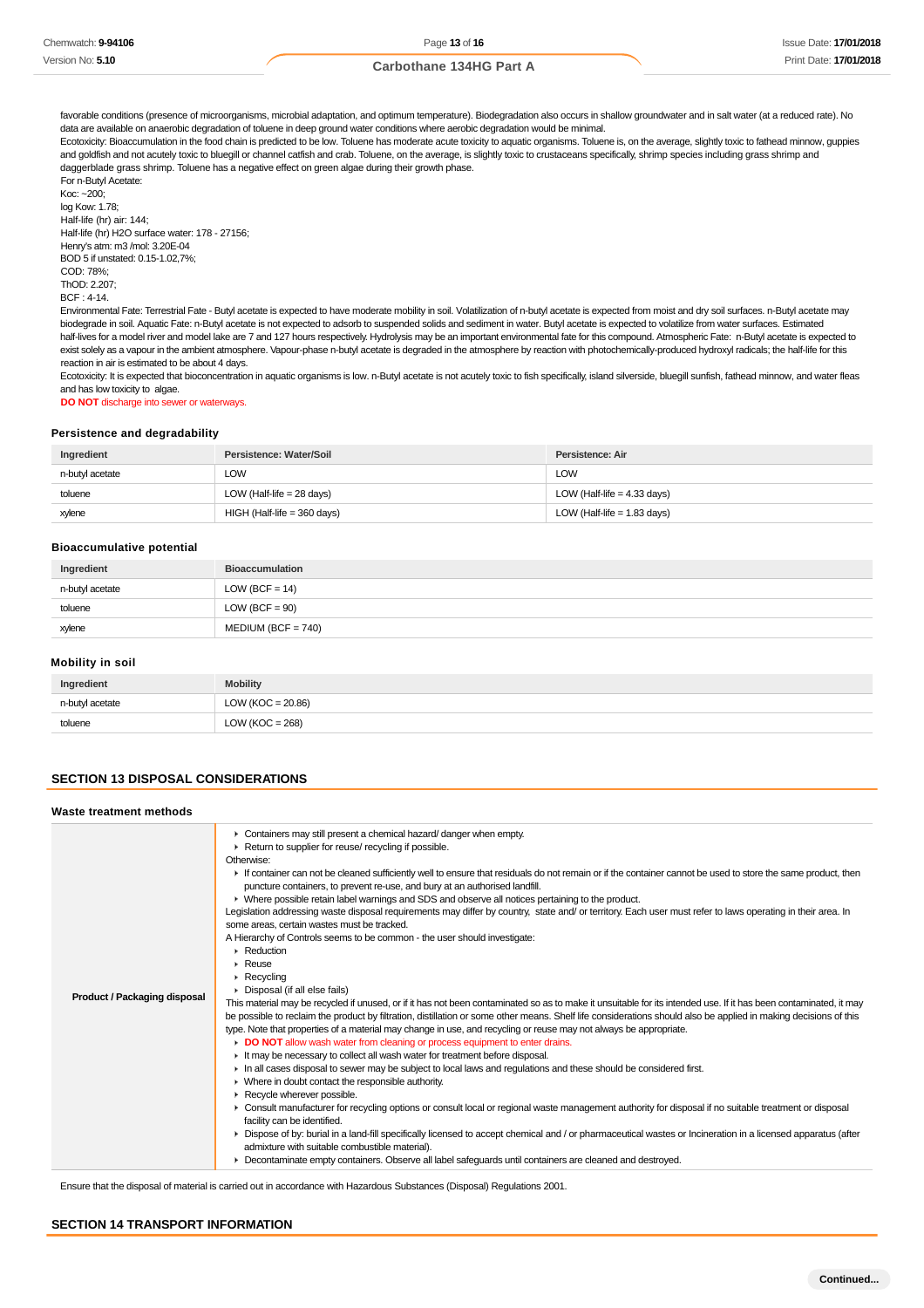favorable conditions (presence of microorganisms, microbial adaptation, and optimum temperature). Biodegradation also occurs in shallow groundwater and in salt water (at a reduced rate). No data are available on anaerobic degradation of toluene in deep ground water conditions where aerobic degradation would be minimal.

Ecotoxicity: Bioaccumulation in the food chain is predicted to be low. Toluene has moderate acute toxicity to aquatic organisms. Toluene is, on the average, slightly toxic to fathead minnow, guppies and goldfish and not acutely toxic to bluegill or channel catfish and crab. Toluene, on the average, is slightly toxic to crustaceans specifically, shrimp species including grass shrimp and daggerblade grass shrimp. Toluene has a negative effect on green algae during their growth phase. For n-Butyl Acetate:

 $K<sub>OC</sub>: ~200$ log Kow: 1.78; Half-life (hr) air: 144; Half-life (hr) H2O surface water: 178 - 27156; Henry's atm: m3 /mol: 3.20E-04 BOD 5 if unstated: 0.15-1.02,7%; COD: 78%;  $ThOP: 2.207$ BCF : 4-14.

Environmental Fate: Terrestrial Fate - Butyl acetate is expected to have moderate mobility in soil. Volatilization of n-butyl acetate is expected from moist and dry soil surfaces. n-Butyl acetate may biodegrade in soil. Aquatic Fate: n-Butyl acetate is not expected to adsorb to suspended solids and sediment in water. Butyl acetate is expected to volatilize from water surfaces. Estimated half-lives for a model river and model lake are 7 and 127 hours respectively. Hydrolysis may be an important environmental fate for this compound. Atmospheric Fate: n-Butyl acetate is expected to exist solely as a vapour in the ambient atmosphere. Vapour-phase n-butyl acetate is degraded in the atmosphere by reaction with photochemically-produced hydroxyl radicals; the half-life for this reaction in air is estimated to be about 4 days.

Ecotoxicity: It is expected that bioconcentration in aquatic organisms is low. n-Butyl acetate is not acutely toxic to fish specifically, island silverside, bluegill sunfish, fathead minnow, and water fleas and has low toxicity to algae.

**DO NOT** discharge into sewer or waterways.

#### **Persistence and degradability**

| Ingredient      | Persistence: Water/Soil       | Persistence: Air              |
|-----------------|-------------------------------|-------------------------------|
| n-butyl acetate | LOW                           | LOW                           |
| toluene         | LOW (Half-life = $28$ days)   | LOW (Half-life = $4.33$ days) |
| xylene          | $HIGH$ (Half-life = 360 days) | LOW (Half-life = $1.83$ days) |

#### **Bioaccumulative potential**

| Ingredient      | <b>Bioaccumulation</b> |
|-----------------|------------------------|
| n-butyl acetate | $LOW (BCF = 14)$       |
| toluene         | $LOW (BCF = 90)$       |
| xylene          | $MEDIUM (BCF = 740)$   |

#### **Mobility in soil**

| Ingredient      | <b>Mobility</b>       |
|-----------------|-----------------------|
| n-butyl acetate | LOW ( $KOC = 20.86$ ) |
| toluene         | LOW ( $KOC = 268$ )   |

## **SECTION 13 DISPOSAL CONSIDERATIONS**

#### **Waste treatment methods** ▶ Containers may still present a chemical hazard/ danger when empty. ▶ Return to supplier for reuse/ recycling if possible. Otherwise: If container can not be cleaned sufficiently well to ensure that residuals do not remain or if the container cannot be used to store the same product, then puncture containers, to prevent re-use, and bury at an authorised landfill. Where possible retain label warnings and SDS and observe all notices pertaining to the product. Legislation addressing waste disposal requirements may differ by country, state and/ or territory. Each user must refer to laws operating in their area. In some areas, certain wastes must be tracked. A Hierarchy of Controls seems to be common - the user should investigate: ▶ Reduction Reuse Recycling ¥. Disposal (if all else fails) **Product / Packaging disposal** This material may be recycled if unused, or if it has not been contaminated so as to make it unsuitable for its intended use. If it has been contaminated, it may be possible to reclaim the product by filtration, distillation or some other means. Shelf life considerations should also be applied in making decisions of this type. Note that properties of a material may change in use, and recycling or reuse may not always be appropriate. **DO NOT** allow wash water from cleaning or process equipment to enter drains. It may be necessary to collect all wash water for treatment before disposal. In all cases disposal to sewer may be subject to local laws and regulations and these should be considered first. Where in doubt contact the responsible authority. Recycle wherever possible. Consult manufacturer for recycling options or consult local or regional waste management authority for disposal if no suitable treatment or disposal facility can be identified. ▶ Dispose of by: burial in a land-fill specifically licensed to accept chemical and / or pharmaceutical wastes or Incineration in a licensed apparatus (after admixture with suitable combustible material). **Decontaminate empty containers. Observe all label safeguards until containers are cleaned and destroyed.**

Ensure that the disposal of material is carried out in accordance with Hazardous Substances (Disposal) Regulations 2001.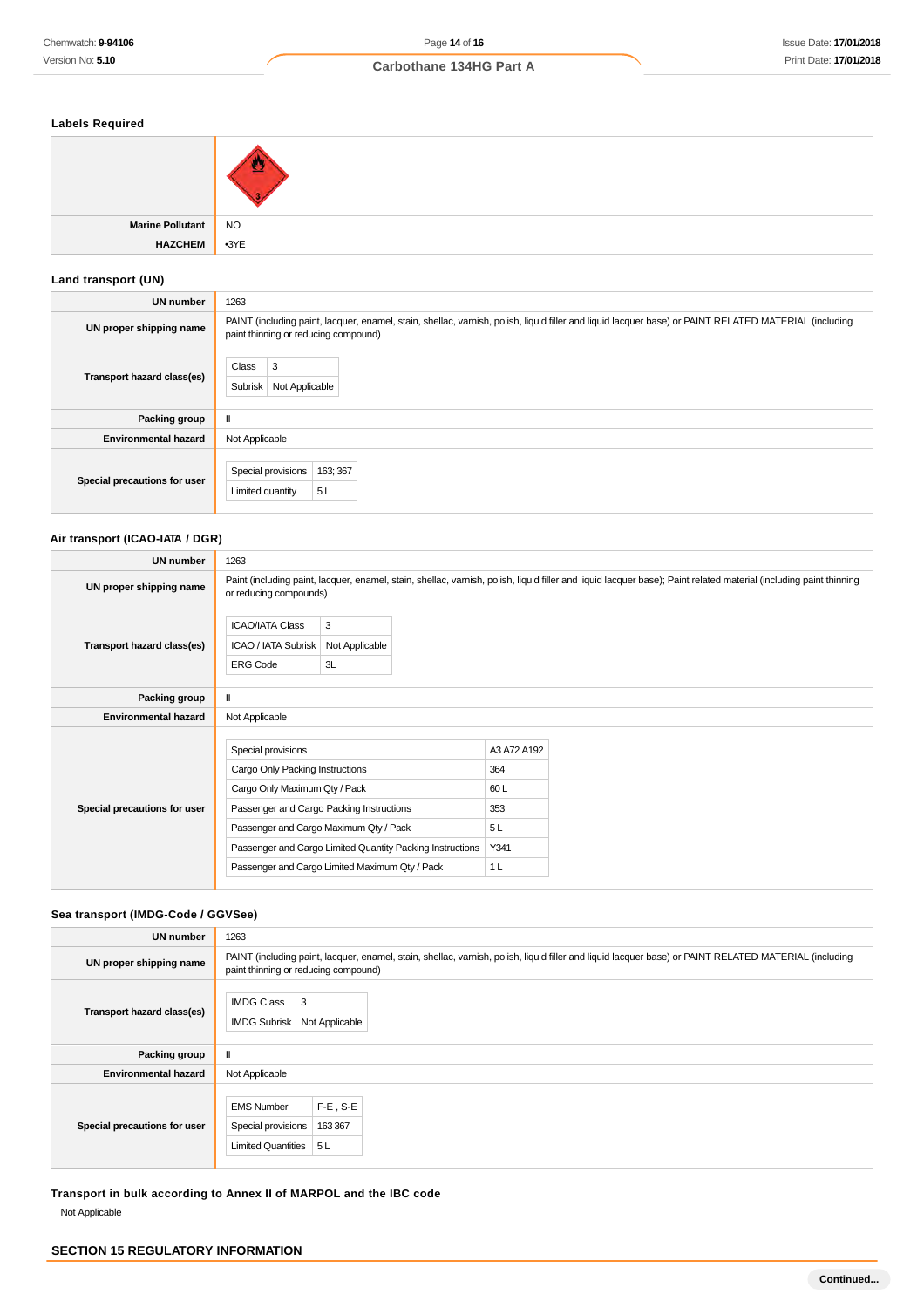## **Labels Required**

| <b>Marine Pollutant</b> | $\sqrt{10}$ |
|-------------------------|-------------|
| <b>HAZCHEM</b>          | $-3YE$      |

## **Land transport (UN)**

| <b>UN number</b>             | 1263                                                                                                                                                                                          |
|------------------------------|-----------------------------------------------------------------------------------------------------------------------------------------------------------------------------------------------|
| UN proper shipping name      | PAINT (including paint, lacquer, enamel, stain, shellac, varnish, polish, liquid filler and liquid lacquer base) or PAINT RELATED MATERIAL (including<br>paint thinning or reducing compound) |
| Transport hazard class(es)   | Class<br>3<br><b>Subrisk</b><br>Not Applicable                                                                                                                                                |
| Packing group                | $\mathbf{I}$                                                                                                                                                                                  |
| <b>Environmental hazard</b>  | Not Applicable                                                                                                                                                                                |
| Special precautions for user | Special provisions<br>163; 367<br>5L<br>Limited quantity                                                                                                                                      |

## **Air transport (ICAO-IATA / DGR)**

| <b>UN number</b>             | 1263                                                                                                                                                                         |                                                                                                             |                                                                  |                                                                                                                                                                    |
|------------------------------|------------------------------------------------------------------------------------------------------------------------------------------------------------------------------|-------------------------------------------------------------------------------------------------------------|------------------------------------------------------------------|--------------------------------------------------------------------------------------------------------------------------------------------------------------------|
| UN proper shipping name      | or reducing compounds)                                                                                                                                                       |                                                                                                             |                                                                  | Paint (including paint, lacquer, enamel, stain, shellac, varnish, polish, liquid filler and liquid lacquer base); Paint related material (including paint thinning |
| Transport hazard class(es)   | <b>ICAO/IATA Class</b><br>ICAO / IATA Subrisk<br><b>ERG Code</b>                                                                                                             | 3<br>Not Applicable<br>3L                                                                                   |                                                                  |                                                                                                                                                                    |
| Packing group                | $\mathbf{H}$                                                                                                                                                                 |                                                                                                             |                                                                  |                                                                                                                                                                    |
| <b>Environmental hazard</b>  | Not Applicable                                                                                                                                                               |                                                                                                             |                                                                  |                                                                                                                                                                    |
| Special precautions for user | Special provisions<br>Cargo Only Packing Instructions<br>Cargo Only Maximum Qty / Pack<br>Passenger and Cargo Packing Instructions<br>Passenger and Cargo Maximum Qty / Pack | Passenger and Cargo Limited Quantity Packing Instructions<br>Passenger and Cargo Limited Maximum Qty / Pack | A3 A72 A192<br>364<br>60L<br>353<br>5L<br>Y341<br>1 <sub>L</sub> |                                                                                                                                                                    |

## **Sea transport (IMDG-Code / GGVSee)**

| UN number                    | 1263                                                                                                                                                                                          |
|------------------------------|-----------------------------------------------------------------------------------------------------------------------------------------------------------------------------------------------|
| UN proper shipping name      | PAINT (including paint, lacquer, enamel, stain, shellac, varnish, polish, liquid filler and liquid lacquer base) or PAINT RELATED MATERIAL (including<br>paint thinning or reducing compound) |
| Transport hazard class(es)   | 3<br><b>IMDG Class</b><br><b>IMDG Subrisk</b><br>Not Applicable                                                                                                                               |
| Packing group                | $\mathbf{I}$                                                                                                                                                                                  |
| <b>Environmental hazard</b>  | Not Applicable                                                                                                                                                                                |
| Special precautions for user | $F-E$ , S-E<br><b>EMS Number</b><br>163 367<br>Special provisions<br>Limited Quantities $\vert 5 \, \vert$                                                                                    |

**Transport in bulk according to Annex II of MARPOL and the IBC code** Not Applicable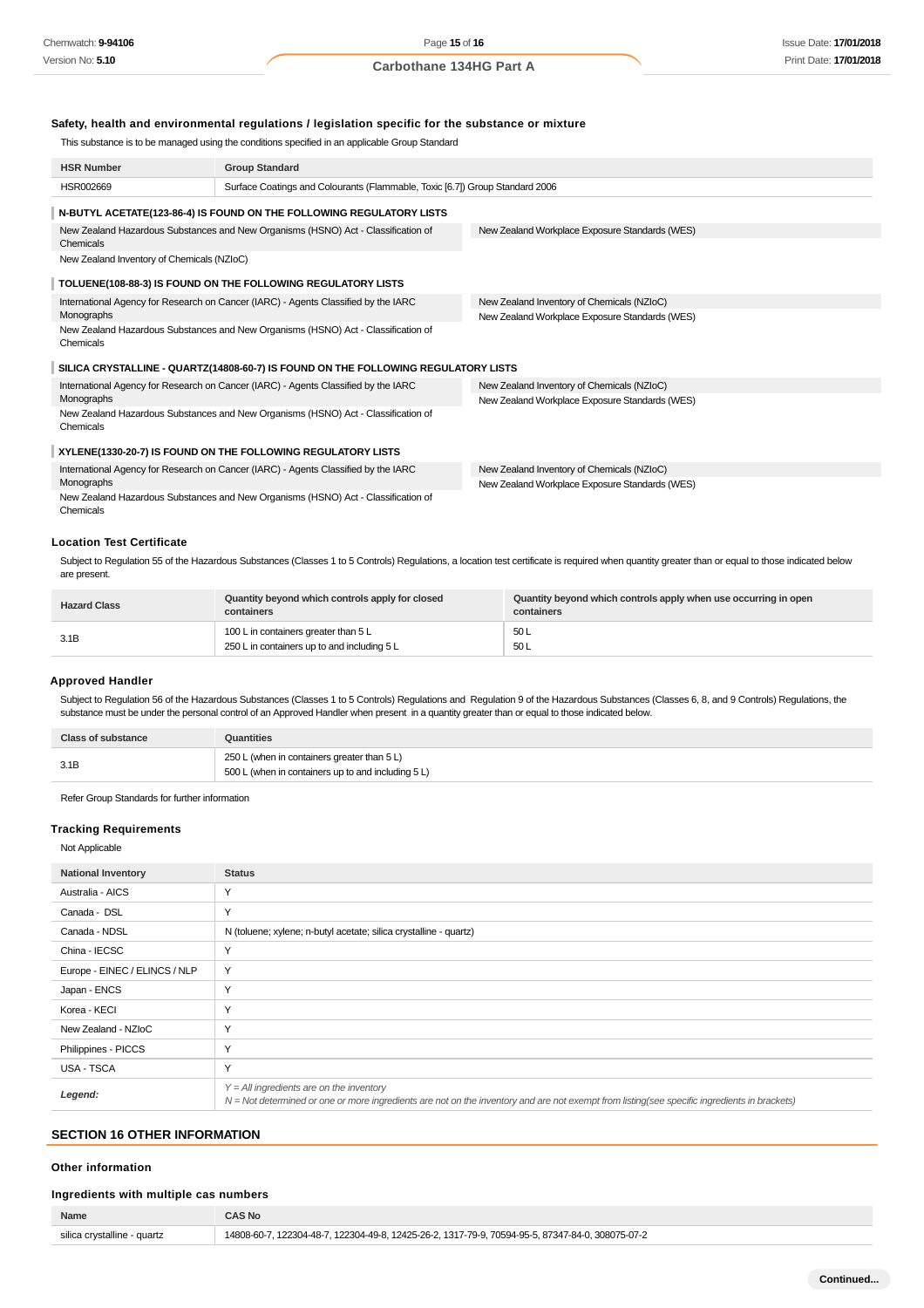#### **Safety, health and environmental regulations / legislation specific for the substance or mixture**

This substance is to be managed using the conditions specified in an applicable Group Standard

| <b>HSR Number</b>                                                                              | <b>Group Standard</b>                                                              |                                                |  |  |  |
|------------------------------------------------------------------------------------------------|------------------------------------------------------------------------------------|------------------------------------------------|--|--|--|
| HSR002669                                                                                      | Surface Coatings and Colourants (Flammable, Toxic [6.7]) Group Standard 2006       |                                                |  |  |  |
| N-BUTYL ACETATE(123-86-4) IS FOUND ON THE FOLLOWING REGULATORY LISTS                           |                                                                                    |                                                |  |  |  |
| Chemicals                                                                                      | New Zealand Hazardous Substances and New Organisms (HSNO) Act - Classification of  | New Zealand Workplace Exposure Standards (WES) |  |  |  |
| New Zealand Inventory of Chemicals (NZIoC)                                                     |                                                                                    |                                                |  |  |  |
|                                                                                                | TOLUENE(108-88-3) IS FOUND ON THE FOLLOWING REGULATORY LISTS                       |                                                |  |  |  |
|                                                                                                | International Agency for Research on Cancer (IARC) - Agents Classified by the IARC | New Zealand Inventory of Chemicals (NZIoC)     |  |  |  |
| Monographs                                                                                     |                                                                                    | New Zealand Workplace Exposure Standards (WES) |  |  |  |
| New Zealand Hazardous Substances and New Organisms (HSNO) Act - Classification of<br>Chemicals |                                                                                    |                                                |  |  |  |
|                                                                                                | SILICA CRYSTALLINE - QUARTZ(14808-60-7) IS FOUND ON THE FOLLOWING REGULATORY LISTS |                                                |  |  |  |
| International Agency for Research on Cancer (IARC) - Agents Classified by the IARC             |                                                                                    | New Zealand Inventory of Chemicals (NZIoC)     |  |  |  |
| Monographs                                                                                     |                                                                                    | New Zealand Workplace Exposure Standards (WES) |  |  |  |
| New Zealand Hazardous Substances and New Organisms (HSNO) Act - Classification of<br>Chemicals |                                                                                    |                                                |  |  |  |
| XYLENE(1330-20-7) IS FOUND ON THE FOLLOWING REGULATORY LISTS                                   |                                                                                    |                                                |  |  |  |
| International Agency for Research on Cancer (IARC) - Agents Classified by the IARC             |                                                                                    | New Zealand Inventory of Chemicals (NZIoC)     |  |  |  |
| Monographs                                                                                     |                                                                                    | New Zealand Workplace Exposure Standards (WES) |  |  |  |
| New Zealand Hazardous Substances and New Organisms (HSNO) Act - Classification of<br>Chemicals |                                                                                    |                                                |  |  |  |

## **Location Test Certificate**

Subject to Regulation 55 of the Hazardous Substances (Classes 1 to 5 Controls) Regulations, a location test certificate is required when quantity greater than or equal to those indicated below are present.

| <b>Hazard Class</b> | Quantity beyond which controls apply for closed<br>containers                       | Quantity beyond which controls apply when use occurring in open<br>containers |
|---------------------|-------------------------------------------------------------------------------------|-------------------------------------------------------------------------------|
| 3.1B                | 100 L in containers greater than 5 L<br>250 L in containers up to and including 5 L | 50L<br>50L                                                                    |

#### **Approved Handler**

Subject to Regulation 56 of the Hazardous Substances (Classes 1 to 5 Controls) Regulations and Regulation 9 of the Hazardous Substances (Classes 6, 8, and 9 Controls) Regulations, the substance must be under the personal control of an Approved Handler when present in a quantity greater than or equal to those indicated below.

| <b>Class of substance</b> | Quantities                                         |
|---------------------------|----------------------------------------------------|
| 3.1B                      | 250 L (when in containers greater than 5 L)        |
|                           | 500 L (when in containers up to and including 5 L) |

Refer Group Standards for further information

#### **Tracking Requirements**

#### Not Applicable

| <b>National Inventory</b>     | <b>Status</b>                                                                                                                                                                              |
|-------------------------------|--------------------------------------------------------------------------------------------------------------------------------------------------------------------------------------------|
| Australia - AICS              | Υ                                                                                                                                                                                          |
| Canada - DSL                  | Υ                                                                                                                                                                                          |
| Canada - NDSL                 | N (toluene; xylene; n-butyl acetate; silica crystalline - quartz)                                                                                                                          |
| China - IECSC                 | Y                                                                                                                                                                                          |
| Europe - EINEC / ELINCS / NLP | Y                                                                                                                                                                                          |
| Japan - ENCS                  | Υ                                                                                                                                                                                          |
| Korea - KECI                  | Y                                                                                                                                                                                          |
| New Zealand - NZIoC           | Υ                                                                                                                                                                                          |
| Philippines - PICCS           | Υ                                                                                                                                                                                          |
| <b>USA - TSCA</b>             | Υ                                                                                                                                                                                          |
| Legend:                       | $Y = All$ ingredients are on the inventory<br>N = Not determined or one or more ingredients are not on the inventory and are not exempt from listing(see specific ingredients in brackets) |

## **SECTION 16 OTHER INFORMATION**

#### **Other information**

#### **Ingredients with multiple cas numbers**

| <b>Name</b>                 | CAS No                                                                                           |
|-----------------------------|--------------------------------------------------------------------------------------------------|
| silica crystalline - quartz | 14808-60-7, 122304-48-7, 122304-49-8, 12425-26-2, 1317-79-9, 70594-95-5, 87347-84-0, 308075-07-2 |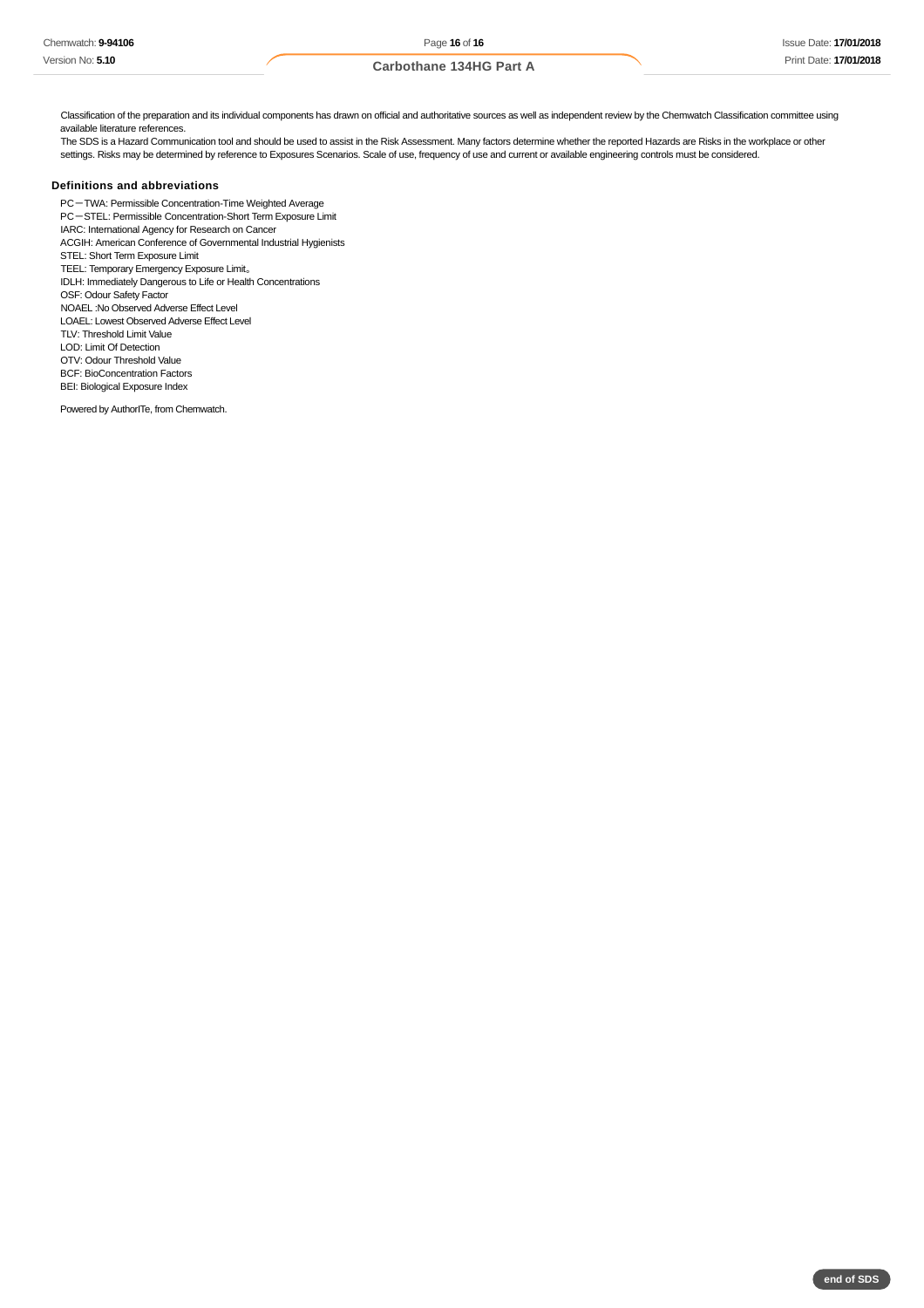Classification of the preparation and its individual components has drawn on official and authoritative sources as well as independent review by the Chemwatch Classification committee using available literature references.

The SDS is a Hazard Communication tool and should be used to assist in the Risk Assessment. Many factors determine whether the reported Hazards are Risks in the workplace or other settings. Risks may be determined by reference to Exposures Scenarios. Scale of use, frequency of use and current or available engineering controls must be considered.

#### **Definitions and abbreviations**

PC-TWA: Permissible Concentration-Time Weighted Average PC-STEL: Permissible Concentration-Short Term Exposure Limit IARC: International Agency for Research on Cancer ACGIH: American Conference of Governmental Industrial Hygienists STEL: Short Term Exposure Limit TEEL: Temporary Emergency Exposure Limit。 IDLH: Immediately Dangerous to Life or Health Concentrations OSF: Odour Safety Factor NOAEL :No Observed Adverse Effect Level LOAEL: Lowest Observed Adverse Effect Level TLV: Threshold Limit Value LOD: Limit Of Detection OTV: Odour Threshold Value BCF: BioConcentration Factors BEI: Biological Exposure Index

Powered by AuthorITe, from Chemwatch.

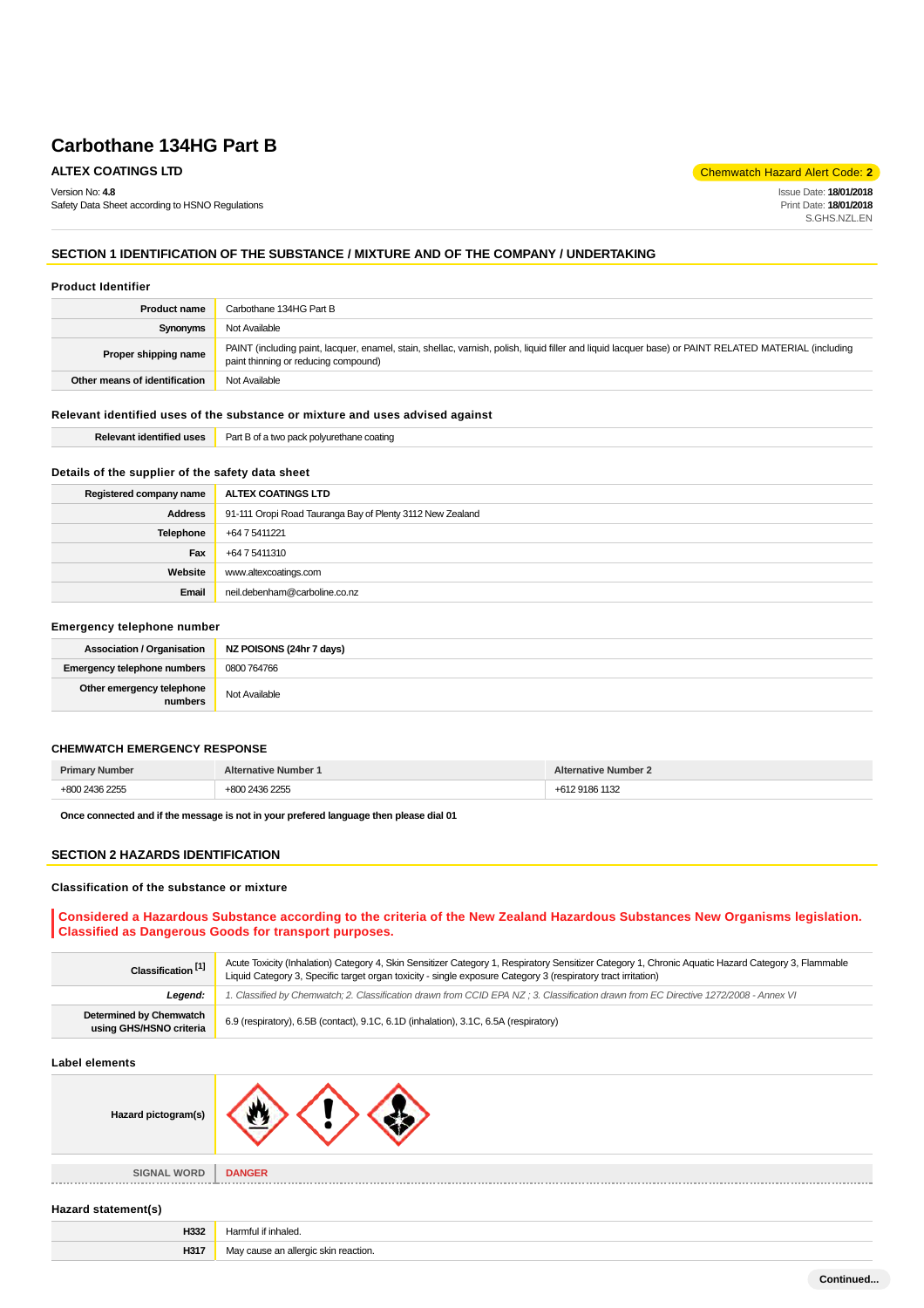Version No: **4.8**

Safety Data Sheet according to HSNO Regulations

**ALTEX COATINGS LTD Chemwatch Hazard Alert Code: 2** 

Issue Date: **18/01/2018** Print Date: **18/01/2018** S.GHS.NZL.EN

## **SECTION 1 IDENTIFICATION OF THE SUBSTANCE / MIXTURE AND OF THE COMPANY / UNDERTAKING**

#### **Product Identifier**

| <b>Product name</b>           | Carbothane 134HG Part B                                                                                                                                                                       |
|-------------------------------|-----------------------------------------------------------------------------------------------------------------------------------------------------------------------------------------------|
| Synonyms                      | Not Available                                                                                                                                                                                 |
| Proper shipping name          | PAINT (including paint, lacquer, enamel, stain, shellac, varnish, polish, liquid filler and liquid lacquer base) or PAINT RELATED MATERIAL (including<br>paint thinning or reducing compound) |
| Other means of identification | Not Available                                                                                                                                                                                 |

#### **Relevant identified uses of the substance or mixture and uses advised against**

| * "dentified uses"<br>⊷ | יart<br>$\sim$<br>יוממי<br>. 1.02<br>:oatino<br>янане. |
|-------------------------|--------------------------------------------------------|
|                         |                                                        |

#### **Details of the supplier of the safety data sheet**

| Registered company name | ALTEX COATINGS LTD                                        |
|-------------------------|-----------------------------------------------------------|
| <b>Address</b>          | 91-111 Oropi Road Tauranga Bay of Plenty 3112 New Zealand |
| Telephone               | +64 7 5411221                                             |
| Fax                     | +64 7 5411310                                             |
| Website                 | www.altexcoatings.com                                     |
| Email                   | neil.debenham@carboline.co.nz                             |

#### **Emergency telephone number**

|                                      | Association / Organisation   NZ POISONS (24hr 7 days) |
|--------------------------------------|-------------------------------------------------------|
| <b>Emergency telephone numbers</b>   | 0800 764766                                           |
| Other emergency telephone<br>numbers | Not Available                                         |

#### **CHEMWATCH EMERGENCY RESPONSE**

|  | . |
|--|---|

**Once connected and if the message is not in your prefered language then please dial 01**

#### **SECTION 2 HAZARDS IDENTIFICATION**

#### **Classification of the substance or mixture**

## **Considered a Hazardous Substance according to the criteria of the New Zealand Hazardous Substances New Organisms legislation. Classified as Dangerous Goods for transport purposes.**

| Classification <sup>[1]</sup>                      | Acute Toxicity (Inhalation) Category 4, Skin Sensitizer Category 1, Respiratory Sensitizer Category 1, Chronic Aquatic Hazard Category 3, Flammable<br>Liquid Category 3, Specific target organ toxicity - single exposure Category 3 (respiratory tract irritation) |  |
|----------------------------------------------------|----------------------------------------------------------------------------------------------------------------------------------------------------------------------------------------------------------------------------------------------------------------------|--|
| Leaend:                                            | 1. Classified by Chemwatch; 2. Classification drawn from CCID EPA NZ ; 3. Classification drawn from EC Directive 1272/2008 - Annex VI                                                                                                                                |  |
| Determined by Chemwatch<br>using GHS/HSNO criteria | 6.9 (respiratory), 6.5B (contact), 9.1C, 6.1D (inhalation), 3.1C, 6.5A (respiratory)                                                                                                                                                                                 |  |

#### **Label elements**

| Hazard pictogram(s) |                                      |
|---------------------|--------------------------------------|
| <b>SIGNAL WORD</b>  | <b>DANGER</b>                        |
| Hazard statement(s) |                                      |
| H332                | Harmful if inhaled.                  |
| H317                | May cause an allergic skin reaction. |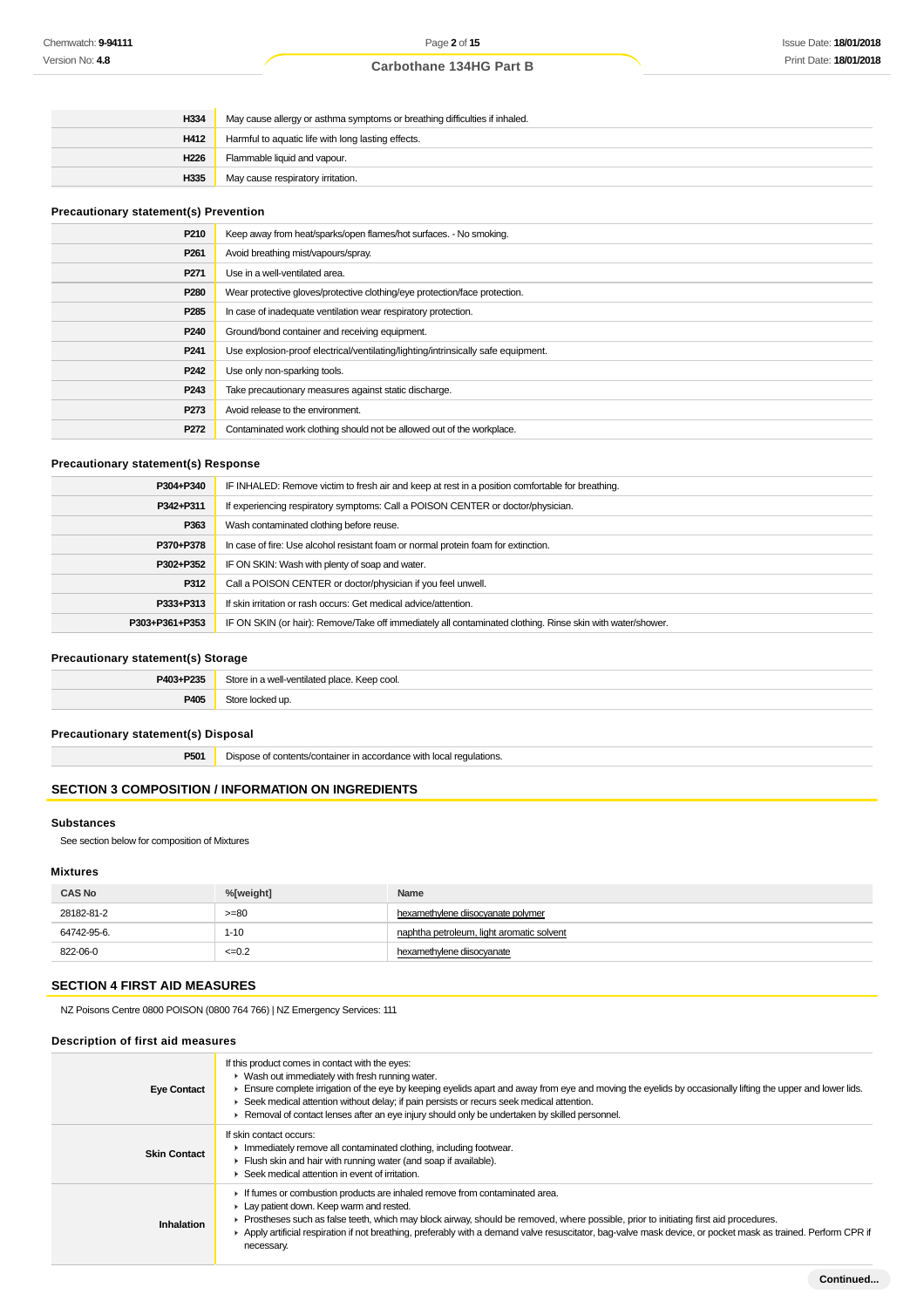| H334             | May cause allergy or asthma symptoms or breathing difficulties if inhaled. |
|------------------|----------------------------------------------------------------------------|
| H412             | Harmful to aquatic life with long lasting effects.                         |
| H <sub>226</sub> | Flammable liquid and vapour.                                               |
| H335             | May cause respiratory irritation.                                          |

## **Precautionary statement(s) Prevention**

| Keep away from heat/sparks/open flames/hot surfaces. - No smoking.                |
|-----------------------------------------------------------------------------------|
| Avoid breathing mist/vapours/spray.                                               |
| Use in a well-ventilated area.                                                    |
| Wear protective gloves/protective clothing/eye protection/face protection.        |
| In case of inadequate ventilation wear respiratory protection.                    |
| Ground/bond container and receiving equipment.                                    |
| Use explosion-proof electrical/ventilating/lighting/intrinsically safe equipment. |
| Use only non-sparking tools.                                                      |
| Take precautionary measures against static discharge.                             |
| Avoid release to the environment.                                                 |
| Contaminated work clothing should not be allowed out of the workplace.            |
|                                                                                   |

## **Precautionary statement(s) Response**

| P304+P340      | IF INHALED: Remove victim to fresh air and keep at rest in a position comfortable for breathing.           |
|----------------|------------------------------------------------------------------------------------------------------------|
| P342+P311      | If experiencing respiratory symptoms: Call a POISON CENTER or doctor/physician.                            |
| P363           | Wash contaminated clothing before reuse.                                                                   |
| P370+P378      | In case of fire: Use alcohol resistant foam or normal protein foam for extinction.                         |
| P302+P352      | IF ON SKIN: Wash with plenty of soap and water.                                                            |
| P312           | Call a POISON CENTER or doctor/physician if you feel unwell.                                               |
| P333+P313      | If skin irritation or rash occurs: Get medical advice/attention.                                           |
| P303+P361+P353 | IF ON SKIN (or hair): Remove/Take off immediately all contaminated clothing. Rinse skin with water/shower. |

## **Precautionary statement(s) Storage**

| P403+P235 | Store in a well-ventilated place. Keep cool.<br>. |
|-----------|---------------------------------------------------|
| P40       |                                                   |

## **Precautionary statement(s) Disposal**

**P501** Dispose of contents/container in accordance with local regulations.

## **SECTION 3 COMPOSITION / INFORMATION ON INGREDIENTS**

#### **Substances**

See section below for composition of Mixtures

#### **Mixtures**

| <b>CAS No</b> | %[weight] | Name                                      |  |  |  |
|---------------|-----------|-------------------------------------------|--|--|--|
| 28182-81-2    | $>= 80$   | hexamethylene diisocyanate polymer        |  |  |  |
| 64742-95-6.   | $1 - 10$  | naphtha petroleum, light aromatic solvent |  |  |  |
| 822-06-0      | $=0.2$    | hexamethylene diisocyanate                |  |  |  |

## **SECTION 4 FIRST AID MEASURES**

NZ Poisons Centre 0800 POISON (0800 764 766) | NZ Emergency Services: 111

#### **Description of first aid measures**

| <b>Eye Contact</b>  | If this product comes in contact with the eyes:<br>• Wash out immediately with fresh running water.<br>Ensure complete irrigation of the eye by keeping eyelids apart and away from eye and moving the eyelids by occasionally lifting the upper and lower lids.<br>► Seek medical attention without delay; if pain persists or recurs seek medical attention.<br>Removal of contact lenses after an eye injury should only be undertaken by skilled personnel. |
|---------------------|-----------------------------------------------------------------------------------------------------------------------------------------------------------------------------------------------------------------------------------------------------------------------------------------------------------------------------------------------------------------------------------------------------------------------------------------------------------------|
| <b>Skin Contact</b> | If skin contact occurs:<br>Immediately remove all contaminated clothing, including footwear.<br>Flush skin and hair with running water (and soap if available).<br>$\blacktriangleright$ Seek medical attention in event of irritation.                                                                                                                                                                                                                         |
| Inhalation          | If fumes or combustion products are inhaled remove from contaminated area.<br>Lay patient down. Keep warm and rested.<br>► Prostheses such as false teeth, which may block airway, should be removed, where possible, prior to initiating first aid procedures.<br>▶ Apply artificial respiration if not breathing, preferably with a demand valve resuscitator, bag-valve mask device, or pocket mask as trained. Perform CPR if<br>necessary.                 |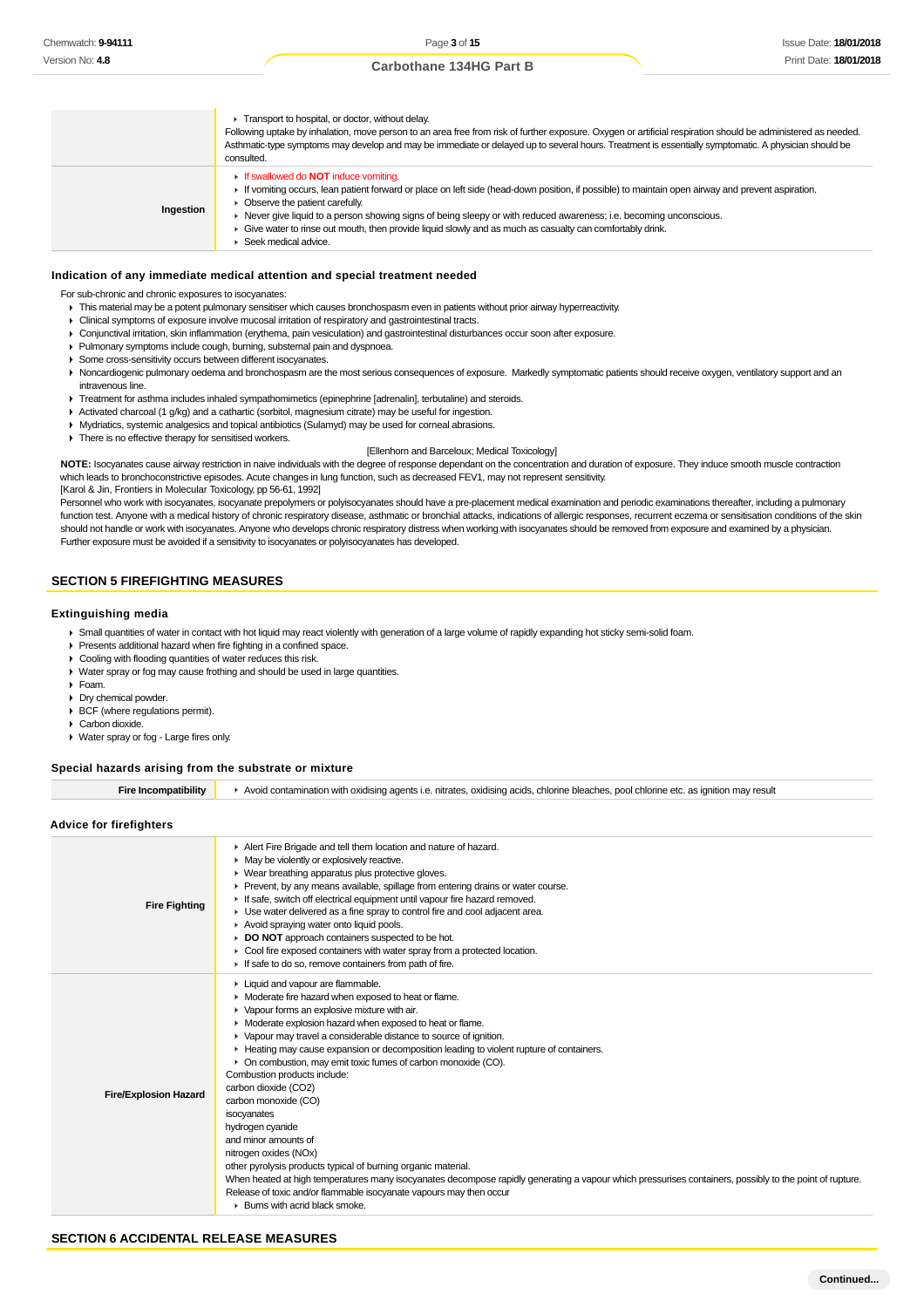|           | Transport to hospital, or doctor, without delay.<br>Following uptake by inhalation, move person to an area free from risk of further exposure. Oxygen or artificial respiration should be administered as needed.<br>Asthmatic-type symptoms may develop and may be immediate or delayed up to several hours. Treatment is essentially symptomatic. A physician should be<br>consulted.                                                                                                          |
|-----------|--------------------------------------------------------------------------------------------------------------------------------------------------------------------------------------------------------------------------------------------------------------------------------------------------------------------------------------------------------------------------------------------------------------------------------------------------------------------------------------------------|
| Ingestion | <b>If swallowed do NOT induce vomiting.</b><br>If vomiting occurs, lean patient forward or place on left side (head-down position, if possible) to maintain open airway and prevent aspiration.<br>• Observe the patient carefully.<br>► Never give liquid to a person showing signs of being sleepy or with reduced awareness; i.e. becoming unconscious.<br>► Give water to rinse out mouth, then provide liquid slowly and as much as casualty can comfortably drink.<br>Seek medical advice. |

#### **Indication of any immediate medical attention and special treatment needed**

For sub-chronic and chronic exposures to isocyanates:

- This material may be a potent pulmonary sensitiser which causes bronchospasm even in patients without prior airway hyperreactivity.
- Clinical symptoms of exposure involve mucosal irritation of respiratory and gastrointestinal tracts.
- Conjunctival irritation, skin inflammation (erythema, pain vesiculation) and gastrointestinal disturbances occur soon after exposure.
- Pulmonary symptoms include cough, burning, substernal pain and dyspnoea.
- Some cross-sensitivity occurs between different isocyanates.
- ▶ Noncardiogenic pulmonary oedema and bronchospasm are the most serious consequences of exposure. Markedly symptomatic patients should receive oxygen, ventilatory support and an intravenous line.
- Treatment for asthma includes inhaled sympathomimetics (epinephrine [adrenalin], terbutaline) and steroids.
- Activated charcoal (1 g/kg) and a cathartic (sorbitol, magnesium citrate) may be useful for ingestion.
- Mydriatics, systemic analgesics and topical antibiotics (Sulamyd) may be used for corneal abrasions.
- $\triangleright$  There is no effective therapy for sensitised workers.

#### [Ellenhorn and Barceloux; Medical Toxicology]

**NOTE:** Isocyanates cause airway restriction in naive individuals with the degree of response dependant on the concentration and duration of exposure. They induce smooth muscle contraction which leads to bronchoconstrictive episodes. Acute changes in lung function, such as decreased FEV1, may not represent sensitivity.

[Karol & Jin, Frontiers in Molecular Toxicology, pp 56-61, 1992]

Personnel who work with isocyanates, isocyanate prepolymers or polyisocyanates should have a pre-placement medical examination and periodic examinations thereafter, including a pulmonary function test. Anyone with a medical history of chronic respiratory disease, asthmatic or bronchial attacks, indications of allergic responses, recurrent eczema or sensitisation conditions of the skin should not handle or work with isocyanates. Anyone who develops chronic respiratory distress when working with isocyanates should be removed from exposure and examined by a physician. Further exposure must be avoided if a sensitivity to isocyanates or polyisocyanates has developed.

### **SECTION 5 FIREFIGHTING MEASURES**

#### **Extinguishing media**

- Small quantities of water in contact with hot liquid may react violently with generation of a large volume of rapidly expanding hot sticky semi-solid foam.
- Presents additional hazard when fire fighting in a confined space.
- ▶ Cooling with flooding quantities of water reduces this risk.
- Water spray or fog may cause frothing and should be used in large quantities.
- Foam.
- Dry chemical powder.
- BCF (where regulations permit).
- Carbon dioxide.
- Water spray or fog Large fires only.

#### **Special hazards arising from the substrate or mixture**

| Fire Incompatibility | Avoid contamination with oxidising agents i.e. nitrates, oxidising acids, chlorine bleaches, pool chlorine etc. as ignition may result |
|----------------------|----------------------------------------------------------------------------------------------------------------------------------------|
|----------------------|----------------------------------------------------------------------------------------------------------------------------------------|

#### **Advice for firefighters**

| <b>Fire Fighting</b>         | Alert Fire Brigade and tell them location and nature of hazard.<br>• May be violently or explosively reactive.<br>▶ Wear breathing apparatus plus protective gloves.<br>▶ Prevent, by any means available, spillage from entering drains or water course.<br>If safe, switch off electrical equipment until vapour fire hazard removed.<br>• Use water delivered as a fine spray to control fire and cool adjacent area.<br>Avoid spraying water onto liquid pools.<br>DO NOT approach containers suspected to be hot.<br>• Cool fire exposed containers with water spray from a protected location.<br>If safe to do so, remove containers from path of fire.                                                                                                                                                                                                                                                                                                               |
|------------------------------|------------------------------------------------------------------------------------------------------------------------------------------------------------------------------------------------------------------------------------------------------------------------------------------------------------------------------------------------------------------------------------------------------------------------------------------------------------------------------------------------------------------------------------------------------------------------------------------------------------------------------------------------------------------------------------------------------------------------------------------------------------------------------------------------------------------------------------------------------------------------------------------------------------------------------------------------------------------------------|
| <b>Fire/Explosion Hazard</b> | ► Liquid and vapour are flammable.<br>• Moderate fire hazard when exposed to heat or flame.<br>• Vapour forms an explosive mixture with air.<br>• Moderate explosion hazard when exposed to heat or flame.<br>• Vapour may travel a considerable distance to source of ignition.<br>► Heating may cause expansion or decomposition leading to violent rupture of containers.<br>• On combustion, may emit toxic fumes of carbon monoxide (CO).<br>Combustion products include:<br>carbon dioxide (CO2)<br>carbon monoxide (CO)<br>isocyanates<br>hydrogen cyanide<br>and minor amounts of<br>nitrogen oxides (NOx)<br>other pyrolysis products typical of burning organic material.<br>When heated at high temperatures many isocyanates decompose rapidly generating a vapour which pressurises containers, possibly to the point of rupture.<br>Release of toxic and/or flammable isocyanate vapours may then occur<br>$\blacktriangleright$ Burns with acrid black smoke. |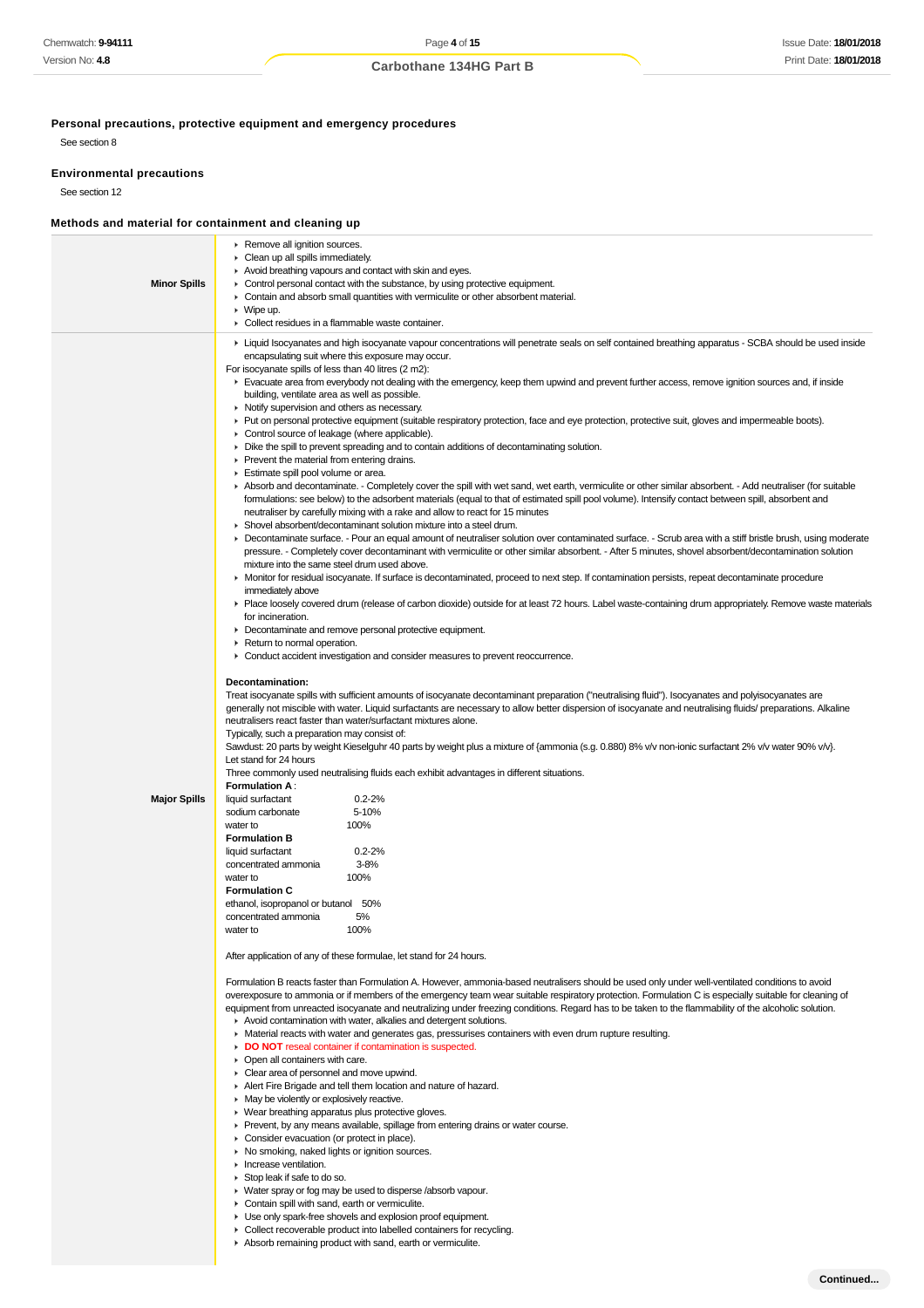**Personal precautions, protective equipment and emergency procedures**

See section 8

#### **Environmental precautions**

See section 12

## **Methods and material for containment and cleaning up**

| <b>Minor Spills</b> | ▶ Remove all ignition sources.<br>• Clean up all spills immediately.<br>Avoid breathing vapours and contact with skin and eyes.<br>$\triangleright$ Control personal contact with the substance, by using protective equipment.<br>• Contain and absorb small quantities with vermiculite or other absorbent material.<br>$\triangleright$ Wipe up.<br>Collect residues in a flammable waste container.                                                                                                                                                                                                                                                                                                                                                                                                                                                                                                                                                                                                                                                                                                                                                                                                                                                                                                                                                                                                                                                                                                                                                                                                                                                                                                                                                                                                                                                                                                                                                                                                                                                                                                                                                                                                                                                                                                                                                                                                                                                                                                                                                                                                                                                                                                                                                                                                                                                                                                                                                                                                                                                                                                                                                                                                                                                                                                                                                                                                                                                                                                                                                                                                                                                                                                                                                                                                                                                                                                                                                                                                                                                                                                                                                                                                                                                                                                                                                                                                                                                                                                                                                                                                                                                                                                        |  |  |  |  |  |
|---------------------|----------------------------------------------------------------------------------------------------------------------------------------------------------------------------------------------------------------------------------------------------------------------------------------------------------------------------------------------------------------------------------------------------------------------------------------------------------------------------------------------------------------------------------------------------------------------------------------------------------------------------------------------------------------------------------------------------------------------------------------------------------------------------------------------------------------------------------------------------------------------------------------------------------------------------------------------------------------------------------------------------------------------------------------------------------------------------------------------------------------------------------------------------------------------------------------------------------------------------------------------------------------------------------------------------------------------------------------------------------------------------------------------------------------------------------------------------------------------------------------------------------------------------------------------------------------------------------------------------------------------------------------------------------------------------------------------------------------------------------------------------------------------------------------------------------------------------------------------------------------------------------------------------------------------------------------------------------------------------------------------------------------------------------------------------------------------------------------------------------------------------------------------------------------------------------------------------------------------------------------------------------------------------------------------------------------------------------------------------------------------------------------------------------------------------------------------------------------------------------------------------------------------------------------------------------------------------------------------------------------------------------------------------------------------------------------------------------------------------------------------------------------------------------------------------------------------------------------------------------------------------------------------------------------------------------------------------------------------------------------------------------------------------------------------------------------------------------------------------------------------------------------------------------------------------------------------------------------------------------------------------------------------------------------------------------------------------------------------------------------------------------------------------------------------------------------------------------------------------------------------------------------------------------------------------------------------------------------------------------------------------------------------------------------------------------------------------------------------------------------------------------------------------------------------------------------------------------------------------------------------------------------------------------------------------------------------------------------------------------------------------------------------------------------------------------------------------------------------------------------------------------------------------------------------------------------------------------------------------------------------------------------------------------------------------------------------------------------------------------------------------------------------------------------------------------------------------------------------------------------------------------------------------------------------------------------------------------------------------------------------------------------------------------------------------------------------------------------|--|--|--|--|--|
| <b>Major Spills</b> | ► Liquid Isocyanates and high isocyanate vapour concentrations will penetrate seals on self contained breathing apparatus - SCBA should be used inside<br>encapsulating suit where this exposure may occur.<br>For isocyanate spills of less than 40 litres (2 m2):<br>Evacuate area from everybody not dealing with the emergency, keep them upwind and prevent further access, remove ignition sources and, if inside<br>building, ventilate area as well as possible.<br>• Notify supervision and others as necessary.<br>► Put on personal protective equipment (suitable respiratory protection, face and eye protection, protective suit, gloves and impermeable boots).<br>• Control source of leakage (where applicable).<br>• Dike the spill to prevent spreading and to contain additions of decontaminating solution.<br>• Prevent the material from entering drains.<br>Estimate spill pool volume or area.<br>Absorb and decontaminate. - Completely cover the spill with wet sand, wet earth, vermiculite or other similar absorbent. - Add neutraliser (for suitable<br>formulations: see below) to the adsorbent materials (equal to that of estimated spill pool volume). Intensify contact between spill, absorbent and<br>neutraliser by carefully mixing with a rake and allow to react for 15 minutes<br>• Shovel absorbent/decontaminant solution mixture into a steel drum.<br>▶ Decontaminate surface. - Pour an equal amount of neutraliser solution over contaminated surface. - Scrub area with a stiff bristle brush, using moderate<br>pressure. - Completely cover decontaminant with vermiculite or other similar absorbent. - After 5 minutes, shovel absorbent/decontamination solution<br>mixture into the same steel drum used above.<br>• Monitor for residual isocyanate. If surface is decontaminated, proceed to next step. If contamination persists, repeat decontaminate procedure<br>immediately above<br>▶ Place loosely covered drum (release of carbon dioxide) outside for at least 72 hours. Label waste-containing drum appropriately. Remove waste materials<br>for incineration.<br>• Decontaminate and remove personal protective equipment.<br>Return to normal operation.<br>• Conduct accident investigation and consider measures to prevent reoccurrence.<br>Decontamination:<br>Treat isocyanate spills with sufficient amounts of isocyanate decontaminant preparation ("neutralising fluid"). Isocyanates and polyisocyanates are<br>generally not miscible with water. Liquid surfactants are necessary to allow better dispersion of isocyanate and neutralising fluids/ preparations. Alkaline<br>neutralisers react faster than water/surfactant mixtures alone.<br>Typically, such a preparation may consist of:<br>Sawdust: 20 parts by weight Kieselguhr 40 parts by weight plus a mixture of {ammonia (s.g. 0.880) 8% v/v non-ionic surfactant 2% v/v water 90% v/v}.<br>Let stand for 24 hours<br>Three commonly used neutralising fluids each exhibit advantages in different situations.<br><b>Formulation A:</b><br>$0.2 - 2%$<br>liquid surfactant<br>5-10%<br>sodium carbonate<br>100%<br>water to<br><b>Formulation B</b><br>$0.2 - 2%$<br>liquid surfactant<br>$3 - 8%$<br>concentrated ammonia<br>water to<br>100%<br><b>Formulation C</b><br>ethanol, isopropanol or butanol 50%<br>concentrated ammonia<br>5%<br>100%<br>water to<br>After application of any of these formulae, let stand for 24 hours.<br>Formulation B reacts faster than Formulation A. However, ammonia-based neutralisers should be used only under well-ventilated conditions to avoid<br>overexposure to ammonia or if members of the emergency team wear suitable respiratory protection. Formulation C is especially suitable for cleaning of<br>equipment from unreacted isocyanate and neutralizing under freezing conditions. Regard has to be taken to the flammability of the alcoholic solution.<br>Avoid contamination with water, alkalies and detergent solutions.<br>• Material reacts with water and generates gas, pressurises containers with even drum rupture resulting.<br>DO NOT reseal container if contamination is suspected.<br>• Open all containers with care.<br>Clear area of personnel and move upwind.<br>Alert Fire Brigade and tell them location and nature of hazard.<br>• May be violently or explosively reactive.<br>• Wear breathing apparatus plus protective gloves.<br>Prevent, by any means available, spillage from entering drains or water course.<br>Consider evacuation (or protect in place).<br>▶ No smoking, naked lights or ignition sources.<br>Increase ventilation.<br>Stop leak if safe to do so. |  |  |  |  |  |
|                     | • Water spray or fog may be used to disperse /absorb vapour.<br>Contain spill with cand parth or varmioulita                                                                                                                                                                                                                                                                                                                                                                                                                                                                                                                                                                                                                                                                                                                                                                                                                                                                                                                                                                                                                                                                                                                                                                                                                                                                                                                                                                                                                                                                                                                                                                                                                                                                                                                                                                                                                                                                                                                                                                                                                                                                                                                                                                                                                                                                                                                                                                                                                                                                                                                                                                                                                                                                                                                                                                                                                                                                                                                                                                                                                                                                                                                                                                                                                                                                                                                                                                                                                                                                                                                                                                                                                                                                                                                                                                                                                                                                                                                                                                                                                                                                                                                                                                                                                                                                                                                                                                                                                                                                                                                                                                                                   |  |  |  |  |  |

- Contain spill with sand, earth or vermiculite.
- Use only spark-free shovels and explosion proof equipment.
- ▶ Collect recoverable product into labelled containers for recycling.
- Absorb remaining product with sand, earth or vermiculite.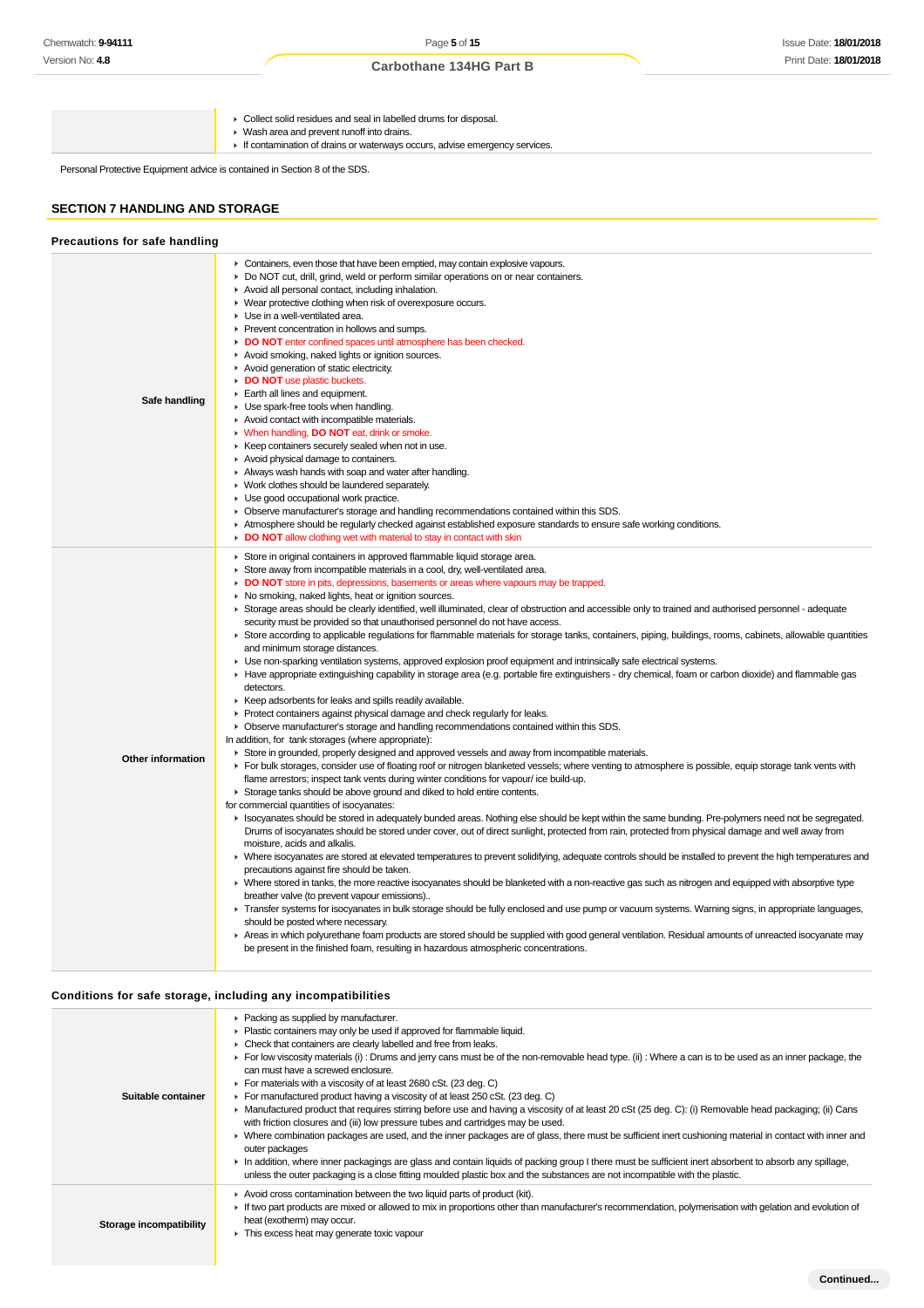- Collect solid residues and seal in labelled drums for disposal.
- Wash area and prevent runoff into drains.
	- If contamination of drains or waterways occurs, advise emergency services.

Personal Protective Equipment advice is contained in Section 8 of the SDS.

#### **SECTION 7 HANDLING AND STORAGE**

| Precautions for safe handling |                                                                                                                                                                                                                                                                                                                                                                                                                                                                                                                                                                                                                                                                                                                                                                                                                                                                                                                                                                                                                                                                                                                                                                                                                                                                                                                                                                                                                                                                                                                                                                                                                                                                                                                                                                                                                                                                                                                                                                                                                                                                                                                                                                                                                                                                                                                                                                                                                                                                                                                                                                                                                                                                                                                                                                                                                                                                                                                                                                                                                                                   |
|-------------------------------|---------------------------------------------------------------------------------------------------------------------------------------------------------------------------------------------------------------------------------------------------------------------------------------------------------------------------------------------------------------------------------------------------------------------------------------------------------------------------------------------------------------------------------------------------------------------------------------------------------------------------------------------------------------------------------------------------------------------------------------------------------------------------------------------------------------------------------------------------------------------------------------------------------------------------------------------------------------------------------------------------------------------------------------------------------------------------------------------------------------------------------------------------------------------------------------------------------------------------------------------------------------------------------------------------------------------------------------------------------------------------------------------------------------------------------------------------------------------------------------------------------------------------------------------------------------------------------------------------------------------------------------------------------------------------------------------------------------------------------------------------------------------------------------------------------------------------------------------------------------------------------------------------------------------------------------------------------------------------------------------------------------------------------------------------------------------------------------------------------------------------------------------------------------------------------------------------------------------------------------------------------------------------------------------------------------------------------------------------------------------------------------------------------------------------------------------------------------------------------------------------------------------------------------------------------------------------------------------------------------------------------------------------------------------------------------------------------------------------------------------------------------------------------------------------------------------------------------------------------------------------------------------------------------------------------------------------------------------------------------------------------------------------------------------------|
| Safe handling                 | • Containers, even those that have been emptied, may contain explosive vapours.<br>► Do NOT cut, drill, grind, weld or perform similar operations on or near containers.<br>Avoid all personal contact, including inhalation.<br>• Wear protective clothing when risk of overexposure occurs.<br>Use in a well-ventilated area.<br>▶ Prevent concentration in hollows and sumps.<br>DO NOT enter confined spaces until atmosphere has been checked.<br>Avoid smoking, naked lights or ignition sources.<br>Avoid generation of static electricity.<br>DO NOT use plastic buckets.<br>Earth all lines and equipment.<br>• Use spark-free tools when handling.<br>Avoid contact with incompatible materials.<br>• When handling, <b>DO NOT</b> eat, drink or smoke.<br>▶ Keep containers securely sealed when not in use.<br>Avoid physical damage to containers.<br>Always wash hands with soap and water after handling.<br>• Work clothes should be laundered separately.<br>• Use good occupational work practice.<br>▶ Observe manufacturer's storage and handling recommendations contained within this SDS.<br>Atmosphere should be regularly checked against established exposure standards to ensure safe working conditions.<br>• DO NOT allow clothing wet with material to stay in contact with skin                                                                                                                                                                                                                                                                                                                                                                                                                                                                                                                                                                                                                                                                                                                                                                                                                                                                                                                                                                                                                                                                                                                                                                                                                                                                                                                                                                                                                                                                                                                                                                                                                                                                                                                                    |
| Other information             | Store in original containers in approved flammable liquid storage area.<br>• Store away from incompatible materials in a cool, dry, well-ventilated area.<br>DO NOT store in pits, depressions, basements or areas where vapours may be trapped.<br>• No smoking, naked lights, heat or ignition sources.<br>► Storage areas should be clearly identified, well illuminated, clear of obstruction and accessible only to trained and authorised personnel - adequate<br>security must be provided so that unauthorised personnel do not have access.<br>▶ Store according to applicable regulations for flammable materials for storage tanks, containers, piping, buildings, rooms, cabinets, allowable quantities<br>and minimum storage distances.<br>• Use non-sparking ventilation systems, approved explosion proof equipment and intrinsically safe electrical systems.<br>Have appropriate extinguishing capability in storage area (e.g. portable fire extinguishers - dry chemical, foam or carbon dioxide) and flammable gas<br>detectors.<br>► Keep adsorbents for leaks and spills readily available.<br>▶ Protect containers against physical damage and check regularly for leaks.<br>• Observe manufacturer's storage and handling recommendations contained within this SDS.<br>In addition, for tank storages (where appropriate):<br>► Store in grounded, properly designed and approved vessels and away from incompatible materials.<br>For bulk storages, consider use of floating roof or nitrogen blanketed vessels; where venting to atmosphere is possible, equip storage tank vents with<br>flame arrestors; inspect tank vents during winter conditions for vapour/ice build-up.<br>Storage tanks should be above ground and diked to hold entire contents.<br>for commercial quantities of isocyanates:<br>In Isocyanates should be stored in adequately bunded areas. Nothing else should be kept within the same bunding. Pre-polymers need not be segregated.<br>Drums of isocyanates should be stored under cover, out of direct sunlight, protected from rain, protected from physical damage and well away from<br>moisture, acids and alkalis.<br>• Where isocyanates are stored at elevated temperatures to prevent solidifying, adequate controls should be installed to prevent the high temperatures and<br>precautions against fire should be taken.<br>> Where stored in tanks, the more reactive isocyanates should be blanketed with a non-reactive gas such as nitrogen and equipped with absorptive type<br>breather valve (to prevent vapour emissions)<br>F Transfer systems for isocyanates in bulk storage should be fully enclosed and use pump or vacuum systems. Warning signs, in appropriate languages,<br>should be posted where necessary.<br>Areas in which polyurethane foam products are stored should be supplied with good general ventilation. Residual amounts of unreacted isocyanate may<br>be present in the finished foam, resulting in hazardous atmospheric concentrations. |

## **Conditions for safe storage, including any incompatibilities**

| Suitable container      | • Packing as supplied by manufacturer.<br>• Plastic containers may only be used if approved for flammable liquid.<br>• Check that containers are clearly labelled and free from leaks.<br>For low viscosity materials (i) : Drums and jerry cans must be of the non-removable head type. (ii) : Where a can is to be used as an inner package, the<br>can must have a screwed enclosure.<br>For materials with a viscosity of at least 2680 cSt. (23 deg. C)<br>For manufactured product having a viscosity of at least 250 cSt. $(23 \text{ deg. C})$<br>► Manufactured product that requires stirring before use and having a viscosity of at least 20 cSt (25 deg. C): (i) Removable head packaging; (ii) Cans<br>with friction closures and (iii) low pressure tubes and cartridges may be used.<br>▶ Where combination packages are used, and the inner packages are of glass, there must be sufficient inert cushioning material in contact with inner and<br>outer packages<br>In addition, where inner packagings are glass and contain liquids of packing group I there must be sufficient inert absorbent to absorb any spillage,<br>unless the outer packaging is a close fitting moulded plastic box and the substances are not incompatible with the plastic. |
|-------------------------|----------------------------------------------------------------------------------------------------------------------------------------------------------------------------------------------------------------------------------------------------------------------------------------------------------------------------------------------------------------------------------------------------------------------------------------------------------------------------------------------------------------------------------------------------------------------------------------------------------------------------------------------------------------------------------------------------------------------------------------------------------------------------------------------------------------------------------------------------------------------------------------------------------------------------------------------------------------------------------------------------------------------------------------------------------------------------------------------------------------------------------------------------------------------------------------------------------------------------------------------------------------------------|
| Storage incompatibility | Avoid cross contamination between the two liquid parts of product (kit).<br>If two part products are mixed or allowed to mix in proportions other than manufacturer's recommendation, polymerisation with gelation and evolution of<br>heat (exotherm) may occur.<br>This excess heat may generate toxic vapour                                                                                                                                                                                                                                                                                                                                                                                                                                                                                                                                                                                                                                                                                                                                                                                                                                                                                                                                                            |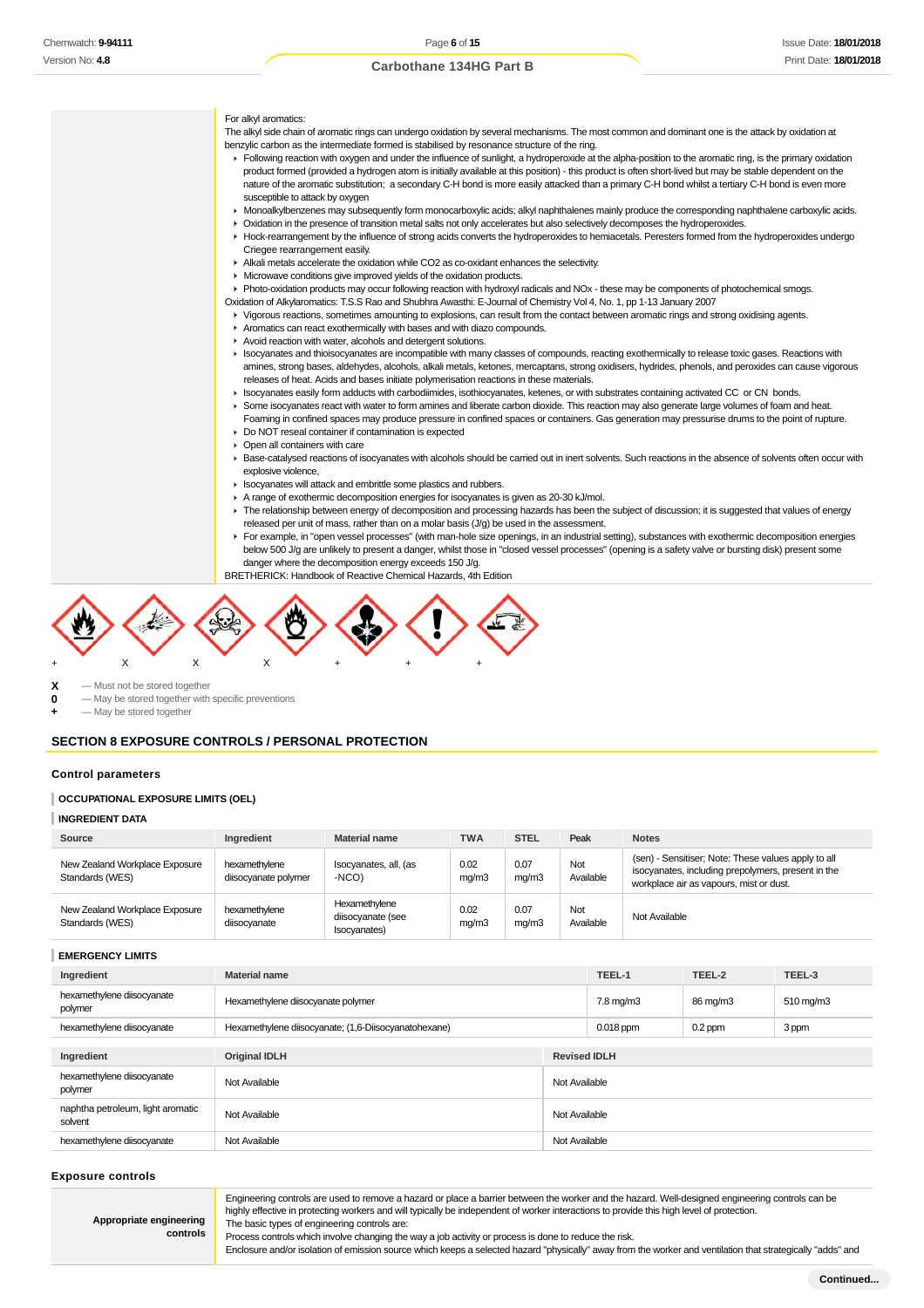For alkyl aromatics: The alkyl side chain of aromatic rings can undergo oxidation by several mechanisms. The most common and dominant one is the attack by oxidation at benzylic carbon as the intermediate formed is stabilised by resonance structure of the ring. Following reaction with oxygen and under the influence of sunlight, a hydroperoxide at the alpha-position to the aromatic ring, is the primary oxidation product formed (provided a hydrogen atom is initially available at this position) - this product is often short-lived but may be stable dependent on the nature of the aromatic substitution; a secondary C-H bond is more easily attacked than a primary C-H bond whilst a tertiary C-H bond is even more susceptible to attack by oxygen Monoalkylbenzenes may subsequently form monocarboxylic acids; alkyl naphthalenes mainly produce the corresponding naphthalene carboxylic acids. Oxidation in the presence of transition metal salts not only accelerates but also selectively decomposes the hydroperoxides. Hock-rearrangement by the influence of strong acids converts the hydroperoxides to hemiacetals. Peresters formed from the hydroperoxides undergo Criegee rearrangement easily. Alkali metals accelerate the oxidation while CO2 as co-oxidant enhances the selectivity. Microwave conditions give improved yields of the oxidation products. Photo-oxidation products may occur following reaction with hydroxyl radicals and NOx - these may be components of photochemical smogs. Oxidation of Alkylaromatics: T.S.S Rao and Shubhra Awasthi: E-Journal of Chemistry Vol 4, No. 1, pp 1-13 January 2007 Vigorous reactions, sometimes amounting to explosions, can result from the contact between aromatic rings and strong oxidising agents. Aromatics can react exothermically with bases and with diazo compounds. Avoid reaction with water, alcohols and detergent solutions. Isocyanates and thioisocyanates are incompatible with many classes of compounds, reacting exothermically to release toxic gases. Reactions with amines, strong bases, aldehydes, alcohols, alkali metals, ketones, mercaptans, strong oxidisers, hydrides, phenols, and peroxides can cause vigorous releases of heat. Acids and bases initiate polymerisation reactions in these materials. Isocyanates easily form adducts with carbodiimides, isothiocyanates, ketenes, or with substrates containing activated CC or CN bonds. Some isocyanates react with water to form amines and liberate carbon dioxide. This reaction may also generate large volumes of foam and heat. Foaming in confined spaces may produce pressure in confined spaces or containers. Gas generation may pressurise drums to the point of rupture. Do NOT reseal container if contamination is expected Open all containers with care ► Base-catalysed reactions of isocyanates with alcohols should be carried out in inert solvents. Such reactions in the absence of solvents often occur with explosive violence, **If** Isocyanates will attack and embrittle some plastics and rubbers. A range of exothermic decomposition energies for isocyanates is given as 20-30 kJ/mol. The relationship between energy of decomposition and processing hazards has been the subject of discussion; it is suggested that values of energy released per unit of mass, rather than on a molar basis (J/g) be used in the assessment. F For example, in "open vessel processes" (with man-hole size openings, in an industrial setting), substances with exothermic decomposition energies below 500 J/g are unlikely to present a danger, whilst those in "closed vessel processes" (opening is a safety valve or bursting disk) present some danger where the decomposition energy exceeds 150 J/g. BRETHERICK: Handbook of Reactive Chemical Hazards, 4th Edition

 $\begin{array}{ccc} \mathbf{X} & -$  Must not be stored together<br>  $\mathbf{0} & -$  May be stored together with **0** — May be stored together with specific preventions

**-** May be stored together

#### **SECTION 8 EXPOSURE CONTROLS / PERSONAL PROTECTION**

+ X X X + + +

#### **Control parameters**

#### **OCCUPATIONAL EXPOSURE LIMITS (OEL)**

#### **INGREDIENT DATA**

| Source                                            | Ingredient                            | <b>Material name</b>                               | TWA           | <b>STEL</b>   | Peak             | <b>Notes</b>                                                                                                                                         |  |
|---------------------------------------------------|---------------------------------------|----------------------------------------------------|---------------|---------------|------------------|------------------------------------------------------------------------------------------------------------------------------------------------------|--|
| New Zealand Workplace Exposure<br>Standards (WES) | hexamethylene<br>diisocyanate polymer | Isocyanates, all, (as<br>-NCO)                     | 0.02<br>mq/m3 | 0.07<br>mq/m3 | Not<br>Available | (sen) - Sensitiser; Note: These values apply to all<br>isocyanates, including prepolymers, present in the<br>workplace air as vapours, mist or dust. |  |
| New Zealand Workplace Exposure<br>Standards (WES) | hexamethylene<br>diisocyanate         | Hexamethylene<br>diisocyanate (see<br>Isocyanates) | 0.02<br>mq/m3 | 0.07<br>mq/m3 | Not<br>Available | Not Available                                                                                                                                        |  |

## **EMERGENCY LIMITS**

| Ingredient                                   | <b>Material name</b>                                 | TEEL-1              | TEEL-2    | TEEL-3    |  |  |
|----------------------------------------------|------------------------------------------------------|---------------------|-----------|-----------|--|--|
| hexamethylene diisocyanate<br>polymer        | Hexamethylene diisocyanate polymer                   | 7.8 mg/m3           | 86 mg/m3  | 510 mg/m3 |  |  |
| hexamethylene diisocyanate                   | Hexamethylene diisocyanate; (1,6-Diisocyanatohexane) | $0.018$ ppm         | $0.2$ ppm | 3 ppm     |  |  |
|                                              |                                                      |                     |           |           |  |  |
| Ingredient                                   | <b>Original IDLH</b>                                 | <b>Revised IDLH</b> |           |           |  |  |
| hexamethylene diisocyanate<br>polymer        | Not Available                                        | Not Available       |           |           |  |  |
| naphtha petroleum, light aromatic<br>solvent | Not Available                                        | Not Available       |           |           |  |  |
| hexamethylene diisocyanate                   | Not Available                                        | Not Available       |           |           |  |  |

#### **Exposure controls**

Engineering controls are used to remove a hazard or place a barrier between the worker and the hazard. Well-designed engineering controls can be highly effective in protecting workers and will typically be independent of worker interactions to provide this high level of protection. The basic types of engineering controls are:

**Appropriate engineering controls**

Process controls which involve changing the way a job activity or process is done to reduce the risk. Enclosure and/or isolation of emission source which keeps a selected hazard "physically" away from the worker and ventilation that strategically "adds" and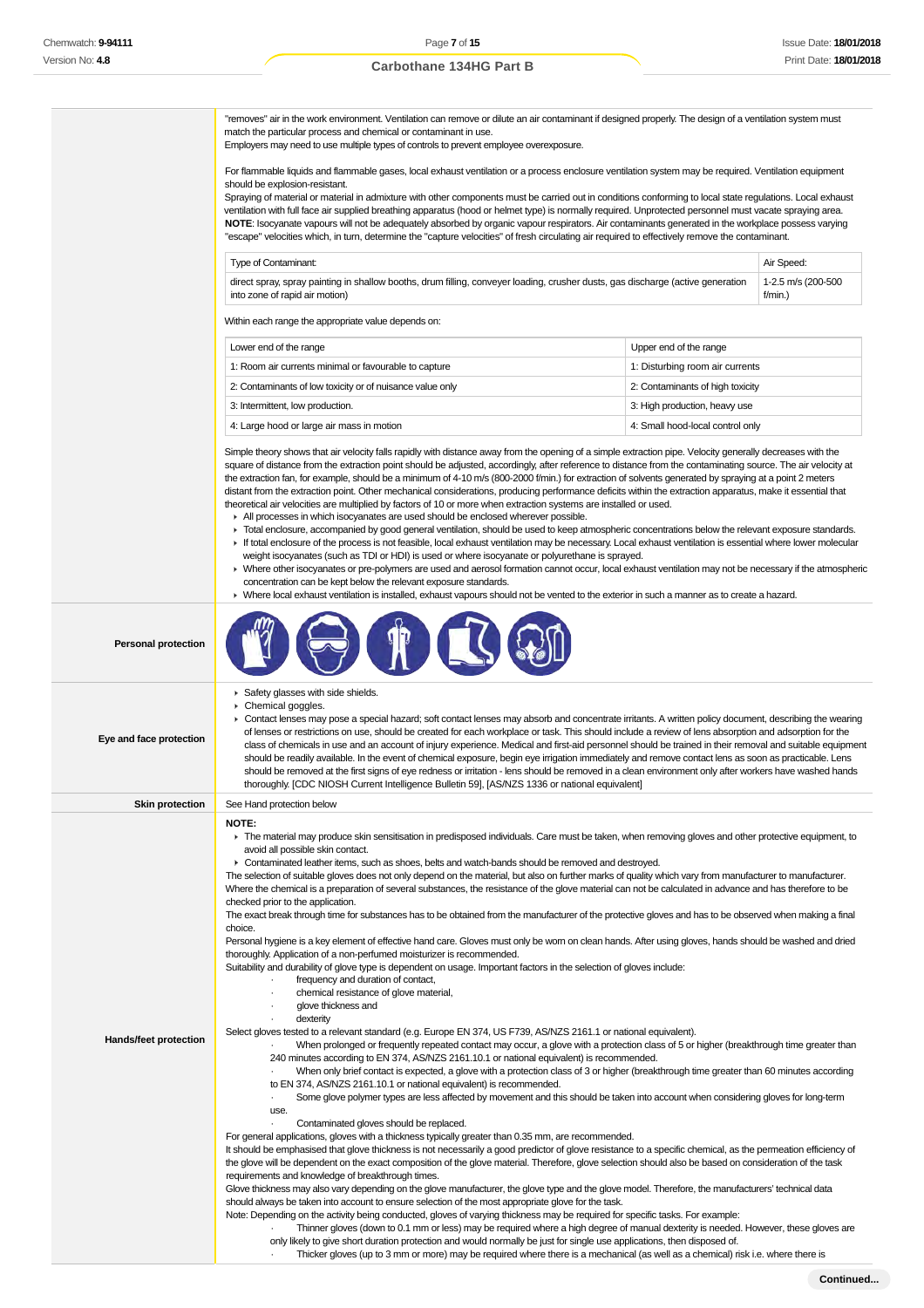"removes" air in the work environment. Ventilation can remove or dilute an air contaminant if designed properly. The design of a ventilation system must match the particular process and chemical or contaminant in use. Employers may need to use multiple types of controls to prevent employee overexposure. For flammable liquids and flammable gases, local exhaust ventilation or a process enclosure ventilation system may be required. Ventilation equipment should be explosion-resistant. Spraying of material or material in admixture with other components must be carried out in conditions conforming to local state regulations. Local exhaust ventilation with full face air supplied breathing apparatus (hood or helmet type) is normally required. Unprotected personnel must vacate spraying area. **NOTE**: Isocyanate vapours will not be adequately absorbed by organic vapour respirators. Air contaminants generated in the workplace possess varying "escape" velocities which, in turn, determine the "capture velocities" of fresh circulating air required to effectively remove the contaminant. Type of Contaminant: Air Speed: Air Speed: Air Speed: Air Speed: Air Speed: Air Speed: Air Speed: Air Speed: Air Speed: Air Speed: Air Speed: Air Speed: Air Speed: Air Speed: Air Speed: Air Speed: Air Speed: Air Speed: Air direct spray, spray painting in shallow booths, drum filling, conveyer loading, crusher dusts, gas discharge (active generation into zone of rapid air motion) 1-2.5 m/s (200-500 f/min.) Within each range the appropriate value depends on: Lower end of the range **Lower end of the range** Upper end of the range 1: Room air currents minimal or favourable to capture 1: Disturbing room air currents 2: Contaminants of low toxicity or of nuisance value only 2000 and 2: Contaminants of high toxicity 3: Intermittent, low production.  $\overline{\phantom{a}}$  3: High production, heavy use 4: Large hood or large air mass in motion 4: Small hood-local control only Simple theory shows that air velocity falls rapidly with distance away from the opening of a simple extraction pipe. Velocity generally decreases with the square of distance from the extraction point should be adjusted, accordingly, after reference to distance from the contaminating source. The air velocity at the extraction fan, for example, should be a minimum of 4-10 m/s (800-2000 f/min.) for extraction of solvents generated by spraying at a point 2 meters distant from the extraction point. Other mechanical considerations, producing performance deficits within the extraction apparatus, make it essential that theoretical air velocities are multiplied by factors of 10 or more when extraction systems are installed or used. All processes in which isocyanates are used should be enclosed wherever possible. Total enclosure, accompanied by good general ventilation, should be used to keep atmospheric concentrations below the relevant exposure standards. If total enclosure of the process is not feasible, local exhaust ventilation may be necessary. Local exhaust ventilation is essential where lower molecular weight isocyanates (such as TDI or HDI) is used or where isocyanate or polyurethane is sprayed. Where other isocyanates or pre-polymers are used and aerosol formation cannot occur, local exhaust ventilation may not be necessary if the atmospheric concentration can be kept below the relevant exposure standards. Where local exhaust ventilation is installed, exhaust vapours should not be vented to the exterior in such a manner as to create a hazard.

| <b>Personal protection</b> |
|----------------------------|
|                            |

| Eye and face protection | Safety glasses with side shields.<br>Chemical goggles.<br>▶ Contact lenses may pose a special hazard; soft contact lenses may absorb and concentrate irritants. A written policy document, describing the wearing<br>of lenses or restrictions on use, should be created for each workplace or task. This should include a review of lens absorption and adsorption for the<br>class of chemicals in use and an account of injury experience. Medical and first-aid personnel should be trained in their removal and suitable equipment<br>should be readily available. In the event of chemical exposure, begin eye irrigation immediately and remove contact lens as soon as practicable. Lens<br>should be removed at the first signs of eye redness or irritation - lens should be removed in a clean environment only after workers have washed hands<br>thoroughly. [CDC NIOSH Current Intelligence Bulletin 59], [AS/NZS 1336 or national equivalent]                                                                                                                                                                                                                                                                                                                                                                                                                                                                                                                                                                                                                                                                                                                                                                                                                                                                                                                                                                                                                                                                                                                                                                                                                                                                                                                                                                                                                                                                                                                                                                                                                                                                                                                                                                                                                                                                                                                                                                                                                                                                                                                                                                                                                                                                                                                                       |
|-------------------------|----------------------------------------------------------------------------------------------------------------------------------------------------------------------------------------------------------------------------------------------------------------------------------------------------------------------------------------------------------------------------------------------------------------------------------------------------------------------------------------------------------------------------------------------------------------------------------------------------------------------------------------------------------------------------------------------------------------------------------------------------------------------------------------------------------------------------------------------------------------------------------------------------------------------------------------------------------------------------------------------------------------------------------------------------------------------------------------------------------------------------------------------------------------------------------------------------------------------------------------------------------------------------------------------------------------------------------------------------------------------------------------------------------------------------------------------------------------------------------------------------------------------------------------------------------------------------------------------------------------------------------------------------------------------------------------------------------------------------------------------------------------------------------------------------------------------------------------------------------------------------------------------------------------------------------------------------------------------------------------------------------------------------------------------------------------------------------------------------------------------------------------------------------------------------------------------------------------------------------------------------------------------------------------------------------------------------------------------------------------------------------------------------------------------------------------------------------------------------------------------------------------------------------------------------------------------------------------------------------------------------------------------------------------------------------------------------------------------------------------------------------------------------------------------------------------------------------------------------------------------------------------------------------------------------------------------------------------------------------------------------------------------------------------------------------------------------------------------------------------------------------------------------------------------------------------------------------------------------------------------------------------------------------------------------|
| <b>Skin protection</b>  | See Hand protection below                                                                                                                                                                                                                                                                                                                                                                                                                                                                                                                                                                                                                                                                                                                                                                                                                                                                                                                                                                                                                                                                                                                                                                                                                                                                                                                                                                                                                                                                                                                                                                                                                                                                                                                                                                                                                                                                                                                                                                                                                                                                                                                                                                                                                                                                                                                                                                                                                                                                                                                                                                                                                                                                                                                                                                                                                                                                                                                                                                                                                                                                                                                                                                                                                                                                          |
| Hands/feet protection   | <b>NOTE:</b><br>The material may produce skin sensitisation in predisposed individuals. Care must be taken, when removing gloves and other protective equipment, to<br>avoid all possible skin contact.<br>► Contaminated leather items, such as shoes, belts and watch-bands should be removed and destroyed.<br>The selection of suitable gloves does not only depend on the material, but also on further marks of quality which vary from manufacturer to manufacturer.<br>Where the chemical is a preparation of several substances, the resistance of the glove material can not be calculated in advance and has therefore to be<br>checked prior to the application.<br>The exact break through time for substances has to be obtained from the manufacturer of the protective gloves and has to be observed when making a final<br>choice.<br>Personal hygiene is a key element of effective hand care. Gloves must only be worn on clean hands. After using gloves, hands should be washed and dried<br>thoroughly. Application of a non-perfumed moisturizer is recommended.<br>Suitability and durability of glove type is dependent on usage. Important factors in the selection of gloves include:<br>frequency and duration of contact,<br>chemical resistance of glove material,<br>glove thickness and<br>dexterity<br>Select gloves tested to a relevant standard (e.g. Europe EN 374, US F739, AS/NZS 2161.1 or national equivalent).<br>When prolonged or frequently repeated contact may occur, a glove with a protection class of 5 or higher (breakthrough time greater than<br>240 minutes according to EN 374, AS/NZS 2161.10.1 or national equivalent) is recommended.<br>When only brief contact is expected, a glove with a protection class of 3 or higher (breakthrough time greater than 60 minutes according<br>to EN 374, AS/NZS 2161.10.1 or national equivalent) is recommended.<br>Some glove polymer types are less affected by movement and this should be taken into account when considering gloves for long-term<br>$\blacksquare$<br>use.<br>Contaminated gloves should be replaced.<br>$\cdot$<br>For general applications, gloves with a thickness typically greater than 0.35 mm, are recommended.<br>It should be emphasised that glove thickness is not necessarily a good predictor of glove resistance to a specific chemical, as the permeation efficiency of<br>the glove will be dependent on the exact composition of the glove material. Therefore, glove selection should also be based on consideration of the task<br>requirements and knowledge of breakthrough times.<br>Glove thickness may also vary depending on the glove manufacturer, the glove type and the glove model. Therefore, the manufacturers' technical data<br>should always be taken into account to ensure selection of the most appropriate glove for the task.<br>Note: Depending on the activity being conducted, gloves of varying thickness may be required for specific tasks. For example:<br>Thinner gloves (down to 0.1 mm or less) may be required where a high degree of manual dexterity is needed. However, these gloves are<br>only likely to give short duration protection and would normally be just for single use applications, then disposed of. |

 $\theta$ 

· Thicker gloves (up to 3 mm or more) may be required where there is a mechanical (as well as a chemical) risk i.e. where there is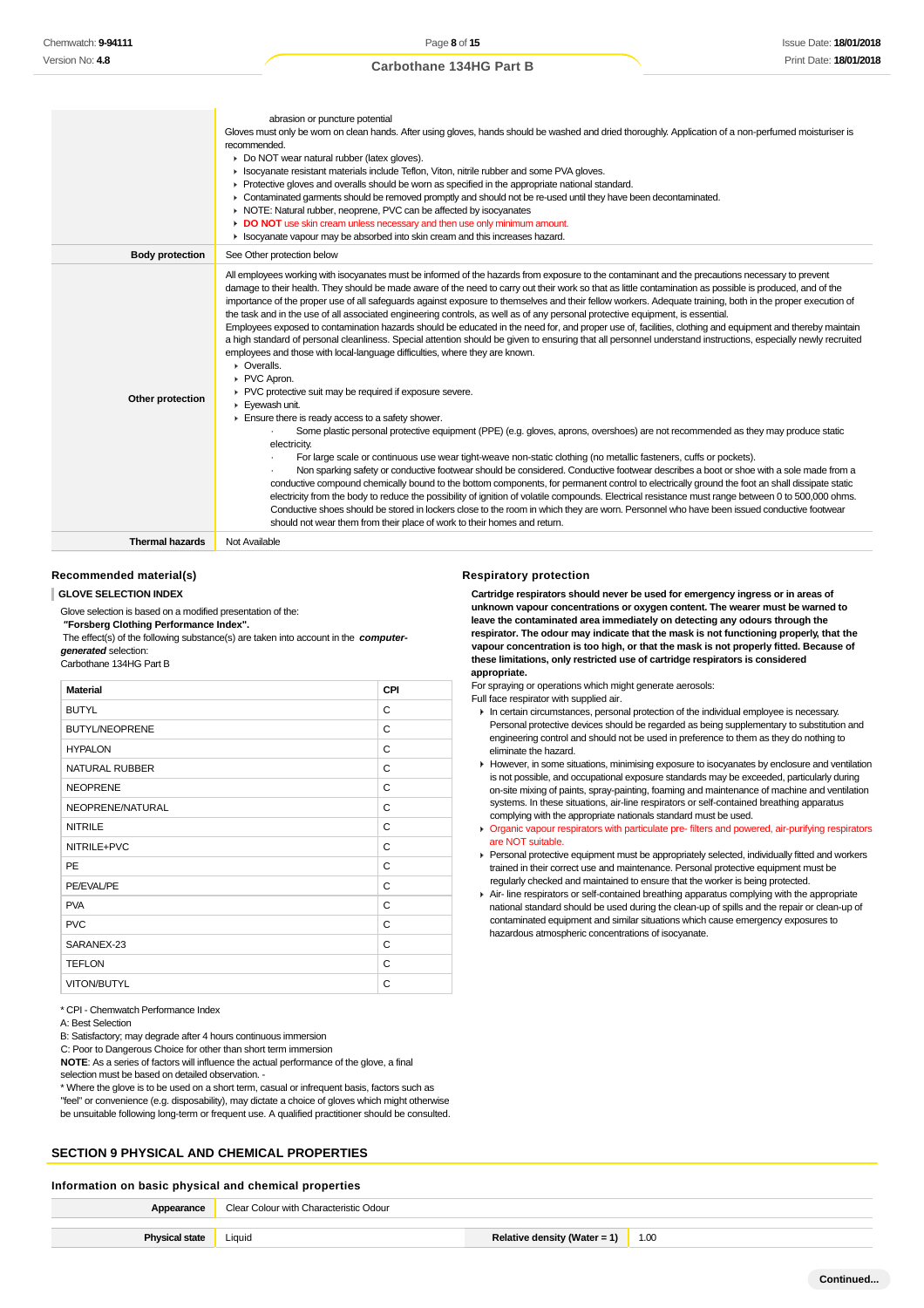|                        | abrasion or puncture potential<br>Gloves must only be wom on clean hands. After using gloves, hands should be washed and dried thoroughly. Application of a non-perfumed moisturiser is<br>recommended.<br>Do NOT wear natural rubber (latex gloves).<br>In Isocyanate resistant materials include Teflon, Viton, nitrile rubber and some PVA gloves.<br>▶ Protective gloves and overalls should be worn as specified in the appropriate national standard.<br>• Contaminated garments should be removed promptly and should not be re-used until they have been decontaminated.<br>• NOTE: Natural rubber, neoprene, PVC can be affected by isocyanates<br>DO NOT use skin cream unless necessary and then use only minimum amount.<br>In Isocyanate vapour may be absorbed into skin cream and this increases hazard.                                                                                                                                                                                                                                                                                                                                                                                                                                                                                                                                                                                                                                                                                                                                                                                                                                                                                                                                                                                                                                                                                                                                                                                                                                                                                                                                     |
|------------------------|-------------------------------------------------------------------------------------------------------------------------------------------------------------------------------------------------------------------------------------------------------------------------------------------------------------------------------------------------------------------------------------------------------------------------------------------------------------------------------------------------------------------------------------------------------------------------------------------------------------------------------------------------------------------------------------------------------------------------------------------------------------------------------------------------------------------------------------------------------------------------------------------------------------------------------------------------------------------------------------------------------------------------------------------------------------------------------------------------------------------------------------------------------------------------------------------------------------------------------------------------------------------------------------------------------------------------------------------------------------------------------------------------------------------------------------------------------------------------------------------------------------------------------------------------------------------------------------------------------------------------------------------------------------------------------------------------------------------------------------------------------------------------------------------------------------------------------------------------------------------------------------------------------------------------------------------------------------------------------------------------------------------------------------------------------------------------------------------------------------------------------------------------------------|
| <b>Body protection</b> | See Other protection below                                                                                                                                                                                                                                                                                                                                                                                                                                                                                                                                                                                                                                                                                                                                                                                                                                                                                                                                                                                                                                                                                                                                                                                                                                                                                                                                                                                                                                                                                                                                                                                                                                                                                                                                                                                                                                                                                                                                                                                                                                                                                                                                  |
| Other protection       | All employees working with isocyanates must be informed of the hazards from exposure to the contaminant and the precautions necessary to prevent<br>damage to their health. They should be made aware of the need to carry out their work so that as little contamination as possible is produced, and of the<br>importance of the proper use of all safeguards against exposure to themselves and their fellow workers. Adequate training, both in the proper execution of<br>the task and in the use of all associated engineering controls, as well as of any personal protective equipment, is essential.<br>Employees exposed to contamination hazards should be educated in the need for, and proper use of, facilities, clothing and equipment and thereby maintain<br>a high standard of personal cleanliness. Special attention should be given to ensuring that all personnel understand instructions, especially newly recruited<br>employees and those with local-language difficulties, where they are known.<br>$\triangleright$ Overalls.<br>PVC Apron.<br>▶ PVC protective suit may be required if exposure severe.<br>Eyewash unit.<br>Ensure there is ready access to a safety shower.<br>Some plastic personal protective equipment (PPE) (e.g. gloves, aprons, overshoes) are not recommended as they may produce static<br>electricity.<br>For large scale or continuous use wear tight-weave non-static clothing (no metallic fasteners, cuffs or pockets).<br>Non sparking safety or conductive footwear should be considered. Conductive footwear describes a boot or shoe with a sole made from a<br>conductive compound chemically bound to the bottom components, for permanent control to electrically ground the foot an shall dissipate static<br>electricity from the body to reduce the possibility of ignition of volatile compounds. Electrical resistance must range between 0 to 500,000 ohms.<br>Conductive shoes should be stored in lockers close to the room in which they are worn. Personnel who have been issued conductive footwear<br>should not wear them from their place of work to their homes and return. |
|                        | .                                                                                                                                                                                                                                                                                                                                                                                                                                                                                                                                                                                                                                                                                                                                                                                                                                                                                                                                                                                                                                                                                                                                                                                                                                                                                                                                                                                                                                                                                                                                                                                                                                                                                                                                                                                                                                                                                                                                                                                                                                                                                                                                                           |

**Thermal hazards** Not Available

#### **Recommended material(s)**

**GLOVE SELECTION INDEX**

Glove selection is based on a modified presentation of the:  **"Forsberg Clothing Performance Index".** The effect(s) of the following substance(s) are taken into account in the **computergenerated** selection: Carbothane 134HG Part B

| <b>Material</b>       | CPI |
|-----------------------|-----|
| <b>BUTYL</b>          | C   |
| <b>BUTYL/NEOPRENE</b> | C   |
| <b>HYPALON</b>        | С   |
| NATURAL RUBBER        | C   |
| <b>NEOPRENE</b>       | C   |
| NEOPRENE/NATURAL      | C   |
| <b>NITRILE</b>        | C   |
| NITRILE+PVC           | C   |
| <b>PE</b>             | C   |
| PE/EVAL/PE            | C   |
| <b>PVA</b>            | C   |
| <b>PVC</b>            | C   |
| SARANEX-23            | C   |
| <b>TEFLON</b>         | C   |
| VITON/BUTYL           | C   |

\* CPI - Chemwatch Performance Index

A: Best Selection

B: Satisfactory; may degrade after 4 hours continuous immersion

C: Poor to Dangerous Choice for other than short term immersion

**NOTE**: As a series of factors will influence the actual performance of the glove, a final selection must be based on detailed observation. -

\* Where the glove is to be used on a short term, casual or infrequent basis, factors such as "feel" or convenience (e.g. disposability), may dictate a choice of gloves which might otherwise be unsuitable following long-term or frequent use. A qualified practitioner should be consulted.

## **SECTION 9 PHYSICAL AND CHEMICAL PROPERTIES**

## **Information on basic physical and chemical properties**

| Clear Colour with Characteristic Odour |                              |      |
|----------------------------------------|------------------------------|------|
|                                        |                              |      |
| Liquid                                 | Relative density (Water = 1) | 1.00 |

#### **Respiratory protection**

**Cartridge respirators should never be used for emergency ingress or in areas of unknown vapour concentrations or oxygen content. The wearer must be warned to leave the contaminated area immediately on detecting any odours through the respirator. The odour may indicate that the mask is not functioning properly, that the vapour concentration is too high, or that the mask is not properly fitted. Because of these limitations, only restricted use of cartridge respirators is considered appropriate.**

For spraying or operations which might generate aerosols:

Full face respirator with supplied air.

- In certain circumstances, personal protection of the individual employee is necessary. Personal protective devices should be regarded as being supplementary to substitution and engineering control and should not be used in preference to them as they do nothing to eliminate the hazard.
- However, in some situations, minimising exposure to isocyanates by enclosure and ventilation is not possible, and occupational exposure standards may be exceeded, particularly during on-site mixing of paints, spray-painting, foaming and maintenance of machine and ventilation systems. In these situations, air-line respirators or self-contained breathing apparatus complying with the appropriate nationals standard must be used.
- Organic vapour respirators with particulate pre- filters and powered, air-purifying respirators are NOT suitable.
- Personal protective equipment must be appropriately selected, individually fitted and workers trained in their correct use and maintenance. Personal protective equipment must be regularly checked and maintained to ensure that the worker is being protected.
- Air- line respirators or self-contained breathing apparatus complying with the appropriate national standard should be used during the clean-up of spills and the repair or clean-up of contaminated equipment and similar situations which cause emergency exposures to hazardous atmospheric concentrations of isocyanate.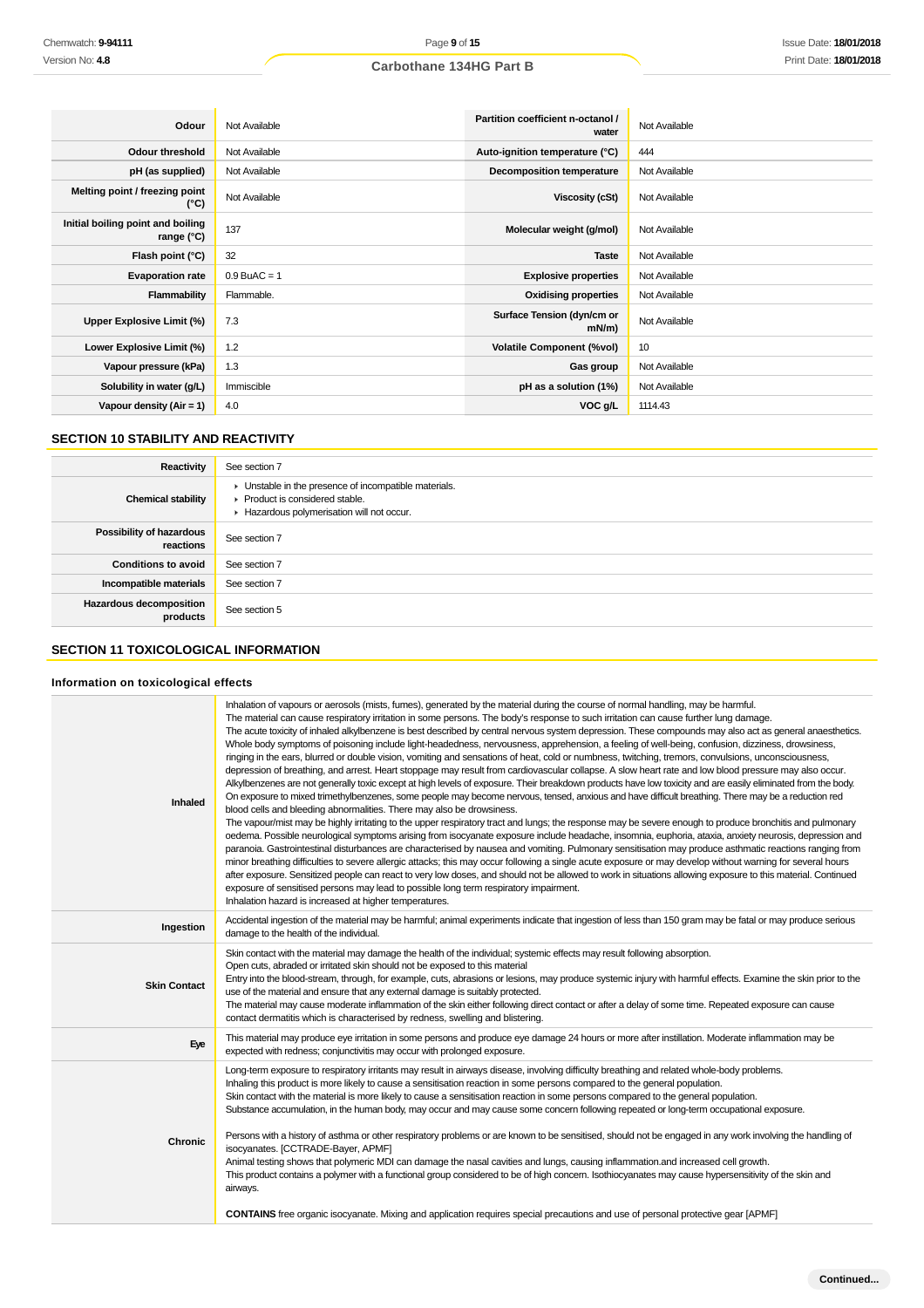| Odour                                           | Not Available  | Partition coefficient n-octanol /<br>water | Not Available |
|-------------------------------------------------|----------------|--------------------------------------------|---------------|
| <b>Odour threshold</b>                          | Not Available  | Auto-ignition temperature (°C)             | 444           |
| pH (as supplied)                                | Not Available  | Decomposition temperature                  | Not Available |
| Melting point / freezing point<br>(°C)          | Not Available  | Viscosity (cSt)                            | Not Available |
| Initial boiling point and boiling<br>range (°C) | 137            | Molecular weight (g/mol)                   | Not Available |
| Flash point (°C)                                | 32             | <b>Taste</b>                               | Not Available |
| <b>Evaporation rate</b>                         | $0.9$ BuAC = 1 | <b>Explosive properties</b>                | Not Available |
| Flammability                                    | Flammable.     | <b>Oxidising properties</b>                | Not Available |
| Upper Explosive Limit (%)                       | 7.3            | Surface Tension (dyn/cm or<br>mN/m         | Not Available |
| Lower Explosive Limit (%)                       | 1.2            | <b>Volatile Component (%vol)</b>           | 10            |
| Vapour pressure (kPa)                           | 1.3            | Gas group                                  | Not Available |
| Solubility in water (g/L)                       | Immiscible     | pH as a solution (1%)                      | Not Available |
| Vapour density $(Air = 1)$                      | 4.0            | VOC g/L                                    | 1114.43       |

## **SECTION 10 STABILITY AND REACTIVITY**

| Reactivity                            | See section 7                                                                                                                        |
|---------------------------------------|--------------------------------------------------------------------------------------------------------------------------------------|
| <b>Chemical stability</b>             | • Unstable in the presence of incompatible materials.<br>▶ Product is considered stable.<br>Hazardous polymerisation will not occur. |
| Possibility of hazardous<br>reactions | See section 7                                                                                                                        |
| <b>Conditions to avoid</b>            | See section 7                                                                                                                        |
| Incompatible materials                | See section 7                                                                                                                        |
| Hazardous decomposition<br>products   | See section 5                                                                                                                        |

## **SECTION 11 TOXICOLOGICAL INFORMATION**

#### **Information on toxicological effects**

| Inhaled             | Inhalation of vapours or aerosols (mists, fumes), generated by the material during the course of normal handling, may be harmful.<br>The material can cause respiratory irritation in some persons. The body's response to such irritation can cause further lung damage.<br>The acute toxicity of inhaled alkylbenzene is best described by central nervous system depression. These compounds may also act as general anaesthetics.<br>Whole body symptoms of poisoning include light-headedness, nervousness, apprehension, a feeling of well-being, confusion, dizziness, drowsiness,<br>ringing in the ears, blurred or double vision, vomiting and sensations of heat, cold or numbness, twitching, tremors, convulsions, unconsciousness,<br>depression of breathing, and arrest. Heart stoppage may result from cardiovascular collapse. A slow heart rate and low blood pressure may also occur.<br>Alkylbenzenes are not generally toxic except at high levels of exposure. Their breakdown products have low toxicity and are easily eliminated from the body.<br>On exposure to mixed trimethylbenzenes, some people may become nervous, tensed, anxious and have difficult breathing. There may be a reduction red<br>blood cells and bleeding abnormalities. There may also be drowsiness.<br>The vapour/mist may be highly irritating to the upper respiratory tract and lungs; the response may be severe enough to produce bronchitis and pulmonary<br>oedema. Possible neurological symptoms arising from isocyanate exposure include headache, insomnia, euphoria, ataxia, anxiety neurosis, depression and<br>paranoia. Gastrointestinal disturbances are characterised by nausea and vomiting. Pulmonary sensitisation may produce asthmatic reactions ranging from<br>minor breathing difficulties to severe allergic attacks; this may occur following a single acute exposure or may develop without warning for several hours<br>after exposure. Sensitized people can react to very low doses, and should not be allowed to work in situations allowing exposure to this material. Continued<br>exposure of sensitised persons may lead to possible long term respiratory impairment.<br>Inhalation hazard is increased at higher temperatures. |
|---------------------|---------------------------------------------------------------------------------------------------------------------------------------------------------------------------------------------------------------------------------------------------------------------------------------------------------------------------------------------------------------------------------------------------------------------------------------------------------------------------------------------------------------------------------------------------------------------------------------------------------------------------------------------------------------------------------------------------------------------------------------------------------------------------------------------------------------------------------------------------------------------------------------------------------------------------------------------------------------------------------------------------------------------------------------------------------------------------------------------------------------------------------------------------------------------------------------------------------------------------------------------------------------------------------------------------------------------------------------------------------------------------------------------------------------------------------------------------------------------------------------------------------------------------------------------------------------------------------------------------------------------------------------------------------------------------------------------------------------------------------------------------------------------------------------------------------------------------------------------------------------------------------------------------------------------------------------------------------------------------------------------------------------------------------------------------------------------------------------------------------------------------------------------------------------------------------------------------------------------------------------------------------------------------|
| Ingestion           | Accidental ingestion of the material may be harmful; animal experiments indicate that ingestion of less than 150 gram may be fatal or may produce serious<br>damage to the health of the individual.                                                                                                                                                                                                                                                                                                                                                                                                                                                                                                                                                                                                                                                                                                                                                                                                                                                                                                                                                                                                                                                                                                                                                                                                                                                                                                                                                                                                                                                                                                                                                                                                                                                                                                                                                                                                                                                                                                                                                                                                                                                                      |
| <b>Skin Contact</b> | Skin contact with the material may damage the health of the individual; systemic effects may result following absorption.<br>Open cuts, abraded or irritated skin should not be exposed to this material<br>Entry into the blood-stream, through, for example, cuts, abrasions or lesions, may produce systemic injury with harmful effects. Examine the skin prior to the<br>use of the material and ensure that any external damage is suitably protected.<br>The material may cause moderate inflammation of the skin either following direct contact or after a delay of some time. Repeated exposure can cause<br>contact dermatitis which is characterised by redness, swelling and blistering.                                                                                                                                                                                                                                                                                                                                                                                                                                                                                                                                                                                                                                                                                                                                                                                                                                                                                                                                                                                                                                                                                                                                                                                                                                                                                                                                                                                                                                                                                                                                                                     |
| Eye                 | This material may produce eye irritation in some persons and produce eye damage 24 hours or more after instillation. Moderate inflammation may be<br>expected with redness; conjunctivitis may occur with prolonged exposure.                                                                                                                                                                                                                                                                                                                                                                                                                                                                                                                                                                                                                                                                                                                                                                                                                                                                                                                                                                                                                                                                                                                                                                                                                                                                                                                                                                                                                                                                                                                                                                                                                                                                                                                                                                                                                                                                                                                                                                                                                                             |
| <b>Chronic</b>      | Long-term exposure to respiratory irritants may result in airways disease, involving difficulty breathing and related whole-body problems.<br>Inhaling this product is more likely to cause a sensitisation reaction in some persons compared to the general population.<br>Skin contact with the material is more likely to cause a sensitisation reaction in some persons compared to the general population.<br>Substance accumulation, in the human body, may occur and may cause some concern following repeated or long-term occupational exposure.<br>Persons with a history of asthma or other respiratory problems or are known to be sensitised, should not be engaged in any work involving the handling of<br>isocyanates. [CCTRADE-Bayer, APMF]<br>Animal testing shows that polymeric MDI can damage the nasal cavities and lungs, causing inflammation.and increased cell growth.<br>This product contains a polymer with a functional group considered to be of high concern. Isothiocyanates may cause hypersensitivity of the skin and<br>airways.<br>CONTAINS free organic isocyanate. Mixing and application requires special precautions and use of personal protective gear [APMF]                                                                                                                                                                                                                                                                                                                                                                                                                                                                                                                                                                                                                                                                                                                                                                                                                                                                                                                                                                                                                                                                  |
|                     |                                                                                                                                                                                                                                                                                                                                                                                                                                                                                                                                                                                                                                                                                                                                                                                                                                                                                                                                                                                                                                                                                                                                                                                                                                                                                                                                                                                                                                                                                                                                                                                                                                                                                                                                                                                                                                                                                                                                                                                                                                                                                                                                                                                                                                                                           |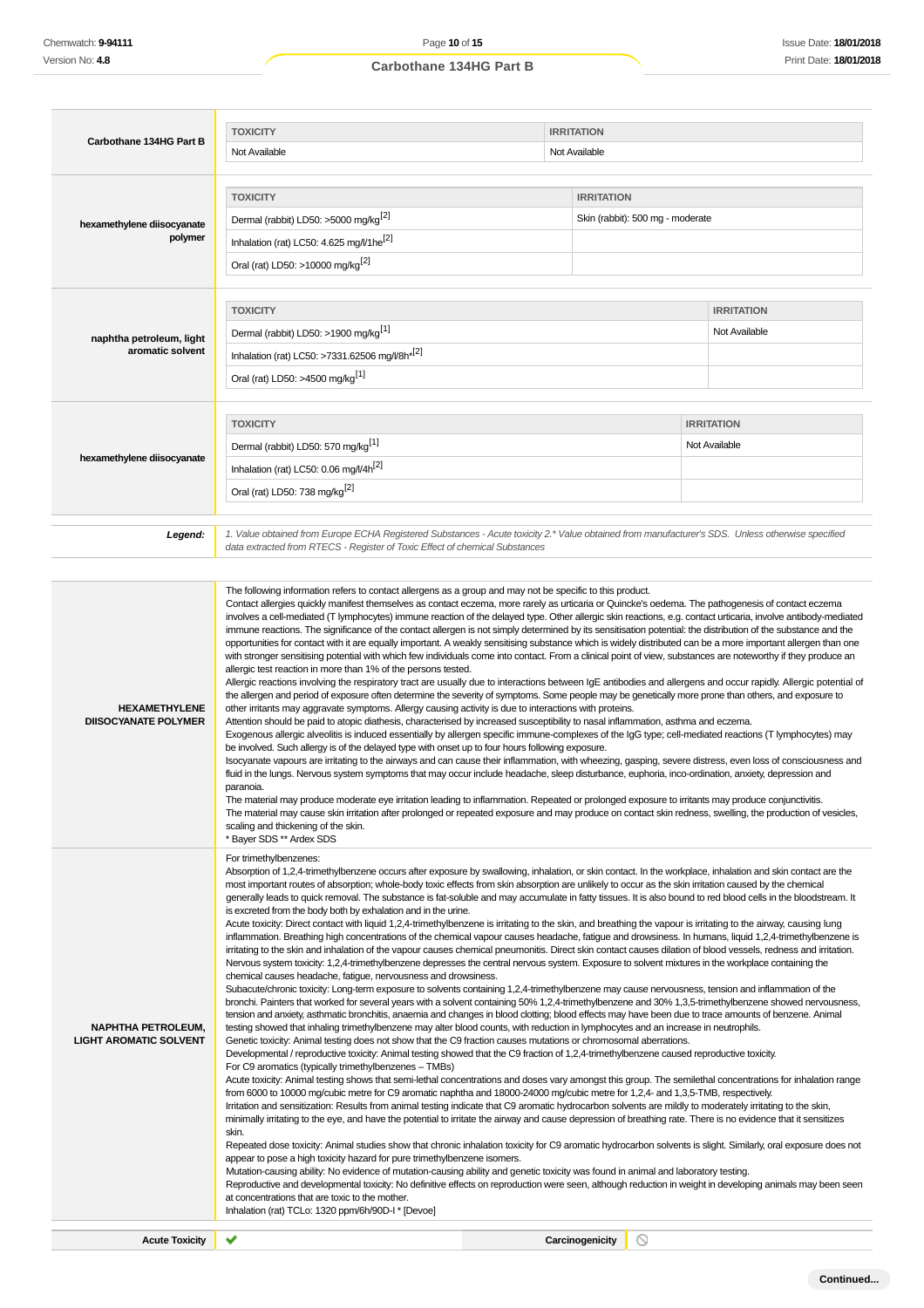| Carbothane 134HG Part B                                    | <b>TOXICITY</b>                                                                                                                                                                                                                                                                                                                                                                                                                                                                                                                                                                                                                                                                                                                                                                                                                                                                                                                                                                                                                                                                                                                                                                                                                                                                                                                                                                                                                                                                                                                                                                                                                                                                                                                                                                                                                                                                                                                                                                                                                                                                                                                                                                                                                                                                                                                                                                                                                                                                                                                                                                                                                                                                                                                                                                                                                                                                                                                                                                                                                                                                                                                                                                                                                                                                                                                                                                                                                                                                                                                                              | <b>IRRITATION</b> |                                  |                   |  |
|------------------------------------------------------------|--------------------------------------------------------------------------------------------------------------------------------------------------------------------------------------------------------------------------------------------------------------------------------------------------------------------------------------------------------------------------------------------------------------------------------------------------------------------------------------------------------------------------------------------------------------------------------------------------------------------------------------------------------------------------------------------------------------------------------------------------------------------------------------------------------------------------------------------------------------------------------------------------------------------------------------------------------------------------------------------------------------------------------------------------------------------------------------------------------------------------------------------------------------------------------------------------------------------------------------------------------------------------------------------------------------------------------------------------------------------------------------------------------------------------------------------------------------------------------------------------------------------------------------------------------------------------------------------------------------------------------------------------------------------------------------------------------------------------------------------------------------------------------------------------------------------------------------------------------------------------------------------------------------------------------------------------------------------------------------------------------------------------------------------------------------------------------------------------------------------------------------------------------------------------------------------------------------------------------------------------------------------------------------------------------------------------------------------------------------------------------------------------------------------------------------------------------------------------------------------------------------------------------------------------------------------------------------------------------------------------------------------------------------------------------------------------------------------------------------------------------------------------------------------------------------------------------------------------------------------------------------------------------------------------------------------------------------------------------------------------------------------------------------------------------------------------------------------------------------------------------------------------------------------------------------------------------------------------------------------------------------------------------------------------------------------------------------------------------------------------------------------------------------------------------------------------------------------------------------------------------------------------------------------------------------|-------------------|----------------------------------|-------------------|--|
|                                                            | Not Available                                                                                                                                                                                                                                                                                                                                                                                                                                                                                                                                                                                                                                                                                                                                                                                                                                                                                                                                                                                                                                                                                                                                                                                                                                                                                                                                                                                                                                                                                                                                                                                                                                                                                                                                                                                                                                                                                                                                                                                                                                                                                                                                                                                                                                                                                                                                                                                                                                                                                                                                                                                                                                                                                                                                                                                                                                                                                                                                                                                                                                                                                                                                                                                                                                                                                                                                                                                                                                                                                                                                                |                   | Not Available                    |                   |  |
|                                                            |                                                                                                                                                                                                                                                                                                                                                                                                                                                                                                                                                                                                                                                                                                                                                                                                                                                                                                                                                                                                                                                                                                                                                                                                                                                                                                                                                                                                                                                                                                                                                                                                                                                                                                                                                                                                                                                                                                                                                                                                                                                                                                                                                                                                                                                                                                                                                                                                                                                                                                                                                                                                                                                                                                                                                                                                                                                                                                                                                                                                                                                                                                                                                                                                                                                                                                                                                                                                                                                                                                                                                              |                   |                                  |                   |  |
|                                                            | <b>TOXICITY</b>                                                                                                                                                                                                                                                                                                                                                                                                                                                                                                                                                                                                                                                                                                                                                                                                                                                                                                                                                                                                                                                                                                                                                                                                                                                                                                                                                                                                                                                                                                                                                                                                                                                                                                                                                                                                                                                                                                                                                                                                                                                                                                                                                                                                                                                                                                                                                                                                                                                                                                                                                                                                                                                                                                                                                                                                                                                                                                                                                                                                                                                                                                                                                                                                                                                                                                                                                                                                                                                                                                                                              |                   | <b>IRRITATION</b>                |                   |  |
| hexamethylene diisocyanate                                 | Dermal (rabbit) LD50: >5000 mg/kg <sup>[2]</sup>                                                                                                                                                                                                                                                                                                                                                                                                                                                                                                                                                                                                                                                                                                                                                                                                                                                                                                                                                                                                                                                                                                                                                                                                                                                                                                                                                                                                                                                                                                                                                                                                                                                                                                                                                                                                                                                                                                                                                                                                                                                                                                                                                                                                                                                                                                                                                                                                                                                                                                                                                                                                                                                                                                                                                                                                                                                                                                                                                                                                                                                                                                                                                                                                                                                                                                                                                                                                                                                                                                             |                   | Skin (rabbit): 500 mg - moderate |                   |  |
| polymer                                                    | Inhalation (rat) LC50: 4.625 mg/l/1he <sup>[2]</sup>                                                                                                                                                                                                                                                                                                                                                                                                                                                                                                                                                                                                                                                                                                                                                                                                                                                                                                                                                                                                                                                                                                                                                                                                                                                                                                                                                                                                                                                                                                                                                                                                                                                                                                                                                                                                                                                                                                                                                                                                                                                                                                                                                                                                                                                                                                                                                                                                                                                                                                                                                                                                                                                                                                                                                                                                                                                                                                                                                                                                                                                                                                                                                                                                                                                                                                                                                                                                                                                                                                         |                   |                                  |                   |  |
|                                                            | Oral (rat) LD50: >10000 mg/kg <sup>[2]</sup>                                                                                                                                                                                                                                                                                                                                                                                                                                                                                                                                                                                                                                                                                                                                                                                                                                                                                                                                                                                                                                                                                                                                                                                                                                                                                                                                                                                                                                                                                                                                                                                                                                                                                                                                                                                                                                                                                                                                                                                                                                                                                                                                                                                                                                                                                                                                                                                                                                                                                                                                                                                                                                                                                                                                                                                                                                                                                                                                                                                                                                                                                                                                                                                                                                                                                                                                                                                                                                                                                                                 |                   |                                  |                   |  |
|                                                            |                                                                                                                                                                                                                                                                                                                                                                                                                                                                                                                                                                                                                                                                                                                                                                                                                                                                                                                                                                                                                                                                                                                                                                                                                                                                                                                                                                                                                                                                                                                                                                                                                                                                                                                                                                                                                                                                                                                                                                                                                                                                                                                                                                                                                                                                                                                                                                                                                                                                                                                                                                                                                                                                                                                                                                                                                                                                                                                                                                                                                                                                                                                                                                                                                                                                                                                                                                                                                                                                                                                                                              |                   |                                  |                   |  |
|                                                            | <b>TOXICITY</b>                                                                                                                                                                                                                                                                                                                                                                                                                                                                                                                                                                                                                                                                                                                                                                                                                                                                                                                                                                                                                                                                                                                                                                                                                                                                                                                                                                                                                                                                                                                                                                                                                                                                                                                                                                                                                                                                                                                                                                                                                                                                                                                                                                                                                                                                                                                                                                                                                                                                                                                                                                                                                                                                                                                                                                                                                                                                                                                                                                                                                                                                                                                                                                                                                                                                                                                                                                                                                                                                                                                                              |                   |                                  | <b>IRRITATION</b> |  |
| naphtha petroleum, light                                   | Dermal (rabbit) LD50: >1900 mg/kg <sup>[1]</sup>                                                                                                                                                                                                                                                                                                                                                                                                                                                                                                                                                                                                                                                                                                                                                                                                                                                                                                                                                                                                                                                                                                                                                                                                                                                                                                                                                                                                                                                                                                                                                                                                                                                                                                                                                                                                                                                                                                                                                                                                                                                                                                                                                                                                                                                                                                                                                                                                                                                                                                                                                                                                                                                                                                                                                                                                                                                                                                                                                                                                                                                                                                                                                                                                                                                                                                                                                                                                                                                                                                             |                   |                                  | Not Available     |  |
| aromatic solvent                                           | Inhalation (rat) LC50: >7331.62506 mg/l/8h <sup>*[2]</sup>                                                                                                                                                                                                                                                                                                                                                                                                                                                                                                                                                                                                                                                                                                                                                                                                                                                                                                                                                                                                                                                                                                                                                                                                                                                                                                                                                                                                                                                                                                                                                                                                                                                                                                                                                                                                                                                                                                                                                                                                                                                                                                                                                                                                                                                                                                                                                                                                                                                                                                                                                                                                                                                                                                                                                                                                                                                                                                                                                                                                                                                                                                                                                                                                                                                                                                                                                                                                                                                                                                   |                   |                                  |                   |  |
|                                                            | Oral (rat) LD50: >4500 mg/kg <sup>[1]</sup>                                                                                                                                                                                                                                                                                                                                                                                                                                                                                                                                                                                                                                                                                                                                                                                                                                                                                                                                                                                                                                                                                                                                                                                                                                                                                                                                                                                                                                                                                                                                                                                                                                                                                                                                                                                                                                                                                                                                                                                                                                                                                                                                                                                                                                                                                                                                                                                                                                                                                                                                                                                                                                                                                                                                                                                                                                                                                                                                                                                                                                                                                                                                                                                                                                                                                                                                                                                                                                                                                                                  |                   |                                  |                   |  |
|                                                            |                                                                                                                                                                                                                                                                                                                                                                                                                                                                                                                                                                                                                                                                                                                                                                                                                                                                                                                                                                                                                                                                                                                                                                                                                                                                                                                                                                                                                                                                                                                                                                                                                                                                                                                                                                                                                                                                                                                                                                                                                                                                                                                                                                                                                                                                                                                                                                                                                                                                                                                                                                                                                                                                                                                                                                                                                                                                                                                                                                                                                                                                                                                                                                                                                                                                                                                                                                                                                                                                                                                                                              |                   |                                  |                   |  |
|                                                            | <b>TOXICITY</b>                                                                                                                                                                                                                                                                                                                                                                                                                                                                                                                                                                                                                                                                                                                                                                                                                                                                                                                                                                                                                                                                                                                                                                                                                                                                                                                                                                                                                                                                                                                                                                                                                                                                                                                                                                                                                                                                                                                                                                                                                                                                                                                                                                                                                                                                                                                                                                                                                                                                                                                                                                                                                                                                                                                                                                                                                                                                                                                                                                                                                                                                                                                                                                                                                                                                                                                                                                                                                                                                                                                                              |                   |                                  | <b>IRRITATION</b> |  |
|                                                            | Dermal (rabbit) LD50: 570 mg/kg <sup>[1]</sup>                                                                                                                                                                                                                                                                                                                                                                                                                                                                                                                                                                                                                                                                                                                                                                                                                                                                                                                                                                                                                                                                                                                                                                                                                                                                                                                                                                                                                                                                                                                                                                                                                                                                                                                                                                                                                                                                                                                                                                                                                                                                                                                                                                                                                                                                                                                                                                                                                                                                                                                                                                                                                                                                                                                                                                                                                                                                                                                                                                                                                                                                                                                                                                                                                                                                                                                                                                                                                                                                                                               |                   |                                  | Not Available     |  |
| hexamethylene diisocyanate                                 | Inhalation (rat) LC50: 0.06 mg/l/4h <sup>[2]</sup>                                                                                                                                                                                                                                                                                                                                                                                                                                                                                                                                                                                                                                                                                                                                                                                                                                                                                                                                                                                                                                                                                                                                                                                                                                                                                                                                                                                                                                                                                                                                                                                                                                                                                                                                                                                                                                                                                                                                                                                                                                                                                                                                                                                                                                                                                                                                                                                                                                                                                                                                                                                                                                                                                                                                                                                                                                                                                                                                                                                                                                                                                                                                                                                                                                                                                                                                                                                                                                                                                                           |                   |                                  |                   |  |
|                                                            | Oral (rat) LD50: 738 mg/kg <sup>[2]</sup>                                                                                                                                                                                                                                                                                                                                                                                                                                                                                                                                                                                                                                                                                                                                                                                                                                                                                                                                                                                                                                                                                                                                                                                                                                                                                                                                                                                                                                                                                                                                                                                                                                                                                                                                                                                                                                                                                                                                                                                                                                                                                                                                                                                                                                                                                                                                                                                                                                                                                                                                                                                                                                                                                                                                                                                                                                                                                                                                                                                                                                                                                                                                                                                                                                                                                                                                                                                                                                                                                                                    |                   |                                  |                   |  |
|                                                            |                                                                                                                                                                                                                                                                                                                                                                                                                                                                                                                                                                                                                                                                                                                                                                                                                                                                                                                                                                                                                                                                                                                                                                                                                                                                                                                                                                                                                                                                                                                                                                                                                                                                                                                                                                                                                                                                                                                                                                                                                                                                                                                                                                                                                                                                                                                                                                                                                                                                                                                                                                                                                                                                                                                                                                                                                                                                                                                                                                                                                                                                                                                                                                                                                                                                                                                                                                                                                                                                                                                                                              |                   |                                  |                   |  |
| Legend:                                                    | 1. Value obtained from Europe ECHA Registered Substances - Acute toxicity 2.* Value obtained from manufacturer's SDS. Unless otherwise specified<br>data extracted from RTECS - Register of Toxic Effect of chemical Substances                                                                                                                                                                                                                                                                                                                                                                                                                                                                                                                                                                                                                                                                                                                                                                                                                                                                                                                                                                                                                                                                                                                                                                                                                                                                                                                                                                                                                                                                                                                                                                                                                                                                                                                                                                                                                                                                                                                                                                                                                                                                                                                                                                                                                                                                                                                                                                                                                                                                                                                                                                                                                                                                                                                                                                                                                                                                                                                                                                                                                                                                                                                                                                                                                                                                                                                              |                   |                                  |                   |  |
|                                                            |                                                                                                                                                                                                                                                                                                                                                                                                                                                                                                                                                                                                                                                                                                                                                                                                                                                                                                                                                                                                                                                                                                                                                                                                                                                                                                                                                                                                                                                                                                                                                                                                                                                                                                                                                                                                                                                                                                                                                                                                                                                                                                                                                                                                                                                                                                                                                                                                                                                                                                                                                                                                                                                                                                                                                                                                                                                                                                                                                                                                                                                                                                                                                                                                                                                                                                                                                                                                                                                                                                                                                              |                   |                                  |                   |  |
| <b>HEXAMETHYLENE</b><br><b>DIISOCYANATE POLYMER</b>        | Contact allergies quickly manifest themselves as contact eczema, more rarely as urticaria or Quincke's oedema. The pathogenesis of contact eczema<br>involves a cell-mediated (T lymphocytes) immune reaction of the delayed type. Other allergic skin reactions, e.g. contact urticaria, involve antibody-mediated<br>immune reactions. The significance of the contact allergen is not simply determined by its sensitisation potential: the distribution of the substance and the<br>opportunities for contact with it are equally important. A weakly sensitising substance which is widely distributed can be a more important allergen than one<br>with stronger sensitising potential with which few individuals come into contact. From a clinical point of view, substances are noteworthy if they produce an<br>allergic test reaction in more than 1% of the persons tested.<br>Allergic reactions involving the respiratory tract are usually due to interactions between IgE antibodies and allergens and occur rapidly. Allergic potential of<br>the allergen and period of exposure often determine the severity of symptoms. Some people may be genetically more prone than others, and exposure to<br>other irritants may aggravate symptoms. Allergy causing activity is due to interactions with proteins.<br>Attention should be paid to atopic diathesis, characterised by increased susceptibility to nasal inflammation, asthma and eczema.<br>Exogenous allergic alveolitis is induced essentially by allergen specific immune-complexes of the IgG type; cell-mediated reactions (T lymphocytes) may<br>be involved. Such allergy is of the delayed type with onset up to four hours following exposure.<br>Isocyanate vapours are irritating to the airways and can cause their inflammation, with wheezing, gasping, severe distress, even loss of consciousness and<br>fluid in the lungs. Nervous system symptoms that may occur include headache, sleep disturbance, euphoria, inco-ordination, anxiety, depression and<br>paranoia.<br>The material may produce moderate eye irritation leading to inflammation. Repeated or prolonged exposure to irritants may produce conjunctivitis.<br>The material may cause skin irritation after prolonged or repeated exposure and may produce on contact skin redness, swelling, the production of vesicles,<br>scaling and thickening of the skin.<br>* Bayer SDS ** Ardex SDS                                                                                                                                                                                                                                                                                                                                                                                                                                                                                                                                                                                                                                                                                                                                                                                                                                                                                                                                                                                                                                                                                                     |                   |                                  |                   |  |
| <b>NAPHTHA PETROLEUM,</b><br><b>LIGHT AROMATIC SOLVENT</b> | For trimethylbenzenes:<br>Absorption of 1,2,4-trimethylbenzene occurs after exposure by swallowing, inhalation, or skin contact. In the workplace, inhalation and skin contact are the<br>most important routes of absorption; whole-body toxic effects from skin absorption are unlikely to occur as the skin irritation caused by the chemical<br>generally leads to quick removal. The substance is fat-soluble and may accumulate in fatty tissues. It is also bound to red blood cells in the bloodstream. It<br>is excreted from the body both by exhalation and in the urine.<br>Acute toxicity: Direct contact with liquid 1,2,4-trimethylbenzene is irritating to the skin, and breathing the vapour is irritating to the airway, causing lung<br>inflammation. Breathing high concentrations of the chemical vapour causes headache, fatigue and drowsiness. In humans, liquid 1,2,4-trimethylbenzene is<br>irritating to the skin and inhalation of the vapour causes chemical pneumonitis. Direct skin contact causes dilation of blood vessels, redness and irritation.<br>Nervous system toxicity: 1,2,4-trimethylbenzene depresses the central nervous system. Exposure to solvent mixtures in the workplace containing the<br>chemical causes headache, fatigue, nervousness and drowsiness.<br>Subacute/chronic toxicity: Long-term exposure to solvents containing 1,2,4-trimethylbenzene may cause nervousness, tension and inflammation of the<br>bronchi. Painters that worked for several years with a solvent containing 50% 1,2,4-trimethylbenzene and 30% 1,3,5-trimethylbenzene showed nervousness,<br>tension and anxiety, asthmatic bronchitis, anaemia and changes in blood clotting; blood effects may have been due to trace amounts of benzene. Animal<br>testing showed that inhaling trimethylbenzene may alter blood counts, with reduction in lymphocytes and an increase in neutrophils.<br>Genetic toxicity: Animal testing does not show that the C9 fraction causes mutations or chromosomal aberrations.<br>Developmental / reproductive toxicity: Animal testing showed that the C9 fraction of 1,2,4-trimethylbenzene caused reproductive toxicity.<br>For C9 aromatics (typically trimethylbenzenes - TMBs)<br>Acute toxicity: Animal testing shows that semi-lethal concentrations and doses vary amongst this group. The semilethal concentrations for inhalation range<br>from 6000 to 10000 mg/cubic metre for C9 aromatic naphtha and 18000-24000 mg/cubic metre for 1,2,4- and 1,3,5-TMB, respectively.<br>Irritation and sensitization: Results from animal testing indicate that C9 aromatic hydrocarbon solvents are mildly to moderately irritating to the skin,<br>minimally irritating to the eye, and have the potential to irritate the airway and cause depression of breathing rate. There is no evidence that it sensitizes<br>skin.<br>Repeated dose toxicity: Animal studies show that chronic inhalation toxicity for C9 aromatic hydrocarbon solvents is slight. Similarly, oral exposure does not<br>appear to pose a high toxicity hazard for pure trimethylbenzene isomers.<br>Mutation-causing ability: No evidence of mutation-causing ability and genetic toxicity was found in animal and laboratory testing.<br>Reproductive and developmental toxicity: No definitive effects on reproduction were seen, although reduction in weight in developing animals may been seen<br>at concentrations that are toxic to the mother.<br>Inhalation (rat) TCLo: 1320 ppm/6h/90D-I * [Devoe] |                   |                                  |                   |  |

**Acute Toxicity** ★ **Carcinogenicity**  $\circlearrowright$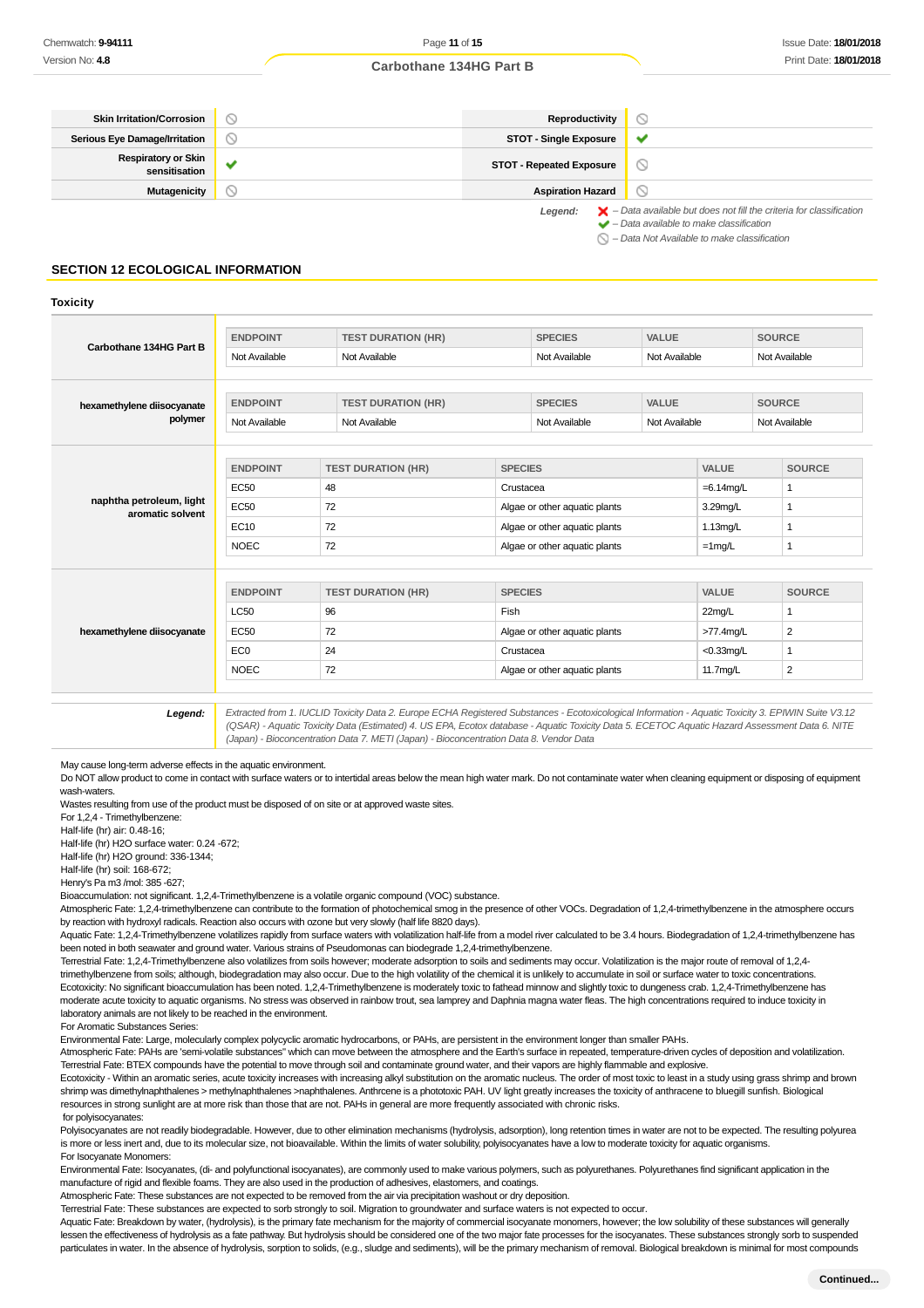| <b>Skin Irritation/Corrosion</b>            |         | Reproductivity                  |                                                                                                                                                           |
|---------------------------------------------|---------|---------------------------------|-----------------------------------------------------------------------------------------------------------------------------------------------------------|
| <b>Serious Eye Damage/Irritation</b>        | $\circ$ | <b>STOT - Single Exposure</b>   | $\checkmark$                                                                                                                                              |
| <b>Respiratory or Skin</b><br>sensitisation | w       | <b>STOT - Repeated Exposure</b> | D                                                                                                                                                         |
| Mutagenicity                                |         | <b>Aspiration Hazard</b>        |                                                                                                                                                           |
|                                             |         | Legend:                         | $\blacktriangleright$ - Data available but does not fill the criteria for classification<br>$\blacktriangleright$ - Data available to make classification |

 $\bigcirc$  – Data Not Available to make classification

## **SECTION 12 ECOLOGICAL INFORMATION**

#### **Toxicity**

|                                              | <b>ENDPOINT</b> | <b>TEST DURATION (HR)</b>           |                               | <b>SPECIES</b>                 | <b>VALUE</b>  |                 | <b>SOURCE</b>  |  |
|----------------------------------------------|-----------------|-------------------------------------|-------------------------------|--------------------------------|---------------|-----------------|----------------|--|
| Carbothane 134HG Part B                      | Not Available   | Not Available                       |                               | Not Available                  | Not Available |                 | Not Available  |  |
|                                              |                 |                                     |                               |                                |               |                 |                |  |
| hexamethylene diisocyanate                   | <b>ENDPOINT</b> | <b>TEST DURATION (HR)</b>           |                               | <b>VALUE</b><br><b>SPECIES</b> |               |                 | <b>SOURCE</b>  |  |
| polymer                                      | Not Available   | Not Available                       |                               | Not Available                  | Not Available |                 | Not Available  |  |
|                                              |                 |                                     |                               |                                |               |                 |                |  |
|                                              | <b>ENDPOINT</b> | <b>TEST DURATION (HR)</b>           | <b>SPECIES</b>                |                                |               | <b>VALUE</b>    | <b>SOURCE</b>  |  |
| naphtha petroleum, light<br>aromatic solvent | <b>EC50</b>     | 48                                  | Crustacea                     |                                |               | $=6.14$ mg/L    | 1              |  |
|                                              | <b>EC50</b>     | 72                                  | Algae or other aquatic plants |                                | 3.29mg/L      | 1               |                |  |
|                                              | <b>EC10</b>     | 72<br>Algae or other aquatic plants |                               |                                | $1.13$ mg/L   |                 |                |  |
|                                              | <b>NOEC</b>     | 72                                  | Algae or other aquatic plants |                                | $=1$ mg/L     |                 |                |  |
|                                              |                 |                                     |                               |                                |               |                 |                |  |
|                                              | <b>ENDPOINT</b> | <b>TEST DURATION (HR)</b>           | <b>SPECIES</b>                |                                |               | <b>VALUE</b>    | <b>SOURCE</b>  |  |
|                                              | <b>LC50</b>     | 96                                  | Fish                          |                                |               | 22mg/L          |                |  |
| hexamethylene diisocyanate                   | <b>EC50</b>     | 72                                  |                               | Algae or other aquatic plants  |               | >77.4mg/L       | $\overline{2}$ |  |
|                                              | EC <sub>0</sub> | 24                                  | Crustacea                     |                                |               | $<$ 0.33 $mq/L$ |                |  |
|                                              | <b>NOEC</b>     | 72                                  | Algae or other aquatic plants |                                | 11.7mg/L      | $\overline{2}$  |                |  |

**Legend:** Extracted from 1. IUCLID Toxicity Data 2. Europe ECHA Registered Substances - Ecotoxicological Information - Aquatic Toxicity 3. EPIWIN Suite V3.12 (QSAR) - Aquatic Toxicity Data (Estimated) 4. US EPA, Ecotox database - Aquatic Toxicity Data 5. ECETOC Aquatic Hazard Assessment Data 6. NITE (Japan) - Bioconcentration Data 7. METI (Japan) - Bioconcentration Data 8. Vendor Data

May cause long-term adverse effects in the aquatic environment.

Do NOT allow product to come in contact with surface waters or to intertidal areas below the mean high water mark. Do not contaminate water when cleaning equipment or disposing of equipment wash-waters.

Wastes resulting from use of the product must be disposed of on site or at approved waste sites. For 1,2,4 - Trimethylbenzene:

Half-life (hr) air: 0.48-16;

Half-life (hr) H2O surface water: 0.24 -672;

Half-life (hr) H2O ground: 336-1344;

Half-life (hr) soil: 168-672;

Henry's Pa m3 /mol: 385 -627;

Bioaccumulation: not significant. 1,2,4-Trimethylbenzene is a volatile organic compound (VOC) substance.

Atmospheric Fate: 1,2,4-trimethylbenzene can contribute to the formation of photochemical smog in the presence of other VOCs. Degradation of 1,2,4-trimethylbenzene in the atmosphere occurs by reaction with hydroxyl radicals. Reaction also occurs with ozone but very slowly (half life 8820 days).

Aquatic Fate: 1,2,4-Trimethylbenzene volatilizes rapidly from surface waters with volatilization half-life from a model river calculated to be 3.4 hours. Biodegradation of 1,2,4-trimethylbenzene has been noted in both seawater and ground water. Various strains of Pseudomonas can biodegrade 1,2,4-trimethylbenzene.

Terrestrial Fate: 1,2,4-Trimethylbenzene also volatilizes from soils however; moderate adsorption to soils and sediments may occur. Volatilization is the major route of removal of 1,2,4trimethylbenzene from soils; although, biodegradation may also occur. Due to the high volatility of the chemical it is unlikely to accumulate in soil or surface water to toxic concentrations. Ecotoxicity: No significant bioaccumulation has been noted. 1,2,4-Trimethylbenzene is moderately toxic to fathead minnow and slightly toxic to dungeness crab. 1,2,4-Trimethylbenzene has moderate acute toxicity to aquatic organisms. No stress was observed in rainbow trout, sea lamprey and Daphnia magna water fleas. The high concentrations required to induce toxicity in laboratory animals are not likely to be reached in the environment.

For Aromatic Substances Series:

Environmental Fate: Large, molecularly complex polycyclic aromatic hydrocarbons, or PAHs, are persistent in the environment longer than smaller PAHs.

Atmospheric Fate: PAHs are 'semi-volatile substances" which can move between the atmosphere and the Earth's surface in repeated, temperature-driven cycles of deposition and volatilization. Terrestrial Fate: BTEX compounds have the potential to move through soil and contaminate ground water, and their vapors are highly flammable and explosive.

Ecotoxicity - Within an aromatic series, acute toxicity increases with increasing alkyl substitution on the aromatic nucleus. The order of most toxic to least in a study using grass shrimp and brown shrimp was dimethylnaphthalenes > methylnaphthalenes >naphthalenes. Anthrcene is a phototoxic PAH. UV light greatly increases the toxicity of anthracene to bluegill sunfish. Biological resources in strong sunlight are at more risk than those that are not. PAHs in general are more frequently associated with chronic risks.

for polyisocyanates:

Polyisocyanates are not readily biodegradable. However, due to other elimination mechanisms (hydrolysis, adsorption), long retention times in water are not to be expected. The resulting polyurea is more or less inert and, due to its molecular size, not bioavailable. Within the limits of water solubility, polyisocyanates have a low to moderate toxicity for aquatic organisms. For Isocyanate Monomers:

Environmental Fate: Isocyanates, (di- and polyfunctional isocyanates), are commonly used to make various polymers, such as polyurethanes. Polyurethanes find significant application in the manufacture of rigid and flexible foams. They are also used in the production of adhesives, elastomers, and coatings.

Atmospheric Fate: These substances are not expected to be removed from the air via precipitation washout or dry deposition.

Terrestrial Fate: These substances are expected to sorb strongly to soil. Migration to groundwater and surface waters is not expected to occur.

Aquatic Fate: Breakdown by water, (hydrolysis), is the primary fate mechanism for the majority of commercial isocyanate monomers, however; the low solubility of these substances will generally lessen the effectiveness of hydrolysis as a fate pathway. But hydrolysis should be considered one of the two major fate processes for the isocyanates. These substances strongly sorb to suspended particulates in water. In the absence of hydrolysis, sorption to solids, (e.g., sludge and sediments), will be the primary mechanism of removal. Biological breakdown is minimal for most compounds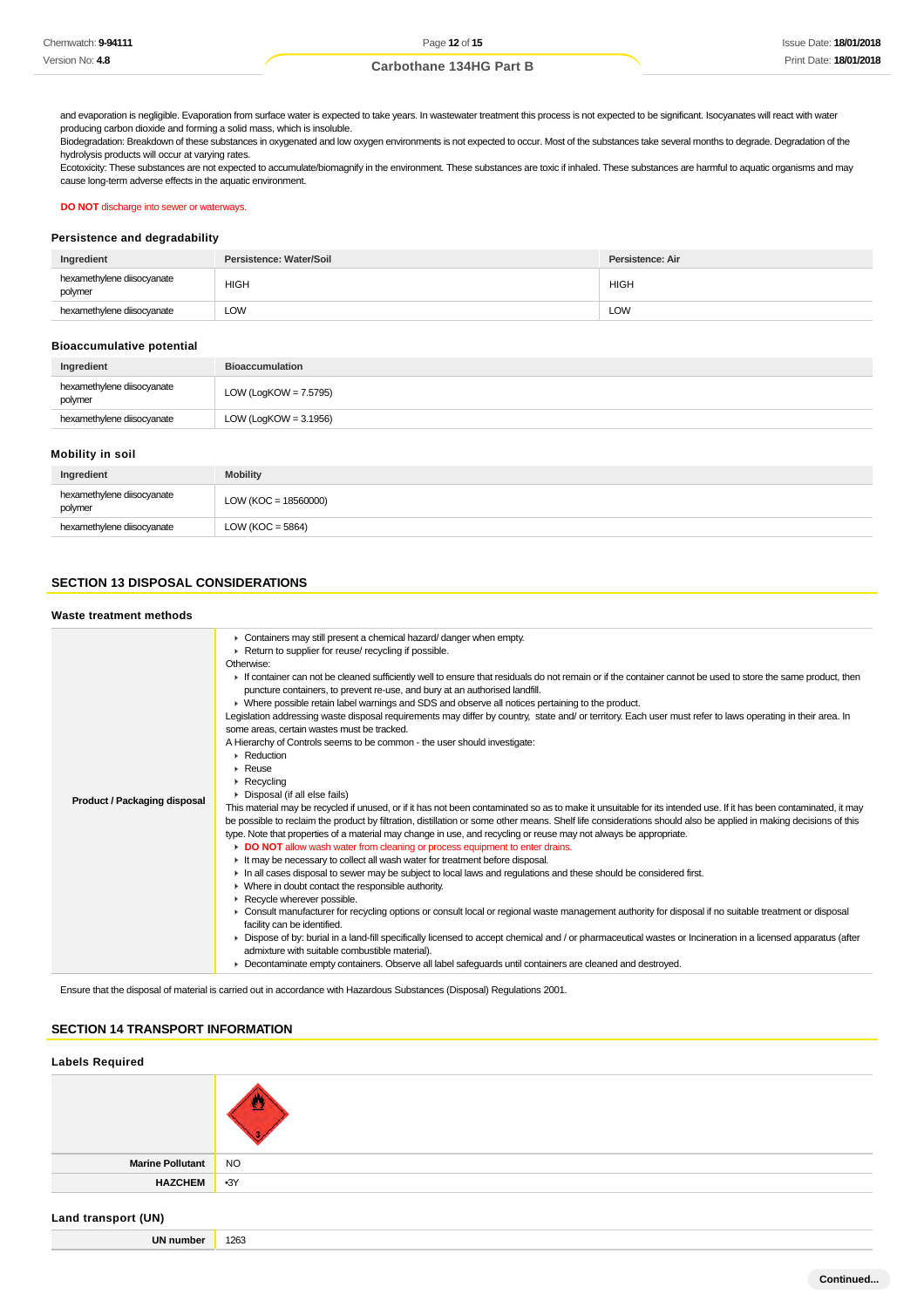and evaporation is negligible. Evaporation from surface water is expected to take years. In wastewater treatment this process is not expected to be significant. Isocyanates will react with water producing carbon dioxide and forming a solid mass, which is insoluble.

Biodegradation: Breakdown of these substances in oxygenated and low oxygen environments is not expected to occur. Most of the substances take several months to degrade. Degradation of the hydrolysis products will occur at varying rates.

Ecotoxicity: These substances are not expected to accumulate/biomagnify in the environment. These substances are toxic if inhaled. These substances are harmful to aquatic organisms and may cause long-term adverse effects in the aquatic environment.

**DO NOT** discharge into sewer or waterways.

#### **Persistence and degradability**

| Ingredient                            | Persistence: Water/Soil | Persistence: Air |
|---------------------------------------|-------------------------|------------------|
| hexamethylene diisocyanate<br>polymer | <b>HIGH</b>             | <b>HIGH</b>      |
| hexamethylene diisocyanate            | LOW                     | <b>LOW</b>       |

#### **Bioaccumulative potential**

| Ingredient                            | <b>Bioaccumulation</b>   |
|---------------------------------------|--------------------------|
| hexamethylene diisocyanate<br>polymer | LOW (LogKOW = 7.5795)    |
| hexamethylene diisocyanate            | LOW (LogKOW = $3.1956$ ) |

#### **Mobility in soil**

| Ingredient                            | <b>Mobility</b>        |
|---------------------------------------|------------------------|
| hexamethylene diisocyanate<br>polymer | $LOW (KOC = 18560000)$ |
| hexamethylene diisocyanate            | LOW ( $KOC = 5864$ )   |

## **SECTION 13 DISPOSAL CONSIDERATIONS**

#### **Waste treatment methods**

| • Containers may still present a chemical hazard/danger when empty.<br>Return to supplier for reuse/ recycling if possible.<br>Otherwise:<br>If container can not be cleaned sufficiently well to ensure that residuals do not remain or if the container cannot be used to store the same product, then<br>puncture containers, to prevent re-use, and bury at an authorised landfill.<br>▶ Where possible retain label warnings and SDS and observe all notices pertaining to the product.<br>Legislation addressing waste disposal requirements may differ by country, state and/ or territory. Each user must refer to laws operating in their area. In<br>some areas, certain wastes must be tracked.<br>A Hierarchy of Controls seems to be common - the user should investigate:<br>$\triangleright$ Reduction<br>$\triangleright$ Reuse<br>$\triangleright$ Recycling<br>Disposal (if all else fails)<br><b>Product / Packaging disposal</b><br>This material may be recycled if unused, or if it has not been contaminated so as to make it unsuitable for its intended use. If it has been contaminated, it may<br>be possible to reclaim the product by filtration, distillation or some other means. Shelf life considerations should also be applied in making decisions of this<br>type. Note that properties of a material may change in use, and recycling or reuse may not always be appropriate.<br>DO NOT allow wash water from cleaning or process equipment to enter drains.<br>If It may be necessary to collect all wash water for treatment before disposal.<br>In all cases disposal to sewer may be subject to local laws and regulations and these should be considered first.<br>$\blacktriangleright$ Where in doubt contact the responsible authority.<br>Recycle wherever possible.<br>► Consult manufacturer for recycling options or consult local or regional waste management authority for disposal if no suitable treatment or disposal<br>facility can be identified.<br>▶ Dispose of by: burial in a land-fill specifically licensed to accept chemical and / or pharmaceutical wastes or Incineration in a licensed apparatus (after<br>admixture with suitable combustible material).<br>> Decontaminate empty containers. Observe all label safeguards until containers are cleaned and destroyed. |
|----------------------------------------------------------------------------------------------------------------------------------------------------------------------------------------------------------------------------------------------------------------------------------------------------------------------------------------------------------------------------------------------------------------------------------------------------------------------------------------------------------------------------------------------------------------------------------------------------------------------------------------------------------------------------------------------------------------------------------------------------------------------------------------------------------------------------------------------------------------------------------------------------------------------------------------------------------------------------------------------------------------------------------------------------------------------------------------------------------------------------------------------------------------------------------------------------------------------------------------------------------------------------------------------------------------------------------------------------------------------------------------------------------------------------------------------------------------------------------------------------------------------------------------------------------------------------------------------------------------------------------------------------------------------------------------------------------------------------------------------------------------------------------------------------------------------------------------------------------------------------------------------------------------------------------------------------------------------------------------------------------------------------------------------------------------------------------------------------------------------------------------------------------------------------------------------------------------------------------------------------------------------------------------------------------------------------------------------|

Ensure that the disposal of material is carried out in accordance with Hazardous Substances (Disposal) Regulations 2001.

## **SECTION 14 TRANSPORT INFORMATION**

# **Labels Required Marine Pollutant** NO **HAZCHEM** •3Y

## **Land transport (UN)**

| <br>umnei | 10 <sup>2</sup><br>12b. |
|-----------|-------------------------|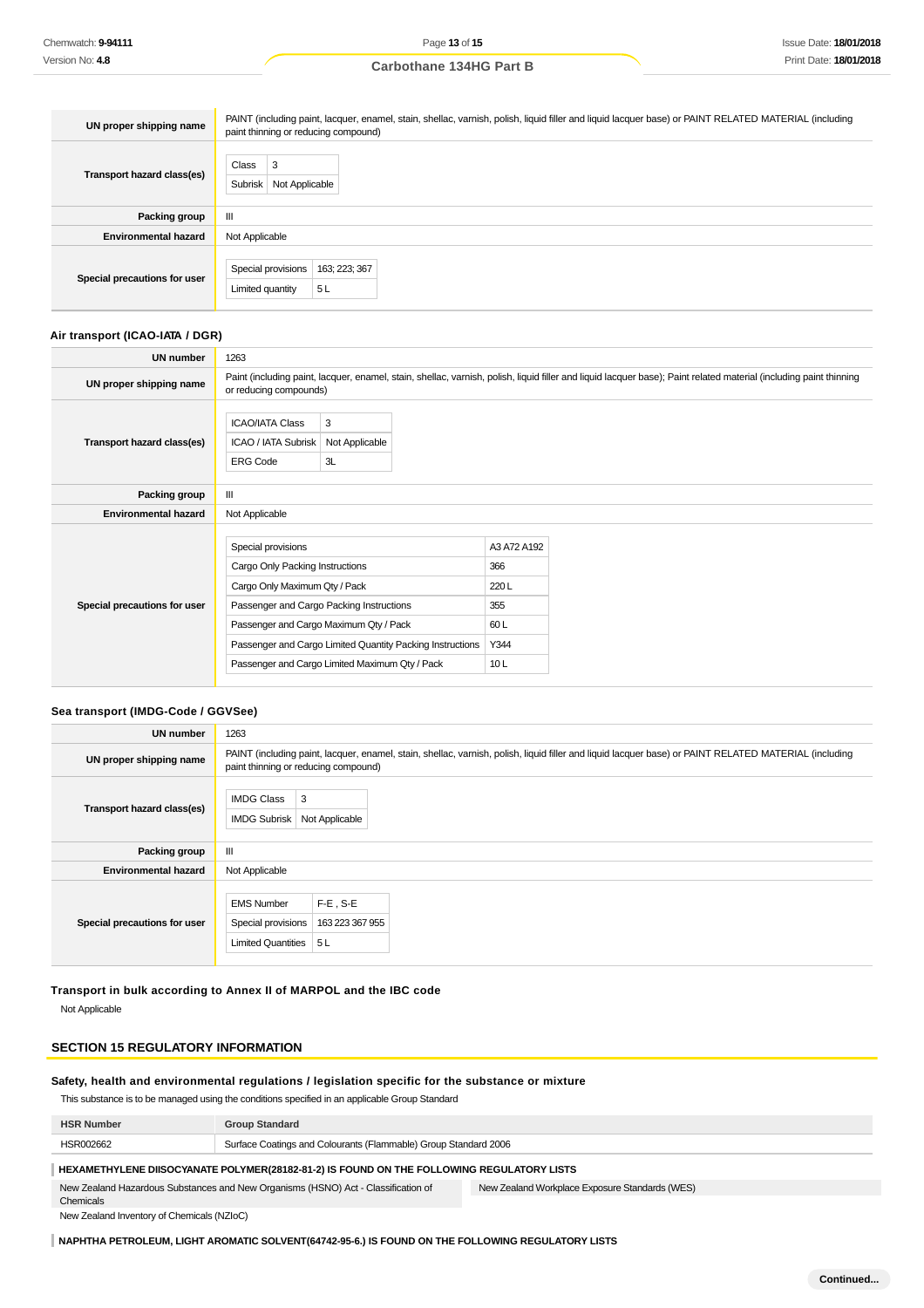| UN proper shipping name      | PAINT (including paint, lacquer, enamel, stain, shellac, varnish, polish, liquid filler and liquid lacquer base) or PAINT RELATED MATERIAL (including<br>paint thinning or reducing compound) |  |  |
|------------------------------|-----------------------------------------------------------------------------------------------------------------------------------------------------------------------------------------------|--|--|
| Transport hazard class(es)   | Class<br>3<br>Subrisk<br>Not Applicable                                                                                                                                                       |  |  |
| Packing group                | Ш                                                                                                                                                                                             |  |  |
| <b>Environmental hazard</b>  | Not Applicable                                                                                                                                                                                |  |  |
| Special precautions for user | Special provisions<br>163; 223; 367<br>5L<br>Limited quantity                                                                                                                                 |  |  |

## **Air transport (ICAO-IATA / DGR)**

| <b>UN number</b>             | 1263                                                                                                                                                                                                                                                                                        |                                                                                                                                                                                              |                                                          |  |
|------------------------------|---------------------------------------------------------------------------------------------------------------------------------------------------------------------------------------------------------------------------------------------------------------------------------------------|----------------------------------------------------------------------------------------------------------------------------------------------------------------------------------------------|----------------------------------------------------------|--|
| UN proper shipping name      |                                                                                                                                                                                                                                                                                             | Paint (including paint, lacquer, enamel, stain, shellac, varnish, polish, liquid filler and liquid lacquer base); Paint related material (including paint thinning<br>or reducing compounds) |                                                          |  |
| Transport hazard class(es)   | <b>ICAO/IATA Class</b><br>ICAO / IATA Subrisk<br><b>ERG Code</b>                                                                                                                                                                                                                            | 3<br>Not Applicable<br>3L                                                                                                                                                                    |                                                          |  |
| Packing group                | Ш                                                                                                                                                                                                                                                                                           |                                                                                                                                                                                              |                                                          |  |
| <b>Environmental hazard</b>  | Not Applicable                                                                                                                                                                                                                                                                              |                                                                                                                                                                                              |                                                          |  |
| Special precautions for user | Special provisions<br>Cargo Only Packing Instructions<br>Cargo Only Maximum Qty / Pack<br>Passenger and Cargo Packing Instructions<br>Passenger and Cargo Maximum Qty / Pack<br>Passenger and Cargo Limited Quantity Packing Instructions<br>Passenger and Cargo Limited Maximum Qty / Pack |                                                                                                                                                                                              | A3 A72 A192<br>366<br>220L<br>355<br>60 L<br>Y344<br>10L |  |

#### **Sea transport (IMDG-Code / GGVSee)**

| UN number                    | 1263                                                                                                                                                                                          |  |  |
|------------------------------|-----------------------------------------------------------------------------------------------------------------------------------------------------------------------------------------------|--|--|
| UN proper shipping name      | PAINT (including paint, lacquer, enamel, stain, shellac, varnish, polish, liquid filler and liquid lacquer base) or PAINT RELATED MATERIAL (including<br>paint thinning or reducing compound) |  |  |
| Transport hazard class(es)   | <b>IMDG Class</b><br>3<br><b>IMDG Subrisk</b><br>Not Applicable                                                                                                                               |  |  |
| Packing group                | III                                                                                                                                                                                           |  |  |
| <b>Environmental hazard</b>  | Not Applicable                                                                                                                                                                                |  |  |
| Special precautions for user | $F-E$ , S-E<br><b>EMS Number</b><br>Special provisions<br>163 223 367 955<br>Limited Quantities<br>5 L                                                                                        |  |  |

## **Transport in bulk according to Annex II of MARPOL and the IBC code**

Not Applicable

## **SECTION 15 REGULATORY INFORMATION**

## **Safety, health and environmental regulations / legislation specific for the substance or mixture**

This substance is to be managed using the conditions specified in an applicable Group Standard

| <b>HSR Number</b> | `Standaro                                                       |
|-------------------|-----------------------------------------------------------------|
| HSR002662         | Surface Coatings and Colourants (Flammable) Group Standard 2006 |

## **HEXAMETHYLENE DIISOCYANATE POLYMER(28182-81-2) IS FOUND ON THE FOLLOWING REGULATORY LISTS**

New Zealand Hazardous Substances and New Organisms (HSNO) Act - Classification of Chemicals New Zealand Workplace Exposure Standards (WES)

New Zealand Inventory of Chemicals (NZIoC)

## **NAPHTHA PETROLEUM, LIGHT AROMATIC SOLVENT(64742-95-6.) IS FOUND ON THE FOLLOWING REGULATORY LISTS**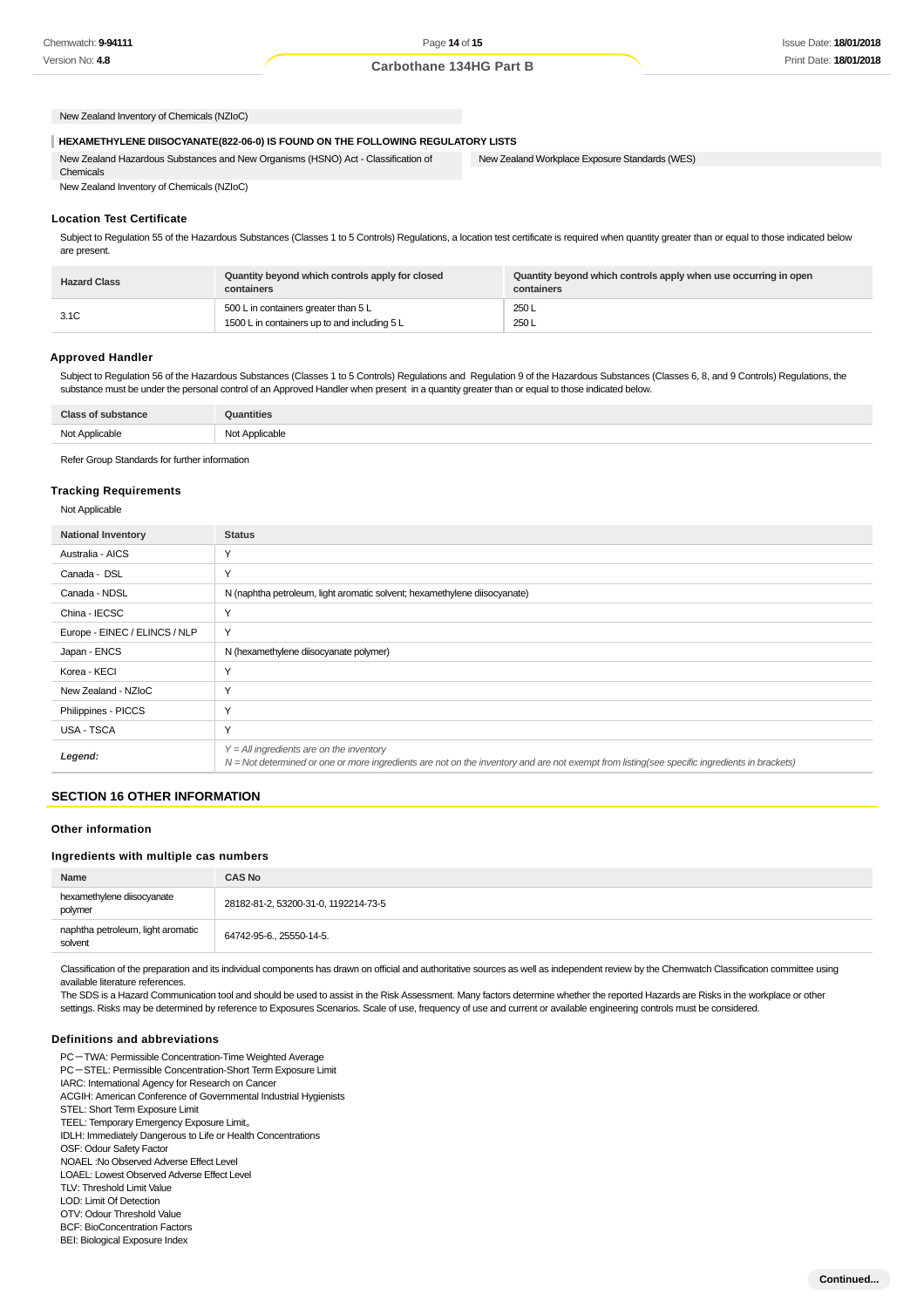**Continued...**

**Carbothane 134HG Part B**

New Zealand Inventory of Chemicals (NZIoC)

#### **HEXAMETHYLENE DIISOCYANATE(822-06-0) IS FOUND ON THE FOLLOWING REGULATORY LISTS**

New Zealand Hazardous Substances and New Organisms (HSNO) Act - Classification of Chemicals

New Zealand Workplace Exposure Standards (WES)

## New Zealand Inventory of Chemicals (NZIoC)

## **Location Test Certificate**

Subject to Regulation 55 of the Hazardous Substances (Classes 1 to 5 Controls) Regulations, a location test certificate is required when quantity greater than or equal to those indicated below are present.

| <b>Hazard Class</b> | Quantity beyond which controls apply for closed<br>containers                        | Quantity beyond which controls apply when use occurring in open<br>containers |
|---------------------|--------------------------------------------------------------------------------------|-------------------------------------------------------------------------------|
| 3.1C                | 500 L in containers greater than 5 L<br>1500 L in containers up to and including 5 L | 250L<br>250 L                                                                 |

#### **Approved Handler**

Subject to Regulation 56 of the Hazardous Substances (Classes 1 to 5 Controls) Regulations and Regulation 9 of the Hazardous Substances (Classes 6, 8, and 9 Controls) Regulations, the substance must be under the personal control of an Approved Handler when present in a quantity greater than or equal to those indicated below.

| <b>Class of substance</b> | Quantities     |
|---------------------------|----------------|
| Not Applicable            | Not Applicable |

Refer Group Standards for further information

#### **Tracking Requirements**

Not Applicable

| <b>National Inventory</b>     | <b>Status</b>                                                                                                                                                                              |  |
|-------------------------------|--------------------------------------------------------------------------------------------------------------------------------------------------------------------------------------------|--|
| Australia - AICS              | Y                                                                                                                                                                                          |  |
| Canada - DSL                  | Υ                                                                                                                                                                                          |  |
| Canada - NDSL                 | N (naphtha petroleum, light aromatic solvent; hexamethylene diisocyanate)                                                                                                                  |  |
| China - IECSC                 | Υ                                                                                                                                                                                          |  |
| Europe - EINEC / ELINCS / NLP | Y                                                                                                                                                                                          |  |
| Japan - ENCS                  | N (hexamethylene diisocyanate polymer)                                                                                                                                                     |  |
| Korea - KECI                  | Y                                                                                                                                                                                          |  |
| New Zealand - NZIoC           | Υ                                                                                                                                                                                          |  |
| Philippines - PICCS           | Υ                                                                                                                                                                                          |  |
| <b>USA - TSCA</b>             | Υ                                                                                                                                                                                          |  |
| Legend:                       | $Y = All$ ingredients are on the inventory<br>N = Not determined or one or more ingredients are not on the inventory and are not exempt from listing(see specific ingredients in brackets) |  |

#### **SECTION 16 OTHER INFORMATION**

#### **Other information**

#### **Ingredients with multiple cas numbers**

| Name                                         | <b>CAS No</b>                        |
|----------------------------------------------|--------------------------------------|
| hexamethylene diisocyanate<br>polymer        | 28182-81-2, 53200-31-0, 1192214-73-5 |
| naphtha petroleum, light aromatic<br>solvent | 64742-95-6., 25550-14-5.             |

Classification of the preparation and its individual components has drawn on official and authoritative sources as well as independent review by the Chemwatch Classification committee using available literature references.

The SDS is a Hazard Communication tool and should be used to assist in the Risk Assessment. Many factors determine whether the reported Hazards are Risks in the workplace or other settings. Risks may be determined by reference to Exposures Scenarios. Scale of use, frequency of use and current or available engineering controls must be considered.

#### **Definitions and abbreviations**

BEI: Biological Exposure Index

PC-TWA: Permissible Concentration-Time Weighted Average PC-STEL: Permissible Concentration-Short Term Exposure Limit IARC: International Agency for Research on Cancer ACGIH: American Conference of Governmental Industrial Hygienists STEL: Short Term Exposure Limit TEEL: Temporary Emergency Exposure Limit。 IDLH: Immediately Dangerous to Life or Health Concentrations OSF: Odour Safety Factor NOAEL :No Observed Adverse Effect Level LOAEL: Lowest Observed Adverse Effect Level TLV: Threshold Limit Value LOD: Limit Of Detection OTV: Odour Threshold Value BCF: BioConcentration Factors